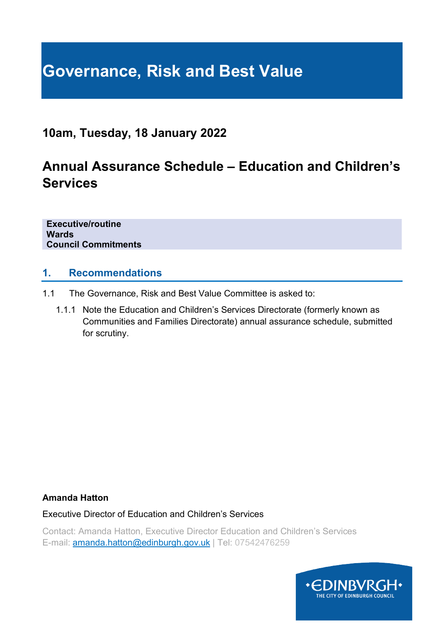# **Governance, Risk and Best Value**

## **10am, Tuesday, 18 January 2022**

# **Annual Assurance Schedule – Education and Children's Services**

**Executive/routine Wards Council Commitments**

#### **1. Recommendations**

- 1.1 The Governance, Risk and Best Value Committee is asked to:
	- 1.1.1 Note the Education and Children's Services Directorate (formerly known as Communities and Families Directorate) annual assurance schedule, submitted for scrutiny.

#### **Amanda Hatton**

Executive Director of Education and Children's Services

Contact: Amanda Hatton, Executive Director Education and Children's Services E-mail: **amanda.hatton@edinburgh.gov.uk** | Tel: 07542476259

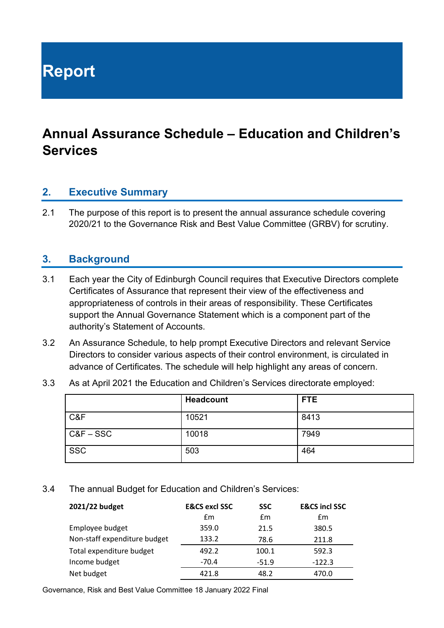**Report**

# **Annual Assurance Schedule – Education and Children's Services**

#### **2. Executive Summary**

2.1 The purpose of this report is to present the annual assurance schedule covering 2020/21 to the Governance Risk and Best Value Committee (GRBV) for scrutiny.

#### **3. Background**

- 3.1 Each year the City of Edinburgh Council requires that Executive Directors complete Certificates of Assurance that represent their view of the effectiveness and appropriateness of controls in their areas of responsibility. These Certificates support the Annual Governance Statement which is a component part of the authority's Statement of Accounts.
- 3.2 An Assurance Schedule, to help prompt Executive Directors and relevant Service Directors to consider various aspects of their control environment, is circulated in advance of Certificates. The schedule will help highlight any areas of concern.
- 3.3 As at April 2021 the Education and Children's Services directorate employed:

|             | <b>Headcount</b> | FTE. |
|-------------|------------------|------|
| C&F         | 10521            | 8413 |
| $C&F - SSC$ | 10018            | 7949 |
| <b>SSC</b>  | 503              | 464  |

3.4 The annual Budget for Education and Children's Services:

| 2021/22 budget               | <b>E&amp;CS excl SSC</b> | <b>SSC</b> | <b>E&amp;CS incl SSC</b> |
|------------------------------|--------------------------|------------|--------------------------|
|                              | fm                       | Em         | £m                       |
| Employee budget              | 359.0                    | 21.5       | 380.5                    |
| Non-staff expenditure budget | 133.2                    | 78.6       | 211.8                    |
| Total expenditure budget     | 492.2                    | 100.1      | 592.3                    |
| Income budget                | $-70.4$                  | $-51.9$    | $-122.3$                 |
| Net budget                   | 421.8                    | 48.2       | 470.0                    |

Governance, Risk and Best Value Committee 18 January 2022 Final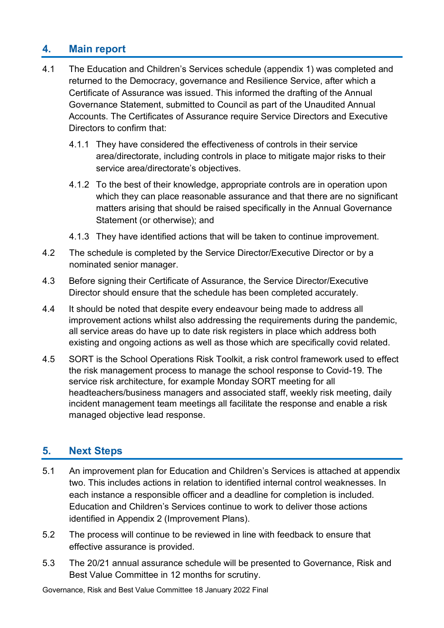#### **4. Main report**

- 4.1 The Education and Children's Services schedule (appendix 1) was completed and returned to the Democracy, governance and Resilience Service, after which a Certificate of Assurance was issued. This informed the drafting of the Annual Governance Statement, submitted to Council as part of the Unaudited Annual Accounts. The Certificates of Assurance require Service Directors and Executive Directors to confirm that:
	- 4.1.1 They have considered the effectiveness of controls in their service area/directorate, including controls in place to mitigate major risks to their service area/directorate's objectives.
	- 4.1.2 To the best of their knowledge, appropriate controls are in operation upon which they can place reasonable assurance and that there are no significant matters arising that should be raised specifically in the Annual Governance Statement (or otherwise); and
	- 4.1.3 They have identified actions that will be taken to continue improvement.
- 4.2 The schedule is completed by the Service Director/Executive Director or by a nominated senior manager.
- 4.3 Before signing their Certificate of Assurance, the Service Director/Executive Director should ensure that the schedule has been completed accurately.
- 4.4 It should be noted that despite every endeavour being made to address all improvement actions whilst also addressing the requirements during the pandemic, all service areas do have up to date risk registers in place which address both existing and ongoing actions as well as those which are specifically covid related.
- 4.5 SORT is the School Operations Risk Toolkit, a risk control framework used to effect the risk management process to manage the school response to Covid-19. The service risk architecture, for example Monday SORT meeting for all headteachers/business managers and associated staff, weekly risk meeting, daily incident management team meetings all facilitate the response and enable a risk managed objective lead response.

#### **5. Next Steps**

- 5.1 An improvement plan for Education and Children's Services is attached at appendix two. This includes actions in relation to identified internal control weaknesses. In each instance a responsible officer and a deadline for completion is included. Education and Children's Services continue to work to deliver those actions identified in Appendix 2 (Improvement Plans).
- 5.2 The process will continue to be reviewed in line with feedback to ensure that effective assurance is provided.
- 5.3 The 20/21 annual assurance schedule will be presented to Governance, Risk and Best Value Committee in 12 months for scrutiny.

Governance, Risk and Best Value Committee 18 January 2022 Final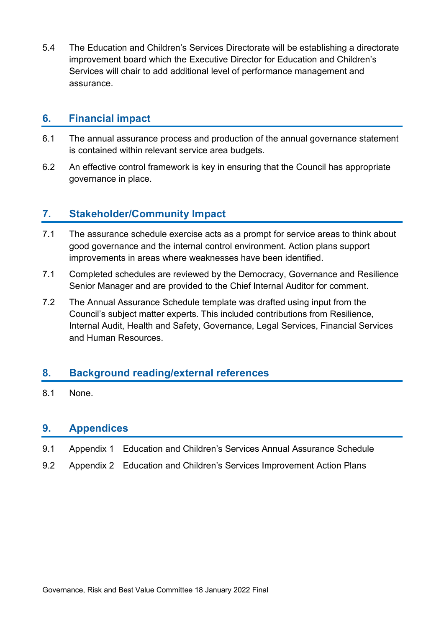5.4 The Education and Children's Services Directorate will be establishing a directorate improvement board which the Executive Director for Education and Children's Services will chair to add additional level of performance management and assurance.

#### **6. Financial impact**

- 6.1 The annual assurance process and production of the annual governance statement is contained within relevant service area budgets.
- 6.2 An effective control framework is key in ensuring that the Council has appropriate governance in place.

#### **7. Stakeholder/Community Impact**

- 7.1 The assurance schedule exercise acts as a prompt for service areas to think about good governance and the internal control environment. Action plans support improvements in areas where weaknesses have been identified.
- 7.1 Completed schedules are reviewed by the Democracy, Governance and Resilience Senior Manager and are provided to the Chief Internal Auditor for comment.
- 7.2 The Annual Assurance Schedule template was drafted using input from the Council's subject matter experts. This included contributions from Resilience, Internal Audit, Health and Safety, Governance, Legal Services, Financial Services and Human Resources.

#### **8. Background reading/external references**

8.1 None.

#### **9. Appendices**

- 9.1 Appendix 1 Education and Children's Services Annual Assurance Schedule
- 9.2 Appendix 2 Education and Children's Services Improvement Action Plans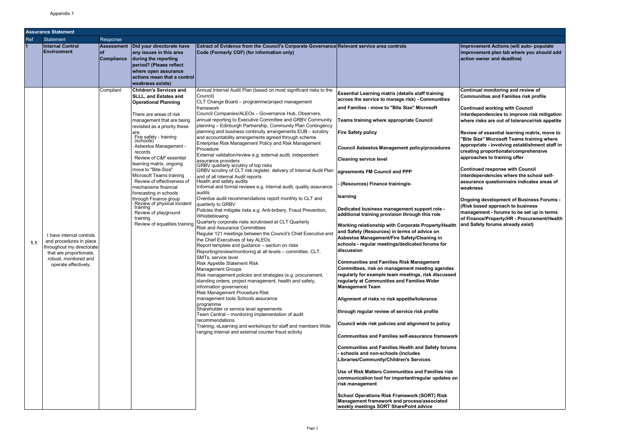**Rement Actions (will auto- populate improvement plan tab where you should add absoluted** owner and deadline)

|     | Assurance Statement                                                                                                                                          |                                                     |                                                                                                                                                                                                                                                                                                                                                                                                                                                                                                                                                                                                               |                                                                                                                                                                                                                                                                                                                                                                                                                                                                                                                                                                                                                                                                                                                                                                                                                                                                                                                                                                                                                                                                                                                                                                                                                                                                                                                                                                                                                                                                                                                                                                                                                                                                                                                                                                                                                                                                                                                                                                                                     |                                                                                                                                                                                                                                                                                                                                                                                                                                                                                                                                                                                                                                                                                                                                                                                                                                                                                                                                                                                                                                                                                                                                                                                                                                                                                                                                                                                                                                                                                                                                                                                                                   |                                                                                                                                                                                                                      |
|-----|--------------------------------------------------------------------------------------------------------------------------------------------------------------|-----------------------------------------------------|---------------------------------------------------------------------------------------------------------------------------------------------------------------------------------------------------------------------------------------------------------------------------------------------------------------------------------------------------------------------------------------------------------------------------------------------------------------------------------------------------------------------------------------------------------------------------------------------------------------|-----------------------------------------------------------------------------------------------------------------------------------------------------------------------------------------------------------------------------------------------------------------------------------------------------------------------------------------------------------------------------------------------------------------------------------------------------------------------------------------------------------------------------------------------------------------------------------------------------------------------------------------------------------------------------------------------------------------------------------------------------------------------------------------------------------------------------------------------------------------------------------------------------------------------------------------------------------------------------------------------------------------------------------------------------------------------------------------------------------------------------------------------------------------------------------------------------------------------------------------------------------------------------------------------------------------------------------------------------------------------------------------------------------------------------------------------------------------------------------------------------------------------------------------------------------------------------------------------------------------------------------------------------------------------------------------------------------------------------------------------------------------------------------------------------------------------------------------------------------------------------------------------------------------------------------------------------------------------------------------------------|-------------------------------------------------------------------------------------------------------------------------------------------------------------------------------------------------------------------------------------------------------------------------------------------------------------------------------------------------------------------------------------------------------------------------------------------------------------------------------------------------------------------------------------------------------------------------------------------------------------------------------------------------------------------------------------------------------------------------------------------------------------------------------------------------------------------------------------------------------------------------------------------------------------------------------------------------------------------------------------------------------------------------------------------------------------------------------------------------------------------------------------------------------------------------------------------------------------------------------------------------------------------------------------------------------------------------------------------------------------------------------------------------------------------------------------------------------------------------------------------------------------------------------------------------------------------------------------------------------------------|----------------------------------------------------------------------------------------------------------------------------------------------------------------------------------------------------------------------|
| Ref | Statement                                                                                                                                                    | Response                                            |                                                                                                                                                                                                                                                                                                                                                                                                                                                                                                                                                                                                               |                                                                                                                                                                                                                                                                                                                                                                                                                                                                                                                                                                                                                                                                                                                                                                                                                                                                                                                                                                                                                                                                                                                                                                                                                                                                                                                                                                                                                                                                                                                                                                                                                                                                                                                                                                                                                                                                                                                                                                                                     |                                                                                                                                                                                                                                                                                                                                                                                                                                                                                                                                                                                                                                                                                                                                                                                                                                                                                                                                                                                                                                                                                                                                                                                                                                                                                                                                                                                                                                                                                                                                                                                                                   |                                                                                                                                                                                                                      |
|     | <b>Internal Control</b><br>Environment                                                                                                                       | <b>Assessment</b><br><b>of</b><br><b>Compliance</b> | Did your directorate have<br>any issues in this area<br>during the reporting<br>period? (Please reflect<br>where open assurance<br>actions mean that a control<br><b>weakness exists)</b>                                                                                                                                                                                                                                                                                                                                                                                                                     | <b>Extract of Evidence from the Council's Corporate Governance Relevant service area controls</b><br>Code (Formerly CGF) (for information only)                                                                                                                                                                                                                                                                                                                                                                                                                                                                                                                                                                                                                                                                                                                                                                                                                                                                                                                                                                                                                                                                                                                                                                                                                                                                                                                                                                                                                                                                                                                                                                                                                                                                                                                                                                                                                                                     |                                                                                                                                                                                                                                                                                                                                                                                                                                                                                                                                                                                                                                                                                                                                                                                                                                                                                                                                                                                                                                                                                                                                                                                                                                                                                                                                                                                                                                                                                                                                                                                                                   | Improv<br>improv<br>action                                                                                                                                                                                           |
| 1.1 | I have internal controls<br>and procedures in place<br>throughout my directorate<br>that are proportionate,<br>robust, monitored and<br>operate effectively. | Compliant                                           | <b>Children's Services and</b><br><b>SLLL, and Estates and</b><br><b>Operational Planning</b><br>There are areas of risk<br>management that are being<br>revisited as a priority these<br>are;<br>Fire safety - training<br>(schools)<br>Asbestos Management -<br>records<br>Review of C&F essential<br>learning matrix, ongoing<br>move to "Bite-Size"<br>Microsoft Teams training<br>Review of effectiveness of<br>Imechanisms financial<br>forecasting in schools<br>through Finance group<br>Review of physical incident<br>training<br>Review of playground<br>training<br>Review of equalities training | Annual Internal Audit Plan (based on most significant risks to the<br>Council)<br>CLT Change Board - programme/project management<br>framework<br>Council Companies/ALEOs - Governance Hub, Observers,<br>annual reporting to Executive Committee and GRBV Community<br>planning - Edinburgh Partnership, Community Plan Contingency<br>planning and business continuity arrangements EIJB - scrutiny<br>and accountability arrangements agreed through scheme<br>Enterprise Risk Management Policy and Risk Management<br>Procedure<br>External validation/review e.g. external audit, independent<br>assurance providers<br>GRBV quarterly scrutiny of top risks<br>GRBV scrutiny of CLT risk register, delivery of Internal Audit Plan   agreements FM Council and PPP<br>and of all Internal Audit reports<br>Health and safety audits<br>Informal and formal reviews e.g. internal audit, quality assurance<br>audits<br>Overdue audit recommendations report monthly to CLT and<br>quarterly to GRBV<br>Policies that mitigate risks e.g. Anti-bribery, Fraud Prevention,<br>Whistleblowing<br>Quarterly corporate risks scrutinised at CLT Quarterly<br><b>Risk and Assurance Committees</b><br>Regular 121 meetings between the Council's Chief Executive and<br>the Chief Executives of key ALEOs<br>Report template and guidance - section on risks<br>Reporting/review/monitoring at all levels - committee, CLT,<br>SMTs, service level<br><b>Risk Appetite Statement Risk</b><br>Management Groups<br>Risk management policies and strategies (e.g. procurement,<br>standing orders, project management, health and safety,<br>information governance)<br>Risk Management Procedure Risk<br>management tools Schools assurance<br>programme<br>Shareholder or service level agreements<br>Team Central - monitoring implementation of audit<br>recommendations<br>Training, eLearning and workshops for staff and members Wide<br>ranging internal and external counter fraud activity | <b>Essential Learning matrix (details staff training</b><br>across the service to manage risk) - Communities<br>and Families - move to "Bite Size" Microsoft<br><b>Teams training where appropriate Council</b><br><b>Fire Safety policy</b><br><b>Council Asbestos Management policy/procedures</b><br><b>Cleaning service level</b><br>(Resources) Finance training/e-<br>learning<br>Dedicated business management support role -<br>additional training provision through this role<br><b>Working relationship with Corporate Property/Health</b><br>and Safety (Resources) in terms of advice on<br>Asbestos Management/Fire Safety/Cleaning in<br>schools - regular meetings/dedicated forums for<br>discussion<br><b>Communities and Families Risk Management</b><br>Committees, risk on management meeting agendas<br>regularly for example team meetings, risk discussed<br>regularly at Communities and Families Wider<br><b>Management Team</b><br>Alignment of risks ro risk appetite/tolerance<br>through regular review of service risk profile<br>Council wide risk policies and alignment to policy<br><b>Communities and Families self-assurance framework</b><br><b>Communities and Families Health and Safety forums</b><br>schools and non-schools (includes<br>Libraries/Community/Children's Services<br>Use of Risk Matters Communities and Families risk<br>communication tool for important/regular updates on<br>risk management<br><b>School Operations Risk Framework (SORT) Risk</b><br>Management framework and process/associated<br><b>weekly meetings SORT SharePoint advice</b> | Continu<br>Commu<br>Continu<br>interde<br>where <b>n</b><br><b>Review</b><br>"Bite Si<br>approp<br>creatin<br>approa<br>Continu<br>interde<br>assural<br>weakne<br>Ongoin<br>(Risk b<br>manago<br>of Fina<br>and Sat |

**Review of essential learning matrix, move to ize" Microsoft Teams training where appropriate - involving establishment staff in creating proportionate/comprehensive a**<br>ches to training offer

**Continual monitoring and review of Communities and Families risk profile**

**Continued working with Council interdependencies to improve risk mitigation where risks are out of tolerance/risk appetite**

**Continued response with Council interdependencies where the school selfassurance questionnaire indicates areas of weakness**

**Ongoing development of Business Forums - (Risk based approach to business** ement - forums to be set up in terms **of Finance/Property/HR - Procurement/Health and Safety forums already exist)**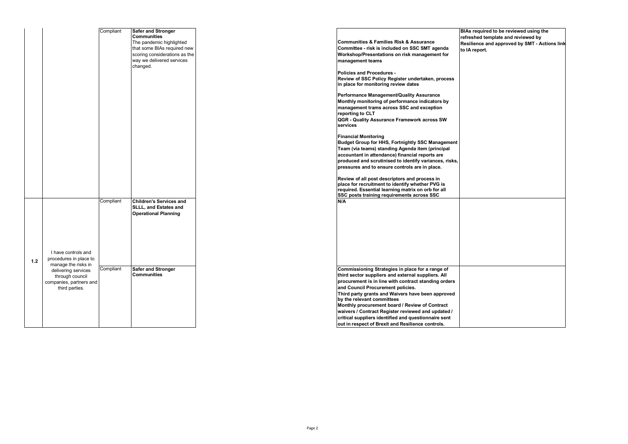|       |                                                                                                                                                             | Compliant              | <b>Safer and Stronger</b><br><b>Communities</b><br>The pandemic highlighted<br>that some BIAs required new<br>scoring considerations as the<br>way we delivered services<br>changed. | <b>Communities &amp; Families Risk &amp; Assurance</b><br>Committee - risk is included on SSC SMT agenda<br>Workshop/Presentations on risk management for<br>management teams<br><b>Policies and Procedures -</b><br>Review of SSC Policy Register undertaken, process<br>in place for monitoring review dates<br>Performance Management/Quality Assurance<br>Monthly monitoring of performance indicators by<br>management trams across SSC and exception<br>reporting to CLT<br>QGR - Quality Assurance Framework across SW<br>services<br><b>Financial Monitoring</b><br><b>Budget Group for HHS, Fortnightly SSC Management</b><br>Team (via teams) standing Agenda item (principal<br>accountant in attendance) financial reports are<br>produced and scrutinised to identify variances, risks,<br>pressures and to ensure controls are in place.<br>Review of all post descriptors and process in<br>place for recruitment to identify whether PVG is |
|-------|-------------------------------------------------------------------------------------------------------------------------------------------------------------|------------------------|--------------------------------------------------------------------------------------------------------------------------------------------------------------------------------------|-------------------------------------------------------------------------------------------------------------------------------------------------------------------------------------------------------------------------------------------------------------------------------------------------------------------------------------------------------------------------------------------------------------------------------------------------------------------------------------------------------------------------------------------------------------------------------------------------------------------------------------------------------------------------------------------------------------------------------------------------------------------------------------------------------------------------------------------------------------------------------------------------------------------------------------------------------------|
| $1.2$ | I have controls and<br>procedures in place to<br>manage the risks in<br>delivering services<br>through council<br>companies, partners and<br>third parties. | Compliant<br>Compliant | <b>Children's Services and</b><br><b>SLLL, and Estates and</b><br><b>Operational Planning</b><br><b>Safer and Stronger</b><br><b>Communities</b>                                     | required. Essential learning matrix on orb for all<br>SSC posts training requirements across SSC<br>N/A<br>Commissioning Strategies in place for a range of<br>third sector suppliers and external suppliers. All<br>procurement is in line with contract standing orders<br>and Council Procurement policies.<br>Third party grants and Waivers have been approved<br>by the relevant committees<br>Monthly procurement board / Review of Contract<br>waivers / Contract Register reviewed and updated /<br>critical suppliers identified and questionnaire sent<br>out in respect of Brexit and Resilience controls.                                                                                                                                                                                                                                                                                                                                      |

**BIAs required to be reviewed using the refreshed template and reviewed by Resilience and approved by SMT - Actions link to IA report.**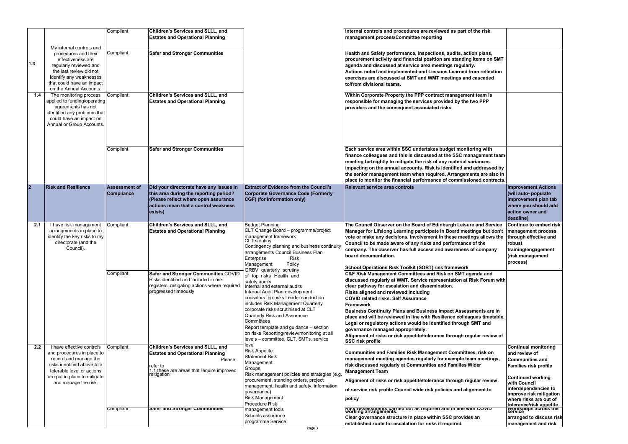|                | My internal controls and                                                                                                                                                                              | Compliant                                 | Children's Services and SLLL, and<br><b>Estates and Operational Planning</b>                                                                                                 |                                                                                                                                                                                                                                                                                                                                                                                                                                               | Internal controls and procedures are reviewed as part of the risk<br>management process/Committee reporting                                                                                                                                                                                                                                                                                                                                                                                                                                                                                                                                                          |                                                                                                                                                                                                                                 |
|----------------|-------------------------------------------------------------------------------------------------------------------------------------------------------------------------------------------------------|-------------------------------------------|------------------------------------------------------------------------------------------------------------------------------------------------------------------------------|-----------------------------------------------------------------------------------------------------------------------------------------------------------------------------------------------------------------------------------------------------------------------------------------------------------------------------------------------------------------------------------------------------------------------------------------------|----------------------------------------------------------------------------------------------------------------------------------------------------------------------------------------------------------------------------------------------------------------------------------------------------------------------------------------------------------------------------------------------------------------------------------------------------------------------------------------------------------------------------------------------------------------------------------------------------------------------------------------------------------------------|---------------------------------------------------------------------------------------------------------------------------------------------------------------------------------------------------------------------------------|
| $1.3$          | procedures and their<br>effectiveness are<br>regularly reviewed and<br>the last review did not<br>identify any weaknesses<br>that could have an impact<br>on the Annual Accounts.                     | Compliant                                 | <b>Safer and Stronger Communities</b>                                                                                                                                        |                                                                                                                                                                                                                                                                                                                                                                                                                                               | Health and Safety performance, inspections, audits, action plans,<br>procurement activity and financial position are standing items on SMT<br>agenda and discussed at service area meetings regularly.<br>Actions noted and implemented and Lessons Learned from reflection<br>exercises are discussed at SMT and WMT meetings and cascaded<br>to/from divisional teams.                                                                                                                                                                                                                                                                                             |                                                                                                                                                                                                                                 |
| 1.4            | The monitoring process<br>applied to funding/operating<br>agreements has not<br>identified any problems that<br>could have an impact on<br>Annual or Group Accounts.                                  | Compliant                                 | Children's Services and SLLL, and<br><b>Estates and Operational Planning</b>                                                                                                 |                                                                                                                                                                                                                                                                                                                                                                                                                                               | Within Corporate Property the PPP contract management team is<br>responsible for managing the services provided by the two PPP<br>providers and the consequent associated risks.                                                                                                                                                                                                                                                                                                                                                                                                                                                                                     |                                                                                                                                                                                                                                 |
|                |                                                                                                                                                                                                       | Compliant                                 | <b>Safer and Stronger Communities</b>                                                                                                                                        |                                                                                                                                                                                                                                                                                                                                                                                                                                               | Each service area within SSC undertakes budget monitoring with<br>finance colleagues and this is discussed at the SSC management team<br>meeting fortnightly to mitigate the risk of any material variances<br>impacting on the annual accounts. Risk is identified and addressed by<br>the senior management team when required. Arrangements are also in<br>place to monitor the financial performance of commissioned contracts.                                                                                                                                                                                                                                  |                                                                                                                                                                                                                                 |
| $\overline{2}$ | <b>Risk and Resilience</b>                                                                                                                                                                            | <b>Assessment of</b><br><b>Compliance</b> | Did your directorate have any issues in<br>this area during the reporting period?<br>(Please reflect where open assurance<br>actions mean that a control weakness<br>exists) | <b>Extract of Evidence from the Council's</b><br><b>Corporate Governance Code (Formerly</b><br>CGF) (for information only)                                                                                                                                                                                                                                                                                                                    | Relevant service area controls                                                                                                                                                                                                                                                                                                                                                                                                                                                                                                                                                                                                                                       | <b>Improvement Actions</b><br>(will auto- populate<br>improvement plan tab<br>where you should add<br>action owner and<br>deadline)                                                                                             |
| 2.1            | I have risk management<br>arrangements in place to<br>identify the key risks to my<br>directorate (and the<br>Council).                                                                               | Compliant                                 | Children's Services and SLLL, and<br><b>Estates and Operational Planning</b>                                                                                                 | <b>Budget Planning</b><br>CLT Change Board - programme/project<br>management framework<br>CLT scrutiny<br>Contingency planning and business continuity<br>arrangements Council Business Plan<br><b>Risk</b><br>Enterprise<br>Policy<br>Management                                                                                                                                                                                             | The Council Observer on the Board of Edinburgh Leisure and Service<br>Manager for Lifelong Learning participate in Board meetings but don't<br>vote or make any decisions. Involvement in these meetings allows the<br>Council to be made aware of any risks and performance of the<br>company. The observer has full access and awareness of company<br>board documentation.<br>School Operations Risk Toolkit (SORT) risk framework                                                                                                                                                                                                                                | Continue to embed risk<br>management process<br>through effective and<br>robust<br>training/engagement<br>(risk management<br>process)                                                                                          |
|                |                                                                                                                                                                                                       | Compliant                                 | Safer and Stronger Communities COVID<br>Risks identified and included in risk<br>registers, mitigating actions where required<br>progressed timeously                        | GRBV quarterly scrutiny<br>of top risks Health and<br>safety audits<br>Internal and external audits<br>Internal Audit Plan development<br>considers top risks Leader's induction<br>includes Risk Management Quarterly<br>corporate risks scrutinised at CLT<br>Quarterly Risk and Assurance<br>Committees<br>Report template and guidance - section<br>on risks Reporting/review/monitoring at all<br>levels - committee, CLT, SMTs, service | C&F Risk Management Committees and Risk on SMT agenda and<br>discussed regularly at WMT. Service representation at Risk Forum with<br>clear pathway for escalation and dissemination.<br><b>Risks aligned and reviewed including</b><br><b>COVID related risks. Self Assurance</b><br><b>Framework</b><br>Business Continuity Plans and Business Impact Assessments are in<br>place and will be reviewed in line with Resilience colleagues timetable.<br>Legal or regulatory actions would be identified through SMT and<br>governance managed appropriately.<br>Alignment of risks or risk appetite/tolerance through regular review of<br><b>SSC risk profile</b> |                                                                                                                                                                                                                                 |
| 2.2            | I have effective controls<br>and procedures in place to<br>record and manage the<br>risks identified above to a<br>tolerable level or actions<br>are put in place to mitigate<br>and manage the risk. | Compliant                                 | Children's Services and SLLL, and<br><b>Estates and Operational Planning</b><br>Please<br>refer to<br>1.1 these are areas that require improved<br>mitigation                | level<br><b>Risk Appetite</b><br><b>Statement Risk</b><br>Management<br>Groups<br>Risk management policies and strategies (e.g<br>procurement, standing orders, project<br>management, health and safety, information<br>governance)<br><b>Risk Management</b>                                                                                                                                                                                | Communities and Families Risk Management Committees, risk on<br>management meeting agendas regularly for example team meetings,<br>risk discussed regularly at Communities and Families Wider<br><b>Management Team</b><br>Alignment of risks or risk appetite/tolerance through regular review<br>of service risk profile Council wide risk policies and alignment to<br> policy                                                                                                                                                                                                                                                                                    | <b>Continual monitoring</b><br>and review of<br><b>Communities and</b><br><b>Families risk profile</b><br><b>Continued working</b><br>with Council<br>interdependencies to<br>improve risk mitigation<br>where risks are out of |
|                |                                                                                                                                                                                                       | Compliant                                 | sarer and stronger Communities                                                                                                                                               | Procedure Risk<br>management tools<br>Schools assurance<br>programme Service<br>Page 3                                                                                                                                                                                                                                                                                                                                                        | ∣ <del>RISK Assessments carried out as required and in line with COVIDT</del><br>∣working arrangements.<br>Clear governance structure in place within SSC provides an<br>established route for escalation for risks if required.                                                                                                                                                                                                                                                                                                                                                                                                                                     | tolerance/risk appetite<br>  worksnops across tne<br>  service<br>arranged to discuss risk<br>management and risk                                                                                                               |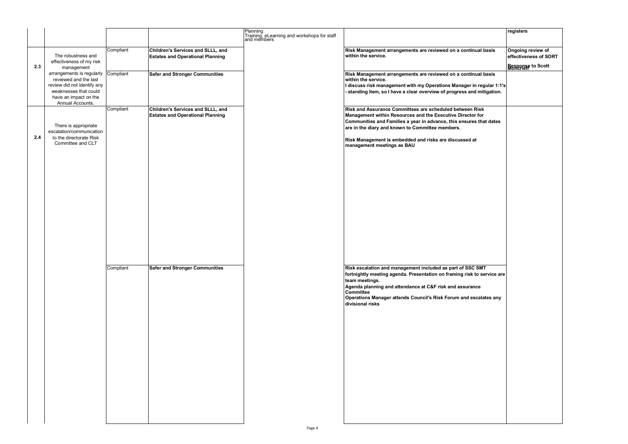|     |                                                                                                                                                                   |           |                                                                              | Planning<br>Training, eLearning and workshops for staff<br>and members |                                                                                                                                                                                                                                                                                                                                  | registers                                  |
|-----|-------------------------------------------------------------------------------------------------------------------------------------------------------------------|-----------|------------------------------------------------------------------------------|------------------------------------------------------------------------|----------------------------------------------------------------------------------------------------------------------------------------------------------------------------------------------------------------------------------------------------------------------------------------------------------------------------------|--------------------------------------------|
|     | The robustness and<br>effectiveness of my risk                                                                                                                    | Compliant | Children's Services and SLLL, and<br><b>Estates and Operational Planning</b> |                                                                        | Risk Management arrangements are reviewed on a continual basis<br>within the service.                                                                                                                                                                                                                                            | Ongoing review of<br>effectiveness of SORT |
| 2.3 | management                                                                                                                                                        |           |                                                                              |                                                                        |                                                                                                                                                                                                                                                                                                                                  | Response to Scott                          |
|     | arrangements is regularly Compliant<br>reviewed and the last<br>review did not identify any<br>weaknesses that could<br>have an impact on the<br>Annual Accounts. |           | <b>Safer and Stronger Communities</b>                                        |                                                                        | Risk Management arrangements are reviewed on a continual basis<br>within the service.<br>I discuss risk management with my Operations Manager in regular 1:1's<br>standing item, so I have a clear overview of progress and mitigation.                                                                                          |                                            |
| 2.4 | There is appropriate<br>escalation/communication<br>to the directorate Risk<br>Committee and CLT                                                                  | Compliant | Children's Services and SLLL, and<br><b>Estates and Operational Planning</b> |                                                                        | Risk and Assurance Committees are scheduled between Risk<br>Management within Resources and the Executive Director for<br>Communities and Families a year in advance, this ensures that dates<br>are in the diary and known to Committee members.<br>Risk Management is embedded and risks are discussed at                      |                                            |
|     |                                                                                                                                                                   |           |                                                                              |                                                                        | management meetings as BAU                                                                                                                                                                                                                                                                                                       |                                            |
|     |                                                                                                                                                                   |           |                                                                              |                                                                        |                                                                                                                                                                                                                                                                                                                                  |                                            |
|     |                                                                                                                                                                   | Compliant | <b>Safer and Stronger Communities</b>                                        |                                                                        | Risk escalation and management included as part of SSC SMT<br>fortnightly meeting agenda. Presentation on framing risk to service are<br>team meetings.<br>Agenda planning and attendance at C&F risk and assurance<br><b>Committee</b><br>Operations Manager attends Council's Risk Forum and escalates any<br>divisional risks |                                            |
|     |                                                                                                                                                                   |           |                                                                              | Page 4                                                                 |                                                                                                                                                                                                                                                                                                                                  |                                            |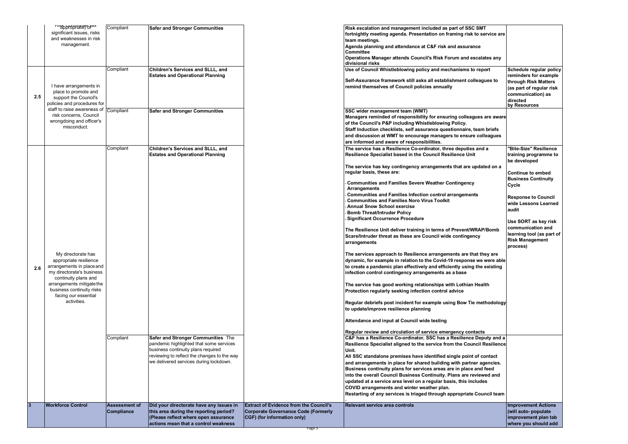|                 | List And Altitudes<br>significant issues, risks<br>and weaknesses in risk<br>management.               | Compliant                                 | <b>Safer and Stronger Communities</b>                                                                                                                             |                                                                                                                     | Risk escalation and management included as part of SSC SMT<br>fortnightly meeting agenda. Presentation on framing risk to service are<br>team meetings.<br>Agenda planning and attendance at C&F risk and assurance<br>Committee<br>Operations Manager attends Council's Risk Forum and escalates any<br>divisional risks                                     |                                                                                                                                                               |
|-----------------|--------------------------------------------------------------------------------------------------------|-------------------------------------------|-------------------------------------------------------------------------------------------------------------------------------------------------------------------|---------------------------------------------------------------------------------------------------------------------|---------------------------------------------------------------------------------------------------------------------------------------------------------------------------------------------------------------------------------------------------------------------------------------------------------------------------------------------------------------|---------------------------------------------------------------------------------------------------------------------------------------------------------------|
| 2.5             | I have arrangements in<br>place to promote and<br>support the Council's<br>policies and procedures for | Compliant                                 | Children's Services and SLLL, and<br><b>Estates and Operational Planning</b>                                                                                      |                                                                                                                     | Use of Council Whistleblowing policy and mechanisms to report<br>Self-Assurance framework still asks all establishment colleagues to<br>remind themselves of Council policies annually                                                                                                                                                                        | Schedule regular policy<br>reminders for example<br>through Risk Matters<br>$\vert$ (as part of regular risk<br>communication) as<br>directed<br>by Resources |
|                 | staff to raise awareness of<br>risk concerns, Council<br>wrongdoing and officer's<br>misconduct.       | Compliant                                 | <b>Safer and Stronger Communities</b>                                                                                                                             |                                                                                                                     | SSC wider management team (WMT)<br>Managers reminded of responsibility for ensuring colleagues are aware<br>of the Council's P&P including Whistleblowing Policy.<br>Staff Induction checklists, self assurance questionnaire, team briefs<br>and discussion at WMT to encourage managers to ensure colleagues<br>are informed and aware of responsibilities. |                                                                                                                                                               |
|                 |                                                                                                        | Compliant                                 | Children's Services and SLLL, and<br><b>Estates and Operational Planning</b>                                                                                      |                                                                                                                     | The service has a Resilience Co-ordinator, three deputies and a<br>Resilience Specialist based in the Council Resilience Unit                                                                                                                                                                                                                                 | "Bite-Size" Resilience<br>training programme to<br>be developed                                                                                               |
|                 |                                                                                                        |                                           |                                                                                                                                                                   |                                                                                                                     | The service has key contingency arrangements that are updated on a<br>regular basis, these are:                                                                                                                                                                                                                                                               | Continue to embed<br><b>Business Continuity</b>                                                                                                               |
|                 |                                                                                                        |                                           |                                                                                                                                                                   |                                                                                                                     | <b>Communities and Families Severe Weather Contingency</b><br><b>Arrangements</b><br><b>Communities and Families Infection control arrangements</b>                                                                                                                                                                                                           | Cycle                                                                                                                                                         |
|                 |                                                                                                        |                                           |                                                                                                                                                                   |                                                                                                                     | <b>Communities and Families Noro Virus Toolkit</b><br><b>Annual Snow School exercise</b><br><b>Bomb Threat/Intruder Policy</b>                                                                                                                                                                                                                                | <b>Response to Council</b><br><b>wide Lessons Learned</b><br>audit                                                                                            |
|                 |                                                                                                        |                                           |                                                                                                                                                                   |                                                                                                                     | <b>Significant Occurrence Procedure</b>                                                                                                                                                                                                                                                                                                                       | Use SORT as key risk                                                                                                                                          |
|                 |                                                                                                        |                                           |                                                                                                                                                                   |                                                                                                                     | The Resilience Unit deliver training in terms of Prevent/WRAP/Bomb<br>Scare/Intruder threat as these are Council wide contingency<br>arrangements                                                                                                                                                                                                             | communication and<br>learning tool (as part of<br><b>Risk Management</b><br>process)                                                                          |
|                 | My directorate has<br>appropriate resilience<br>arrangements in place and                              |                                           |                                                                                                                                                                   |                                                                                                                     | The services approach to Resilience arrangements are that they are<br>dynamic, for example in relation to the Covid-19 response we were able<br>to create a pandemic plan effectively and efficiently using the existing                                                                                                                                      |                                                                                                                                                               |
| 2.6             | my directorate's business<br>continuity plans and                                                      |                                           |                                                                                                                                                                   |                                                                                                                     | infection control contingency arrangements as a base                                                                                                                                                                                                                                                                                                          |                                                                                                                                                               |
|                 | arrangements mitigate the<br>business continuity risks<br>facing our essential                         |                                           |                                                                                                                                                                   |                                                                                                                     | The service has good working relationships with Lothian Health<br>Protection regularly seeking infection control advice                                                                                                                                                                                                                                       |                                                                                                                                                               |
|                 | activities.                                                                                            |                                           |                                                                                                                                                                   |                                                                                                                     | Regular debriefs post incident for example using Bow Tie methodology<br>to update/improve resilience planning                                                                                                                                                                                                                                                 |                                                                                                                                                               |
|                 |                                                                                                        |                                           |                                                                                                                                                                   |                                                                                                                     | Attendance and input at Council wide testing                                                                                                                                                                                                                                                                                                                  |                                                                                                                                                               |
|                 |                                                                                                        | Compliant                                 | Safer and Stronger Communities The<br>pandemic highlighted that some services                                                                                     |                                                                                                                     | Regular review and circulation of service emergency contacts<br>C&F has a Resilience Co-ordinator, SSC has a Resilience Deputy and a<br>Resilience Specialist aligned to the service from the Council Resilience                                                                                                                                              |                                                                                                                                                               |
|                 |                                                                                                        |                                           | business continuity plans required<br>reviewing to reflect the changes to the way                                                                                 |                                                                                                                     | Unit.<br>All SSC standalone premises have identified single point of contact                                                                                                                                                                                                                                                                                  |                                                                                                                                                               |
|                 |                                                                                                        |                                           | we delivered services during lockdown.                                                                                                                            |                                                                                                                     | and arrangements in place for shared building with partner agencies.<br>Business continuity plans for services areas are in place and feed                                                                                                                                                                                                                    |                                                                                                                                                               |
|                 |                                                                                                        |                                           |                                                                                                                                                                   |                                                                                                                     | into the overall Council Business Continuity. Plans are reviewed and                                                                                                                                                                                                                                                                                          |                                                                                                                                                               |
|                 |                                                                                                        |                                           |                                                                                                                                                                   |                                                                                                                     | updated at a service area level on a regular basis, this includes<br>COVID arrangements and winter weather plan.<br>Restarting of any services is triaged through appropriate Council team                                                                                                                                                                    |                                                                                                                                                               |
| $\vert 3 \vert$ | <b>Workforce Control</b>                                                                               | <b>Assessment of</b><br><b>Compliance</b> | Did your directorate have any issues in<br>this area during the reporting period?<br>(Please reflect where open assurance<br>actions mean that a control weakness | <b>Extract of Evidence from the Council's</b><br>Corporate Governance Code (Formerly<br>CGF) (for information only) | <b>Relevant service area controls</b>                                                                                                                                                                                                                                                                                                                         | <b>Improvement Actions</b><br>(will auto- populate<br>improvement plan tab<br>where you should add                                                            |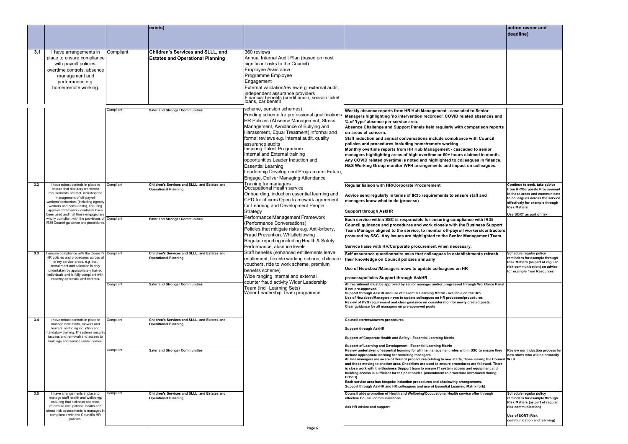|     |                                                                                                                                                                                                                                                                                                       |           | exists)                                                                      |                                                                                                                                                                                                                                                                                                                                                                                                                                                                                                       |                                                                                                                                                                                                                                                                                                                                                                                                                                                                                                                                                                                                                                                                                                                                                          | action owner and<br>deadline)                                                                                                                                                                                              |
|-----|-------------------------------------------------------------------------------------------------------------------------------------------------------------------------------------------------------------------------------------------------------------------------------------------------------|-----------|------------------------------------------------------------------------------|-------------------------------------------------------------------------------------------------------------------------------------------------------------------------------------------------------------------------------------------------------------------------------------------------------------------------------------------------------------------------------------------------------------------------------------------------------------------------------------------------------|----------------------------------------------------------------------------------------------------------------------------------------------------------------------------------------------------------------------------------------------------------------------------------------------------------------------------------------------------------------------------------------------------------------------------------------------------------------------------------------------------------------------------------------------------------------------------------------------------------------------------------------------------------------------------------------------------------------------------------------------------------|----------------------------------------------------------------------------------------------------------------------------------------------------------------------------------------------------------------------------|
|     |                                                                                                                                                                                                                                                                                                       |           |                                                                              |                                                                                                                                                                                                                                                                                                                                                                                                                                                                                                       |                                                                                                                                                                                                                                                                                                                                                                                                                                                                                                                                                                                                                                                                                                                                                          |                                                                                                                                                                                                                            |
| 3.1 | I have arrangements in<br>place to ensure compliance<br>with payroll policies,<br>overtime controls, absence<br>management and<br>performance e.g.<br>home/remote working.                                                                                                                            | Compliant | Children's Services and SLLL, and<br><b>Estates and Operational Planning</b> | 360 reviews<br>Annual Internal Audit Plan (based on most<br>significant risks to the Council)<br><b>Employee Assistance</b><br>Programme Employee<br>Engagement<br>External validation/review e.g. external audit,<br>independent assurance providers<br>Financial benefits (credit union, season ticket<br>loans, car benefit                                                                                                                                                                        |                                                                                                                                                                                                                                                                                                                                                                                                                                                                                                                                                                                                                                                                                                                                                          |                                                                                                                                                                                                                            |
|     |                                                                                                                                                                                                                                                                                                       | Compliant | <b>Safer and Stronger Communities</b>                                        | scheme, pension schemes)<br>Funding scheme for professional qualifications<br>HR Policies (Absence Management, Stress<br>Management, Avoidance of Bullying and<br>Harassment, Equal Treatment) Informal and<br>formal reviews e.g. internal audit, quality<br>assurance audits<br>Inspiring Talent Programme<br>Internal and External training<br>opportunities Leader Induction and<br><b>Essential Learning</b><br>Leadership Development Programme- Future,<br>Engage, Deliver Managing Attendance | Weekly absence reports from HR Hub Management - cascaded to Senior<br>Managers highlighting 'no intervention recorded', COVID related absences and<br>% of 'type' absence per service area.<br>Absence Challenge and Support Panels held regularly with comparison reports<br>on areas of concern.<br>Staff induction and annual conversations include compliance with Council<br>policies and procedures including home/remote working.<br>Monthly overtime reports from HR Hub Management - cascaded to senior<br>managers highlighting areas of high overtime or 50+ hours claimed in month.<br>Any COVID related overtime is noted and highlighted to colleagues in finance.<br>H&S Working Group monitor WFH arrangements and impact on colleagues. |                                                                                                                                                                                                                            |
| 3.2 | I have robust controls in place to<br>ensure that statutory workforce<br>requirements are met, including the<br>management of off-payroll<br>workers/contractors (including agency<br>workers and consultants), ensuring<br>approved framework contracts have<br>been used and that those engaged are | Compliant | Children's Services and SLLL, and Estates and<br><b>Operational Planning</b> | Training for managers<br>Occupational Health service<br>Onboarding, induction essential learning and<br>CPD for officers Open framework agreement<br>for Learning and Development People<br>Strategy                                                                                                                                                                                                                                                                                                  | Regular liaison with HR/Corporate Procurement<br>Advice send regularly in terms of IR35 requirements to ensure staff and<br>managers know what to do (process)<br><b>Support through AskHR</b>                                                                                                                                                                                                                                                                                                                                                                                                                                                                                                                                                           | Continue to seek, take advice<br>from HR/Corporate Procurement<br>in these areas and communicate<br>to colleagues across the service<br>effectively for example through<br><b>Risk Matters</b><br>Use SORT as part of risk |
|     | wholly compliant with the provisions of Compliant<br>IR35 Council guidance and procedures.                                                                                                                                                                                                            |           | <b>Safer and Stronger Communities</b>                                        | Performance Management Framework<br>(Performance Conversations)<br>Policies that mitigate risks e.g. Anti-bribery,<br>Fraud Prevention, Whistleblowing<br>Regular reporting including Health & Safety<br>Performance, absence levels                                                                                                                                                                                                                                                                  | Each service within SSC is responsible for ensuring compliance with IR35<br>Council guidance and procedures and work closely with the Business Support<br>Team Manager aligned to the service, to monitor off-payroll workers/contractors<br>procured by SSC. Any issues are highlighted to the Senior Management Team.<br>Service liaise with HR/Corporate procurement when necessary.                                                                                                                                                                                                                                                                                                                                                                  |                                                                                                                                                                                                                            |
| 3.3 | I ensure compliance with the Council's Compliant<br>HR policies and procedures across all<br>of my service areas, e.g. that<br>recruitment and selection is only<br>undertaken by appropriately trained<br>individuals and is fully compliant with<br>vacancy approvals and controls.                 |           | Children's Services and SLLL, and Estates and<br><b>Operational Planning</b> | Staff benefits (enhanced entitlements leave<br>entitlement, flexible working options, childcare<br>vouchers, ride to work scheme, premium<br>benefits scheme)<br>Wide ranging internal and external                                                                                                                                                                                                                                                                                                   | Self assurance questionnaire asks that colleagues in establishments refresh<br>their knowledge on Council policies annually<br>Use of Newsbeat/Managers news to update colleagues on HR<br>process/policies Support through AskHR                                                                                                                                                                                                                                                                                                                                                                                                                                                                                                                        | Schedule regular policy<br>reminders for example through<br>Risk Matters (as part of regular<br>risk communication) on advice<br>for example from Resources                                                                |
|     |                                                                                                                                                                                                                                                                                                       | Compliant | <b>Safer and Stronger Communities</b>                                        | counter fraud activity Wider Leadership<br>Team (incl. Learning Sets)<br> Wider Leadership Team programme                                                                                                                                                                                                                                                                                                                                                                                             | All recruitment must be approved by senior manager and/or progressed through Workforce Panel<br>if not pre-approved.<br>Support through AskHR and use of Essential Learning Matrix - available on the Orb<br>Use of Newsbeat/Managers news to update colleagues on HR processes/procedures<br>Review of PVG requirement and clear guidance on consideration for newly created posts.<br>Clear guidance for all managers on pre-approved posts                                                                                                                                                                                                                                                                                                            |                                                                                                                                                                                                                            |
| 3.4 | I have robust controls in place to<br>manage new starts, movers and<br>leavers, including induction and<br>mandatory training, IT systems security<br>(access and removal) and access to<br>buildings and service users' homes.                                                                       | Compliant | Children's Services and SLLL, and Estates and<br><b>Operational Planning</b> |                                                                                                                                                                                                                                                                                                                                                                                                                                                                                                       | Council starters/leavers procedures<br><b>Support through AskHR</b><br>Support of Corporate Health and Safety - Essential Learning Matrix<br>Support of Learning and Development - Essential Learning Matrix                                                                                                                                                                                                                                                                                                                                                                                                                                                                                                                                             |                                                                                                                                                                                                                            |
|     |                                                                                                                                                                                                                                                                                                       | Compliant | <b>Safer and Stronger Communities</b>                                        |                                                                                                                                                                                                                                                                                                                                                                                                                                                                                                       | Review undertaken of essential learning for all line management roles within SSC to ensure they<br>include appropriate learning for recruiting managers.<br>All line managers are aware of Council procedures relating to new starts, those leaving the Council WFH<br>and those moving to another area. Checklists are used to ensure procedures are followed. There<br>is close work with the Business Support team to ensure IT system access and equipment and<br>building access is sufficient for the post holder. (amendment to procedure introduced during<br>COVID)<br>Each service area has bespoke induction procedures and shadowing arrangements.<br>Support through AskHR and HR colleagues and use of Essential Learning Matrix (orb)     | Review our induction process for<br>new starts who will be primarily                                                                                                                                                       |
| 3.5 | I have arrangements in place to<br>manage staff health and wellbeing;<br>ensuring that sickness absence,<br>referral to occupational health and<br>stress risk assessments is managed in<br>compliance with the Council's HR                                                                          | Compliant | Children's Services and SLLL, and Estates and<br><b>Operational Planning</b> |                                                                                                                                                                                                                                                                                                                                                                                                                                                                                                       | Council wide promotion of Health and Wellbeing/Occupational Health service offer through<br>effective Council communications<br>Ask HR advice and support                                                                                                                                                                                                                                                                                                                                                                                                                                                                                                                                                                                                | Schedule regular policy<br>reminders for example through<br>Risk Matters (as part of regular<br>risk communication)                                                                                                        |
|     | policies.                                                                                                                                                                                                                                                                                             |           |                                                                              | Page 6                                                                                                                                                                                                                                                                                                                                                                                                                                                                                                |                                                                                                                                                                                                                                                                                                                                                                                                                                                                                                                                                                                                                                                                                                                                                          | Use of SORT (Risk<br>communication and learning)                                                                                                                                                                           |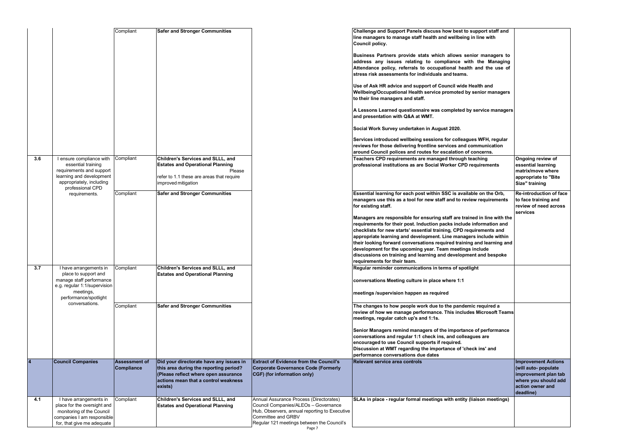|     |                                                                                                                                                        | Compliant                                 | <b>Safer and Stronger Communities</b>                                                                                                                                        |                                                                                                                                                                                                                | Challenge and Support Panels discuss how best to support staff and<br>line managers to manage staff health and wellbeing in line with<br>Council policy.                                                                                                                                                                                                                                                                                                                                                                                |                                                                                                                                     |
|-----|--------------------------------------------------------------------------------------------------------------------------------------------------------|-------------------------------------------|------------------------------------------------------------------------------------------------------------------------------------------------------------------------------|----------------------------------------------------------------------------------------------------------------------------------------------------------------------------------------------------------------|-----------------------------------------------------------------------------------------------------------------------------------------------------------------------------------------------------------------------------------------------------------------------------------------------------------------------------------------------------------------------------------------------------------------------------------------------------------------------------------------------------------------------------------------|-------------------------------------------------------------------------------------------------------------------------------------|
|     |                                                                                                                                                        |                                           |                                                                                                                                                                              |                                                                                                                                                                                                                | Business Partners provide stats which allows senior managers to<br>address any issues relating to compliance with the Managing<br>Attendance policy, referrals to occupational health and the use of<br>stress risk assessments for individuals and teams.                                                                                                                                                                                                                                                                              |                                                                                                                                     |
|     |                                                                                                                                                        |                                           |                                                                                                                                                                              |                                                                                                                                                                                                                | Use of Ask HR advice and support of Council wide Health and<br>Wellbeing/Occupational Health service promoted by senior managers<br>to their line managers and staff.                                                                                                                                                                                                                                                                                                                                                                   |                                                                                                                                     |
|     |                                                                                                                                                        |                                           |                                                                                                                                                                              |                                                                                                                                                                                                                | A Lessons Learned questionnaire was completed by service managers<br>and presentation with Q&A at WMT.                                                                                                                                                                                                                                                                                                                                                                                                                                  |                                                                                                                                     |
|     |                                                                                                                                                        |                                           |                                                                                                                                                                              |                                                                                                                                                                                                                | Social Work Survey undertaken in August 2020.                                                                                                                                                                                                                                                                                                                                                                                                                                                                                           |                                                                                                                                     |
|     |                                                                                                                                                        |                                           |                                                                                                                                                                              |                                                                                                                                                                                                                | Services introduced wellbeing sessions for colleagues WFH, regular<br>reviews for those delivering frontline services and communication<br>around Council polices and routes for escalation of concerns.                                                                                                                                                                                                                                                                                                                                |                                                                                                                                     |
| 3.6 | I ensure compliance with<br>essential training<br>requirements and support<br>learning and development<br>appropriately, including<br>professional CPD | Compliant                                 | Children's Services and SLLL, and<br><b>Estates and Operational Planning</b><br>Please<br>refer to 1.1 these are areas that require<br>improved mitigation                   |                                                                                                                                                                                                                | Teachers CPD requirements are managed through teaching<br>professional institutions as are Social Worker CPD requirements                                                                                                                                                                                                                                                                                                                                                                                                               | Ongoing review of<br>essential learning<br>matrix/move where<br>appropriate to "Bite<br>Size" training                              |
|     | requirements.                                                                                                                                          | Compliant                                 | <b>Safer and Stronger Communities</b>                                                                                                                                        |                                                                                                                                                                                                                | Essential learning for each post within SSC is available on the Orb,<br>managers use this as a tool for new staff and to review requirements<br>for existing staff.                                                                                                                                                                                                                                                                                                                                                                     | <b>Re-introduction of fac</b><br>to face training and<br>review of need across<br>services                                          |
|     |                                                                                                                                                        |                                           |                                                                                                                                                                              |                                                                                                                                                                                                                | Managers are responsible for ensuring staff are trained in line with the<br>requirements for their post. Induction packs include information and<br>checklists for new starts' essential training, CPD requirements and<br>appropriate learning and development. Line managers include within<br>their looking forward conversations required training and learning and<br>development for the upcoming year. Team meetings include<br>discussions on training and learning and development and bespoke<br>requirements for their team. |                                                                                                                                     |
| 3.7 | I have arrangements in<br>place to support and<br>manage staff performance<br>e.g. regular 1:1/supervision<br>meetings,                                | Compliant                                 | Children's Services and SLLL, and<br><b>Estates and Operational Planning</b>                                                                                                 |                                                                                                                                                                                                                | Regular reminder communications in terms of spotlight<br>conversations Meeting culture in place where 1:1                                                                                                                                                                                                                                                                                                                                                                                                                               |                                                                                                                                     |
|     | performance/spotlight<br>conversations.                                                                                                                |                                           |                                                                                                                                                                              |                                                                                                                                                                                                                | meetings /supervision happen as required                                                                                                                                                                                                                                                                                                                                                                                                                                                                                                |                                                                                                                                     |
|     |                                                                                                                                                        | Compliant                                 | <b>Safer and Stronger Communities</b>                                                                                                                                        |                                                                                                                                                                                                                | The changes to how people work due to the pandemic required a<br>review of how we manage performance. This includes Microsoft Teams<br>meetings, regular catch up's and 1:1s.                                                                                                                                                                                                                                                                                                                                                           |                                                                                                                                     |
|     |                                                                                                                                                        |                                           |                                                                                                                                                                              |                                                                                                                                                                                                                | Senior Managers remind managers of the importance of performance<br>conversations and regular 1:1 check ins, and colleagues are<br>encouraged to use Council supports if required.<br>Discussion at WMT regarding the importance of 'check ins' and<br>performance conversations due dates                                                                                                                                                                                                                                              |                                                                                                                                     |
|     | <b>Council Companies</b>                                                                                                                               | <b>Assessment of</b><br><b>Compliance</b> | Did your directorate have any issues in<br>this area during the reporting period?<br>(Please reflect where open assurance<br>actions mean that a control weakness<br>exists) | <b>Extract of Evidence from the Council's</b><br><b>Corporate Governance Code (Formerly</b><br>CGF) (for information only)                                                                                     | <b>Relevant service area controls</b>                                                                                                                                                                                                                                                                                                                                                                                                                                                                                                   | <b>Improvement Actions</b><br>(will auto- populate<br>improvement plan tab<br>where you should add<br>action owner and<br>deadline) |
| 4.1 | I have arrangements in<br>place for the oversight and<br>monitoring of the Council<br>companies I am responsible<br>for, that give me adequate         | Compliant                                 | Children's Services and SLLL, and<br><b>Estates and Operational Planning</b>                                                                                                 | Annual Assurance Process (Directorates)<br>Council Companies/ALEOs - Governance<br>Hub, Observers, annual reporting to Executive<br>Committee and GRBV<br>Regular 121 meetings between the Council's<br>Page 7 | SLAs in place - regular formal meetings with entity (liaison meetings)                                                                                                                                                                                                                                                                                                                                                                                                                                                                  |                                                                                                                                     |
|     |                                                                                                                                                        |                                           |                                                                                                                                                                              |                                                                                                                                                                                                                |                                                                                                                                                                                                                                                                                                                                                                                                                                                                                                                                         |                                                                                                                                     |

| <b>ipport staff and</b><br>Iine with                                                                                    |                                                                                                                                     |
|-------------------------------------------------------------------------------------------------------------------------|-------------------------------------------------------------------------------------------------------------------------------------|
| or managers to<br>the Managing<br>and the use of                                                                        |                                                                                                                                     |
| alth and<br>enior managers                                                                                              |                                                                                                                                     |
| service managers                                                                                                        |                                                                                                                                     |
| s WFH, regular<br>mmunication<br>oncerns.                                                                               |                                                                                                                                     |
| <b>ching</b><br>quirements                                                                                              | Ongoing review of<br>essential learning<br>matrix/move where<br>appropriate to "Bite<br>Size" training                              |
| le on the Orb,<br>w requirements                                                                                        | <b>Re-introduction of face</b><br>to face training and<br>review of need across<br>services                                         |
| d in line with the<br>nformation and<br>irements and<br>s include within<br>and learning and<br>nclude<br>t and bespoke |                                                                                                                                     |
| ht                                                                                                                      |                                                                                                                                     |
| c required a<br><b>Microsoft Teams</b>                                                                                  |                                                                                                                                     |
| of performance<br>ies are                                                                                               |                                                                                                                                     |
| k ins' and                                                                                                              |                                                                                                                                     |
|                                                                                                                         | <b>Improvement Actions</b><br>(will auto- populate<br>improvement plan tab<br>where you should add<br>action owner and<br>deadline) |
| aison meetings)                                                                                                         |                                                                                                                                     |
|                                                                                                                         |                                                                                                                                     |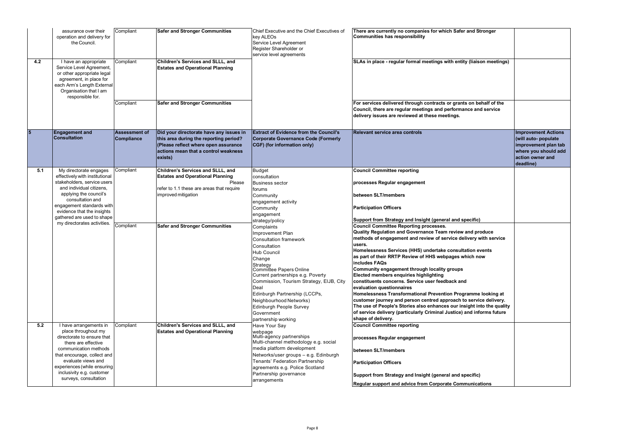|     | assurance over their<br>operation and delivery for<br>the Council.                                                                                                                     | Compliant                          | <b>Safer and Stronger Communities</b>                                                                                                                                        | Chief Executive and the Chief Executives of<br>key ALEOs<br>Service Level Agreement<br>Register Shareholder or<br>service level agreements | There are currently no companies for which Safer and Stronger<br><b>Communities has responsibility</b>                                                                                    |                                                                                                                                    |
|-----|----------------------------------------------------------------------------------------------------------------------------------------------------------------------------------------|------------------------------------|------------------------------------------------------------------------------------------------------------------------------------------------------------------------------|--------------------------------------------------------------------------------------------------------------------------------------------|-------------------------------------------------------------------------------------------------------------------------------------------------------------------------------------------|------------------------------------------------------------------------------------------------------------------------------------|
| 4.2 | I have an appropriate<br>Service Level Agreement,<br>or other appropriate legal<br>agreement, in place for<br>each Arm's Length External<br>Organisation that I am<br>responsible for. | Compliant                          | Children's Services and SLLL, and<br><b>Estates and Operational Planning</b>                                                                                                 |                                                                                                                                            | SLAs in place - regular formal meetings with entity (liaison meetings)                                                                                                                    |                                                                                                                                    |
|     |                                                                                                                                                                                        | Compliant                          | <b>Safer and Stronger Communities</b>                                                                                                                                        |                                                                                                                                            | For services delivered through contracts or grants on behalf of the<br>Council, there are regular meetings and performance and service<br>delivery issues are reviewed at these meetings. |                                                                                                                                    |
| 5   | <b>Engagement and</b><br><b>Consultation</b>                                                                                                                                           | <b>Assessment of</b><br>Compliance | Did your directorate have any issues in<br>this area during the reporting period?<br>(Please reflect where open assurance<br>actions mean that a control weakness<br>exists) | <b>Extract of Evidence from the Council's</b><br>Corporate Governance Code (Formerly<br>CGF) (for information only)                        | <b>Relevant service area controls</b>                                                                                                                                                     | <b>Improvement Actions</b><br>(will auto-populate<br>improvement plan tab<br>where you should add<br>action owner and<br>deadline) |
| 5.1 | My directorate engages<br>effectively with institutional                                                                                                                               | Compliant                          | Children's Services and SLLL, and<br><b>Estates and Operational Planning</b>                                                                                                 | <b>Budget</b><br>consultation                                                                                                              | <b>Council Committee reporting</b>                                                                                                                                                        |                                                                                                                                    |
|     | stakeholders, service users                                                                                                                                                            |                                    | Please                                                                                                                                                                       | <b>Business sector</b>                                                                                                                     | processes Regular engagement                                                                                                                                                              |                                                                                                                                    |
|     | and individual citizens,<br>applying the council's                                                                                                                                     |                                    | refer to 1.1 these are areas that require<br>improved mitigation                                                                                                             | forums                                                                                                                                     | between SLT/members                                                                                                                                                                       |                                                                                                                                    |
|     | consultation and                                                                                                                                                                       |                                    |                                                                                                                                                                              | Community<br>engagement activity                                                                                                           |                                                                                                                                                                                           |                                                                                                                                    |
|     | engagement standards with                                                                                                                                                              |                                    |                                                                                                                                                                              | Community                                                                                                                                  | <b>Participation Officers</b>                                                                                                                                                             |                                                                                                                                    |
|     | evidence that the insights<br>gathered are used to shape                                                                                                                               |                                    |                                                                                                                                                                              | engagement                                                                                                                                 |                                                                                                                                                                                           |                                                                                                                                    |
|     | my directorates activities.                                                                                                                                                            |                                    |                                                                                                                                                                              | strategy/policy                                                                                                                            | Support from Strategy and Insight (general and specific)                                                                                                                                  |                                                                                                                                    |
|     |                                                                                                                                                                                        | Compliant                          | <b>Safer and Stronger Communities</b>                                                                                                                                        | Complaints                                                                                                                                 | <b>Council Committee Reporting processes.</b><br>Quality Regulation and Governance Team review and produce                                                                                |                                                                                                                                    |
|     |                                                                                                                                                                                        |                                    |                                                                                                                                                                              | Improvement Plan<br>Consultation framework                                                                                                 | methods of engagement and review of service delivery with service                                                                                                                         |                                                                                                                                    |
|     |                                                                                                                                                                                        |                                    |                                                                                                                                                                              | Consultation                                                                                                                               | users.                                                                                                                                                                                    |                                                                                                                                    |
|     |                                                                                                                                                                                        |                                    |                                                                                                                                                                              | Hub Council                                                                                                                                | Homelessness Services (HHS) undertake consultation events                                                                                                                                 |                                                                                                                                    |
|     |                                                                                                                                                                                        |                                    |                                                                                                                                                                              | Change                                                                                                                                     | as part of their RRTP Review of HHS webpages which now                                                                                                                                    |                                                                                                                                    |
|     |                                                                                                                                                                                        |                                    |                                                                                                                                                                              | Strategy<br>Committee Papers Online                                                                                                        | includes FAQs<br>Community engagement through locality groups                                                                                                                             |                                                                                                                                    |
|     |                                                                                                                                                                                        |                                    |                                                                                                                                                                              | Current partnerships e.g. Poverty                                                                                                          | <b>Elected members enquiries highlighting</b>                                                                                                                                             |                                                                                                                                    |
|     |                                                                                                                                                                                        |                                    |                                                                                                                                                                              | Commission, Tourism Strategy, EIJB, City                                                                                                   | constituents concerns. Service user feedback and                                                                                                                                          |                                                                                                                                    |
|     |                                                                                                                                                                                        |                                    |                                                                                                                                                                              | Deal                                                                                                                                       | evaluation questionnaires                                                                                                                                                                 |                                                                                                                                    |
|     |                                                                                                                                                                                        |                                    |                                                                                                                                                                              | Edinburgh Partnership (LCCPs,                                                                                                              | Homelessness Transformational Prevention Programme looking at                                                                                                                             |                                                                                                                                    |
|     |                                                                                                                                                                                        |                                    |                                                                                                                                                                              | Neighbourhood Networks)<br>Edinburgh People Survey                                                                                         | customer journey and person centred approach to service delivery.<br>The use of People's Stories also enhances our insight into the quality                                               |                                                                                                                                    |
|     |                                                                                                                                                                                        |                                    |                                                                                                                                                                              | Government                                                                                                                                 | of service delivery (particularly Criminal Justice) and informs future                                                                                                                    |                                                                                                                                    |
|     |                                                                                                                                                                                        |                                    |                                                                                                                                                                              | partnership working                                                                                                                        | shape of delivery.                                                                                                                                                                        |                                                                                                                                    |
| 5.2 | I have arrangements in                                                                                                                                                                 | Compliant                          | Children's Services and SLLL, and                                                                                                                                            | Have Your Say                                                                                                                              | <b>Council Committee reporting</b>                                                                                                                                                        |                                                                                                                                    |
|     | place throughout my<br>directorate to ensure that<br>there are effective                                                                                                               |                                    | <b>Estates and Operational Planning</b>                                                                                                                                      | webpage<br>Multi-agency partnerships<br>Multi-channel methodology e.g. social                                                              | processes Regular engagement                                                                                                                                                              |                                                                                                                                    |
|     | communication methods                                                                                                                                                                  |                                    |                                                                                                                                                                              | media platform development                                                                                                                 | between SLT/members                                                                                                                                                                       |                                                                                                                                    |
|     | that encourage, collect and                                                                                                                                                            |                                    |                                                                                                                                                                              | Networks/user groups - e.g. Edinburgh                                                                                                      |                                                                                                                                                                                           |                                                                                                                                    |
|     | evaluate views and<br>experiences (while ensuring                                                                                                                                      |                                    |                                                                                                                                                                              | Tenants' Federation Partnership                                                                                                            | <b>Participation Officers</b>                                                                                                                                                             |                                                                                                                                    |
|     | inclusivity e.g. customer                                                                                                                                                              |                                    |                                                                                                                                                                              | agreements e.g. Police Scotland<br>Partnership governance                                                                                  |                                                                                                                                                                                           |                                                                                                                                    |
|     | surveys, consultation                                                                                                                                                                  |                                    |                                                                                                                                                                              | arrangements                                                                                                                               | Support from Strategy and Insight (general and specific)                                                                                                                                  |                                                                                                                                    |
|     |                                                                                                                                                                                        |                                    |                                                                                                                                                                              |                                                                                                                                            | <b>Regular support and advice from Corporate Communications</b>                                                                                                                           |                                                                                                                                    |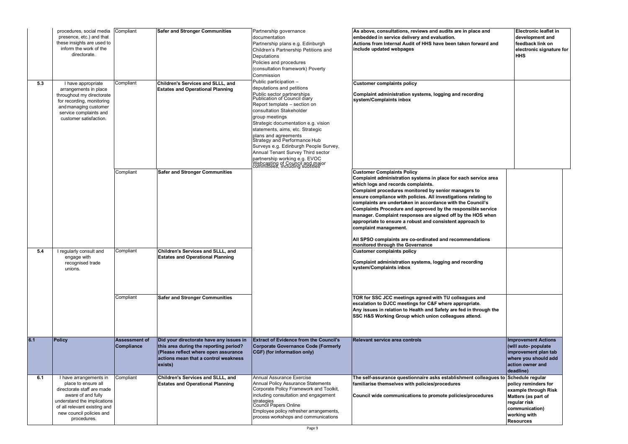|     | procedures, social media Compliant<br>presence, etc.) and that<br>these insights are used to<br>inform the work of the<br>directorate.                                                                      |                                           | <b>Safer and Stronger Communities</b>                                                                                                                                        | Partnership governance<br>documentation<br>Partnership plans e.g. Edinburgh<br>Children's Partnership Petitions and<br>Deputations<br>Policies and procedures<br>(consultation framework) Poverty<br>Commission                                                                                                                                                                                                                                                                                                          | As above, consultations, reviews and audits are in place and<br>embedded in service delivery and evaluation.<br>Actions from Internal Audit of HHS have been taken forward and<br>include updated webpages                                                                                                                                                                                                                                                                                                                                                                                                                                               | <b>Electronic leaflet in</b><br>development and<br>feedback link on<br>electronic signature for<br><b>HHS</b>                             |
|-----|-------------------------------------------------------------------------------------------------------------------------------------------------------------------------------------------------------------|-------------------------------------------|------------------------------------------------------------------------------------------------------------------------------------------------------------------------------|--------------------------------------------------------------------------------------------------------------------------------------------------------------------------------------------------------------------------------------------------------------------------------------------------------------------------------------------------------------------------------------------------------------------------------------------------------------------------------------------------------------------------|----------------------------------------------------------------------------------------------------------------------------------------------------------------------------------------------------------------------------------------------------------------------------------------------------------------------------------------------------------------------------------------------------------------------------------------------------------------------------------------------------------------------------------------------------------------------------------------------------------------------------------------------------------|-------------------------------------------------------------------------------------------------------------------------------------------|
| 5.3 | I have appropriate<br>arrangements in place<br>throughout my directorate<br>for recording, monitoring<br>and managing customer<br>service complaints and<br>customer satisfaction.                          | Compliant                                 | Children's Services and SLLL, and<br><b>Estates and Operational Planning</b>                                                                                                 | Public participation -<br>deputations and petitions<br>Public sector partnerships<br>Publication of Council diary<br>Report template - section on<br>consultation Stakeholder<br>group meetings<br>Strategic documentation e.g. vision<br>statements, aims, etc. Strategic<br>plans and agreements<br>Strategy and Performance Hub<br>Surveys e.g. Edinburgh People Survey,<br>Annual Tenant Survey Third sector<br>partnership working e.g. EVOC<br>Webcasting of Council and major<br> Webcasting of Council and major | <b>Customer complaints policy</b><br>Complaint administration systems, logging and recording<br>system/Complaints inbox                                                                                                                                                                                                                                                                                                                                                                                                                                                                                                                                  |                                                                                                                                           |
|     |                                                                                                                                                                                                             | Compliant                                 | <b>Safer and Stronger Communities</b>                                                                                                                                        |                                                                                                                                                                                                                                                                                                                                                                                                                                                                                                                          | <b>Customer Complaints Policy</b><br>Complaint administration systems in place for each service area<br>which logs and records complaints.<br>Complaint procedures monitored by senior managers to<br>ensure compliance with policies. All investigations relating to<br>complaints are undertaken in accordance with the Council's<br>Complaints Procedure and approved by the responsible service<br>manager. Complaint responses are signed off by the HOS when<br>appropriate to ensure a robust and consistent approach to<br>complaint management.<br>All SPSO complaints are co-ordinated and recommendations<br>monitored through the Governance |                                                                                                                                           |
| 5.4 | regularly consult and<br>engage with<br>recognised trade<br>unions.                                                                                                                                         | Compliant                                 | Children's Services and SLLL, and<br><b>Estates and Operational Planning</b>                                                                                                 |                                                                                                                                                                                                                                                                                                                                                                                                                                                                                                                          | <b>Customer complaints policy</b><br>Complaint administration systems, logging and recording<br>system/Complaints inbox                                                                                                                                                                                                                                                                                                                                                                                                                                                                                                                                  |                                                                                                                                           |
|     |                                                                                                                                                                                                             | Compliant                                 | <b>Safer and Stronger Communities</b>                                                                                                                                        |                                                                                                                                                                                                                                                                                                                                                                                                                                                                                                                          | TOR for SSC JCC meetings agreed with TU colleagues and<br>escalation to DJCC meetings for C&F where appropriate.<br>Any issues in relation to Health and Safety are fed in through the<br>SSC H&S Working Group which union colleagues attend.                                                                                                                                                                                                                                                                                                                                                                                                           |                                                                                                                                           |
| 6.1 | <b>Policy</b>                                                                                                                                                                                               | <b>Assessment of</b><br><b>Compliance</b> | Did your directorate have any issues in<br>this area during the reporting period?<br>(Please reflect where open assurance<br>actions mean that a control weakness<br>exists) | <b>Extract of Evidence from the Council's</b><br><b>Corporate Governance Code (Formerly</b><br>CGF) (for information only)                                                                                                                                                                                                                                                                                                                                                                                               | <b>Relevant service area controls</b>                                                                                                                                                                                                                                                                                                                                                                                                                                                                                                                                                                                                                    | <b>Improvement Actions</b><br>(will auto- populate<br>improvement plan tab<br>where you should add<br>action owner and<br>deadline)       |
| 6.1 | I have arrangements in<br>place to ensure all<br>directorate staff are made<br>aware of and fully<br>understand the implications<br>of all relevant existing and<br>new council policies and<br>procedures. | Compliant                                 | Children's Services and SLLL, and<br><b>Estates and Operational Planning</b>                                                                                                 | <b>Annual Assurance Exercise</b><br>Annual Policy Assurance Statements<br>Corporate Policy Framework and Toolkit,<br>including consultation and engagement<br>strategies<br>Council Papers Online<br>Employee policy refresher arrangements,<br>process workshops and communications                                                                                                                                                                                                                                     | The self-assurance questionnaire asks establishment colleagues to Schedule regular<br>familiarise themselves with policies/procedures<br>Council wide communications to promote policies/procedures                                                                                                                                                                                                                                                                                                                                                                                                                                                      | policy reminders for<br>example through Risk<br>Matters (as part of<br>regular risk<br>communication)<br>working with<br><b>Resources</b> |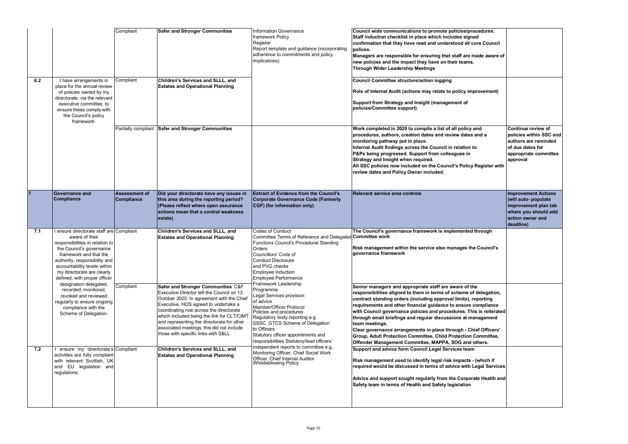|     |                                                                                                                                                                                                                                                                                    | Compliant                                 | <b>Safer and Stronger Communities</b>                                                                                                                                                                                                                                                                                                                                                            | <b>Information Governance</b><br>framework Policy<br>Register<br>Report template and guidance (incorporating<br>adherence to commitments and policy<br>implications)                                                                                                                                    | Council wide communications to promote policies/procedures.<br>Staff induction checklist in place which includes signed<br>confirmation that they have read and understood all core Council<br>polices.<br>Managers are responsible for ensuring that staff are made aware of<br>new policies and the impact they have on their teams.<br><b>Through Wider Leadership Meetings</b>                                                                                                                                                                                                                                         |                                                                                                                                     |
|-----|------------------------------------------------------------------------------------------------------------------------------------------------------------------------------------------------------------------------------------------------------------------------------------|-------------------------------------------|--------------------------------------------------------------------------------------------------------------------------------------------------------------------------------------------------------------------------------------------------------------------------------------------------------------------------------------------------------------------------------------------------|---------------------------------------------------------------------------------------------------------------------------------------------------------------------------------------------------------------------------------------------------------------------------------------------------------|----------------------------------------------------------------------------------------------------------------------------------------------------------------------------------------------------------------------------------------------------------------------------------------------------------------------------------------------------------------------------------------------------------------------------------------------------------------------------------------------------------------------------------------------------------------------------------------------------------------------------|-------------------------------------------------------------------------------------------------------------------------------------|
| 6.2 | I have arrangements in<br>place for the annual review<br>of policies owned by my<br>directorate, via the relevant<br>executive committee, to<br>ensure these comply with<br>the Council's policy<br>framework.                                                                     | Compliant                                 | Children's Services and SLLL, and<br><b>Estates and Operational Planning</b>                                                                                                                                                                                                                                                                                                                     |                                                                                                                                                                                                                                                                                                         | <b>Council Committee structure/action logging</b><br>Role of Internal Audit (actions may relate to policy improvement)<br>Support from Strategy and Insight (management of<br>policies/Committee support)                                                                                                                                                                                                                                                                                                                                                                                                                  |                                                                                                                                     |
|     |                                                                                                                                                                                                                                                                                    |                                           | Partially compliant Safer and Stronger Communities                                                                                                                                                                                                                                                                                                                                               |                                                                                                                                                                                                                                                                                                         | Work completed in 2020 to compile a list of all policy and<br>procedures, authors, creation dates and review dates and a<br>monitoring pathway put in place.<br>Internal Audit findings across the Council in relation to<br>P&Ps being progressed. Support from colleagues in<br>Strategy and Insight when required.<br>All SSC policies now included on the Council's Policy Register with<br>review dates and Policy Owner included.                                                                                                                                                                                    | Continue review of<br>policies within SSC and<br>authors are reminded<br>of due dates for<br>appropriate committee<br>approval      |
|     | <b>Governance and</b><br><b>Compliance</b>                                                                                                                                                                                                                                         | <b>Assessment of</b><br><b>Compliance</b> | Did your directorate have any issues in<br>this area during the reporting period?<br>(Please reflect where open assurance<br>actions mean that a control weakness<br>exists)                                                                                                                                                                                                                     | <b>Extract of Evidence from the Council's</b><br><b>Corporate Governance Code (Formerly</b><br>CGF) (for information only)                                                                                                                                                                              | <b>Relevant service area controls</b>                                                                                                                                                                                                                                                                                                                                                                                                                                                                                                                                                                                      | <b>Improvement Actions</b><br>(will auto- populate<br>improvement plan tab<br>where you should add<br>action owner and<br>deadline) |
| 7.1 | I ensure directorate staff are Compliant<br>aware of their<br>responsibilities in relation to<br>the Council's governance<br>framework and that the<br>authority, responsibility and<br>accountability levels within<br>my directorate are clearly<br>defined, with proper officer |                                           | Children's Services and SLLL, and<br><b>Estates and Operational Planning</b>                                                                                                                                                                                                                                                                                                                     | <b>Codes of Conduct</b><br>Committee Terms of Reference and Delegated Committee work<br>Functions Council's Procedural Standing<br>Orders<br>Councillors' Code of<br><b>Conduct Disclosure</b><br>and PVG checks<br>Employee Induction<br>Employee Performance                                          | The Council's governance framework is implemented through<br>Risk management within the service also manages the Council's<br>governance framework                                                                                                                                                                                                                                                                                                                                                                                                                                                                         |                                                                                                                                     |
|     | designation delegated,<br>recorded, monitored,<br>revoked and reviewed<br>regularly to ensure ongoing<br>compliance with the<br>Scheme of Delegation.                                                                                                                              | Compliant                                 | Safer and Stronger Communities C&F<br>Executive Director left the Council on 13<br>October 2020. In agreement with the Chief<br>Executive, HOS agreed to undertake a<br>coordinating role across the directorate<br>which included being the link for CLT/CIMT<br>and representing the directorate for other<br>associated meetings, this did not include<br>those with specific links with S&LL | Framework Leadership<br>Programme<br>Legal Services provision<br>of advice<br>Member/Officer Protocol<br>Policies and procedures<br>Regulatory body reporting e.g.<br>SSSC, GTCS Scheme of Delegation<br>to Officers<br>Statutory officer appointments and<br>responsibilities Statutory/lead officers' | Senior managers and appropriate staff are aware of the<br>responsibilities aligned to them in terms of scheme of delegation,<br>contract standing orders (including approval limits), reporting<br>requirements and other financial guidance to ensure compliance<br>with Council governance policies and procedures. This is reiterated<br>through email briefings and regular discussions at management<br>team meetings.<br>Clear governance arrangements in place through - Chief Officers'<br>Group, Adult Protection Committee, Child Protection Committee,<br>Offender Management Committee, MAPPA, SOG and others. |                                                                                                                                     |
| 7.2 | ensure my directorate's Compliant<br>activities are fully compliant<br>with relevant Scottish, UK<br>and EU legislation and<br>regulations.                                                                                                                                        |                                           | Children's Services and SLLL, and<br><b>Estates and Operational Planning</b>                                                                                                                                                                                                                                                                                                                     | independent reports to committee e.g.<br>Monitoring Officer, Chief Social Work<br>Officer, Chief Internal Auditor<br><b>Whistleblowing Policy</b>                                                                                                                                                       | Support and advice form Council Legal Services team<br>Risk management used to identify legal risk impacts - (which if<br>required would be discussed in terms of advice with Legal Services<br>Advice and support sought regularly from the Corporate Health and<br>Safety team in terms of Health and Safety legislation                                                                                                                                                                                                                                                                                                 |                                                                                                                                     |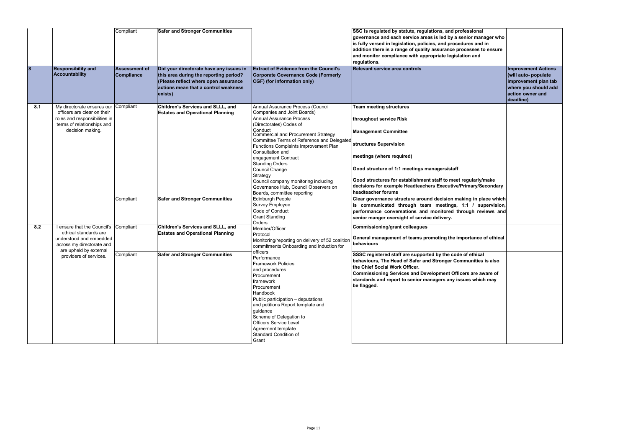| $\boldsymbol{8}$ | <b>Responsibility and</b><br>Accountability                                                                                                                      | Compliant<br><b>Assessment of</b><br>Compliance | <b>Safer and Stronger Communities</b><br>Did your directorate have any issues in<br>this area during the reporting period?<br>(Please reflect where open assurance<br>actions mean that a control weakness<br>exists) | <b>Extract of Evidence from the Council's</b><br><b>Corporate Governance Code (Formerly</b><br>CGF) (for information only)                                                                                                                                                                                                                                                                                                                                                                       | SSC is regulated by statute, regulations, and professional<br>governance and each service areas is led by a senior manager who<br>is fully versed in legislation, policies, and procedures and in<br>addition there is a range of quality assurance processes to ensure<br>and monitor compliance with appropriate legislation and<br>regulations.<br>Relevant service area controls                                                    | <b>Improvement Actions</b><br>(will auto- populate<br>improvement plan tab<br>where you should add<br>action owner and<br>deadline) |
|------------------|------------------------------------------------------------------------------------------------------------------------------------------------------------------|-------------------------------------------------|-----------------------------------------------------------------------------------------------------------------------------------------------------------------------------------------------------------------------|--------------------------------------------------------------------------------------------------------------------------------------------------------------------------------------------------------------------------------------------------------------------------------------------------------------------------------------------------------------------------------------------------------------------------------------------------------------------------------------------------|-----------------------------------------------------------------------------------------------------------------------------------------------------------------------------------------------------------------------------------------------------------------------------------------------------------------------------------------------------------------------------------------------------------------------------------------|-------------------------------------------------------------------------------------------------------------------------------------|
| 8.1              | My directorate ensures our<br>officers are clear on their<br>roles and responsibilities in<br>terms of relationships and<br>decision making.                     | Compliant                                       | Children's Services and SLLL, and<br><b>Estates and Operational Planning</b>                                                                                                                                          | Annual Assurance Process (Council<br>Companies and Joint Boards)<br><b>Annual Assurance Process</b><br>(Directorates) Codes of<br>Conduct<br><b>Commercial and Procurement Strategy</b><br>Committee Terms of Reference and Delegated<br>Functions Complaints Improvement Plan<br>Consultation and<br>engagement Contract<br><b>Standing Orders</b><br>Council Change<br>Strategy<br>Council company monitoring including<br>Governance Hub, Council Observers on<br>Boards, committee reporting | <b>Team meeting structures</b><br>throughout service Risk<br><b>Management Committee</b><br>structures Supervision<br>meetings (where required)<br>Good structure of 1:1 meetings managers/staff<br>Good structures for establishment staff to meet regularly/make<br>decisions for example Headteachers Executive/Primary/Secondary<br>headteacher forums                                                                              |                                                                                                                                     |
|                  |                                                                                                                                                                  | Compliant                                       | <b>Safer and Stronger Communities</b>                                                                                                                                                                                 | <b>Edinburgh People</b><br>Survey Employee<br>Code of Conduct<br><b>Grant Standing</b><br>Orders                                                                                                                                                                                                                                                                                                                                                                                                 | Clear governance structure around decision making in place which<br>is communicated through team meetings, 1:1 / supervision,<br>performance conversations and monitored through reviews and<br>senior manger oversight of service delivery.                                                                                                                                                                                            |                                                                                                                                     |
| 8.2              | I ensure that the Council's<br>ethical standards are<br>understood and embedded<br>across my directorate and<br>are upheld by external<br>providers of services. | Compliant<br>Compliant                          | Children's Services and SLLL, and<br><b>Estates and Operational Planning</b><br><b>Safer and Stronger Communities</b>                                                                                                 | Member/Officer<br>Protocol<br>Monitoring/reporting on delivery of 52 coalition<br>commitments Onboarding and induction for<br>officers<br>Performance<br><b>Framework Policies</b><br>and procedures<br>Procurement<br>framework<br>Procurement<br>Handbook                                                                                                                                                                                                                                      | <b>Commissioning/grant colleagues</b><br>General management of teams promoting the importance of ethical<br>behaviours<br>SSSC registered staff are supported by the code of ethical<br>behaviours, The Head of Safer and Stronger Communities is also<br>the Chief Social Work Officer.<br>Commissioning Services and Development Officers are aware of<br>standards and report to senior managers any issues which may<br>be flagged. |                                                                                                                                     |
|                  |                                                                                                                                                                  |                                                 |                                                                                                                                                                                                                       | Public participation - deputations<br>and petitions Report template and<br>guidance<br>Scheme of Delegation to<br><b>Officers Service Level</b><br>Agreement template<br>Standard Condition of<br>Grant                                                                                                                                                                                                                                                                                          |                                                                                                                                                                                                                                                                                                                                                                                                                                         |                                                                                                                                     |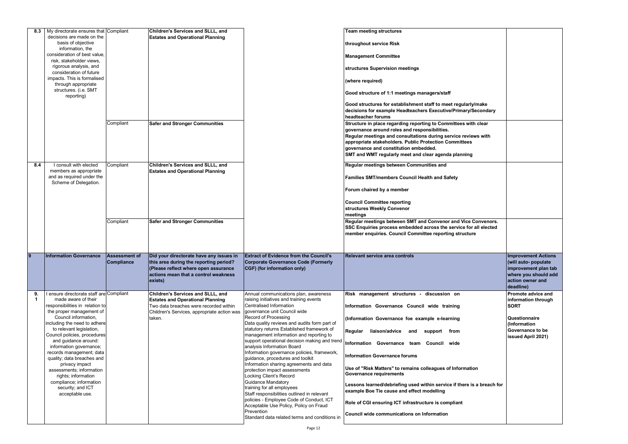| 8.3         | My directorate ensures that Compliant<br>decisions are made on the<br>basis of objective<br>information, the<br>consideration of best value,<br>risk, stakeholder views,<br>rigorous analysis, and<br>consideration of future |                      | Children's Services and SLLL, and<br><b>Estates and Operational Planning</b>                                                      |                                                                                                                                       | <b>Team meeting structures</b><br>throughout service Risk<br><b>Management Committee</b><br>structures Supervision meetings                                                                                                                                                           |                                                                                                       |
|-------------|-------------------------------------------------------------------------------------------------------------------------------------------------------------------------------------------------------------------------------|----------------------|-----------------------------------------------------------------------------------------------------------------------------------|---------------------------------------------------------------------------------------------------------------------------------------|---------------------------------------------------------------------------------------------------------------------------------------------------------------------------------------------------------------------------------------------------------------------------------------|-------------------------------------------------------------------------------------------------------|
|             | impacts. This is formalised<br>through appropriate<br>structures. (i.e. SMT                                                                                                                                                   |                      |                                                                                                                                   |                                                                                                                                       | (where required)                                                                                                                                                                                                                                                                      |                                                                                                       |
|             | reporting)                                                                                                                                                                                                                    |                      |                                                                                                                                   |                                                                                                                                       | Good structure of 1:1 meetings managers/staff                                                                                                                                                                                                                                         |                                                                                                       |
|             |                                                                                                                                                                                                                               |                      |                                                                                                                                   |                                                                                                                                       | Good structures for establishment staff to meet regularly/make<br>decisions for example Headteachers Executive/Primary/Secondary<br>headteacher forums                                                                                                                                |                                                                                                       |
|             |                                                                                                                                                                                                                               | Compliant            | <b>Safer and Stronger Communities</b>                                                                                             |                                                                                                                                       | Structure in place regarding reporting to Committees with clear<br>governance around roles and responsibilities.<br>Regular meetings and consultations during service reviews with<br>appropriate stakeholders. Public Protection Committees<br>governance and constitution embedded. |                                                                                                       |
|             |                                                                                                                                                                                                                               |                      |                                                                                                                                   |                                                                                                                                       | SMT and WMT regularly meet and clear agenda planning                                                                                                                                                                                                                                  |                                                                                                       |
| 8.4         | I consult with elected<br>members as appropriate<br>and as required under the                                                                                                                                                 | Compliant            | Children's Services and SLLL, and<br><b>Estates and Operational Planning</b>                                                      |                                                                                                                                       | Regular meetings between Communities and<br><b>Families SMT/members Council Health and Safety</b>                                                                                                                                                                                     |                                                                                                       |
|             | Scheme of Delegation.                                                                                                                                                                                                         |                      |                                                                                                                                   |                                                                                                                                       | Forum chaired by a member                                                                                                                                                                                                                                                             |                                                                                                       |
|             |                                                                                                                                                                                                                               |                      |                                                                                                                                   |                                                                                                                                       | <b>Council Committee reporting</b><br>structures Weekly Convenor<br>meetings                                                                                                                                                                                                          |                                                                                                       |
|             |                                                                                                                                                                                                                               | Compliant            | <b>Safer and Stronger Communities</b>                                                                                             |                                                                                                                                       | Regular meetings between SMT and Convenor and Vice Convenors.<br>SSC Enquiries process embedded across the service for all elected                                                                                                                                                    |                                                                                                       |
|             |                                                                                                                                                                                                                               |                      |                                                                                                                                   |                                                                                                                                       | member enquiries. Council Committee reporting structure                                                                                                                                                                                                                               |                                                                                                       |
| 9           | <b>Information Governance</b>                                                                                                                                                                                                 | <b>Assessment of</b> | Did your directorate have any issues in                                                                                           | <b>Extract of Evidence from the Council's</b>                                                                                         | <b>Relevant service area controls</b>                                                                                                                                                                                                                                                 | <b>Improvement Actions</b>                                                                            |
|             |                                                                                                                                                                                                                               | <b>Compliance</b>    | this area during the reporting period?<br>(Please reflect where open assurance<br>actions mean that a control weakness<br>exists) | Corporate Governance Code (Formerly<br>CGF) (for information only)                                                                    |                                                                                                                                                                                                                                                                                       | (will auto- populate<br>improvement plan tab<br>where you should add<br>action owner and<br>deadline) |
| 9.          | I ensure directorate staff are Compliant                                                                                                                                                                                      |                      | <b>Children's Services and SLLL, and</b>                                                                                          | Annual communications plan, awareness                                                                                                 | Risk management structures - discussion on                                                                                                                                                                                                                                            | <b>Promote advice and</b>                                                                             |
| $\mathbf 1$ | made aware of their<br>responsibilities in relation to                                                                                                                                                                        |                      | <b>Estates and Operational Planning</b><br>Two data breaches were recorded within                                                 | raising initiatives and training events<br>Centralised Information                                                                    | Information Governance Council wide training                                                                                                                                                                                                                                          | information through<br><b>SORT</b>                                                                    |
|             | the proper management of<br>Council information,                                                                                                                                                                              |                      | Children's Services, appropriate action was<br>taken.                                                                             | governance unit Council wide<br>Record of Processing                                                                                  | (Information Governance foe example e-learning                                                                                                                                                                                                                                        | Questionnaire                                                                                         |
|             | including the need to adhere<br>to relevant legislation,<br>Council policies, procedures                                                                                                                                      |                      |                                                                                                                                   | Data quality reviews and audits form part of<br>statutory returns Established framework of<br>management information and reporting to | Regular liaison/advice and support from                                                                                                                                                                                                                                               | (Information<br>Governance to be                                                                      |
|             | and guidance around:<br>information governance;                                                                                                                                                                               |                      |                                                                                                                                   | support operational decision making and trend<br>analysis Information Board                                                           | Information Governance team Council wide                                                                                                                                                                                                                                              | <b>issued April 2021)</b>                                                                             |
|             | records management; data<br>quality; data breaches and                                                                                                                                                                        |                      |                                                                                                                                   | Information governance policies, framework,<br>guidance, procedures and toolkit                                                       | <b>Information Governance forums</b>                                                                                                                                                                                                                                                  |                                                                                                       |
|             | privacy impact<br>assessments; information<br>rights; information                                                                                                                                                             |                      |                                                                                                                                   | Information sharing agreements and data<br>protection impact assessments<br>Locking Client's Record                                   | Use of "Risk Matters" to remains colleagues of Information<br><b>Governance requirements</b>                                                                                                                                                                                          |                                                                                                       |
|             | compliance; information<br>security; and ICT<br>acceptable use.                                                                                                                                                               |                      |                                                                                                                                   | <b>Guidance Mandatory</b><br>training for all employees<br>Staff responsibilities outlined in relevant                                | Lessons learned/debriefing used within service if there is a breach for<br>example Boe Tie cause and effect modelling                                                                                                                                                                 |                                                                                                       |
|             |                                                                                                                                                                                                                               |                      |                                                                                                                                   | policies - Employee Code of Conduct, ICT<br>Acceptable Use Policy, Policy on Fraud<br>Prevention                                      | Role of CGI ensuring ICT infrastructure is compliant                                                                                                                                                                                                                                  |                                                                                                       |

| ly/make<br>/Secondary               |                                                    |
|-------------------------------------|----------------------------------------------------|
| ith clear                           |                                                    |
| iews with<br>S                      |                                                    |
| g                                   |                                                    |
|                                     |                                                    |
|                                     |                                                    |
|                                     |                                                    |
|                                     |                                                    |
|                                     |                                                    |
| Convenors.<br>or all elected<br>ure |                                                    |
|                                     |                                                    |
|                                     | <b>Improvement Actions</b><br>(will auto- populate |
|                                     | improvement plan tab                               |
|                                     | where you should add<br>action owner and           |
|                                     | deadline)<br><b>Promote advice and</b>             |
|                                     | information through<br><b>SORT</b>                 |
|                                     | Questionnaire                                      |
|                                     | (Information<br>Governance to be                   |
|                                     | issued April 2021)                                 |
|                                     |                                                    |
| tion                                |                                                    |
| is a breach for                     |                                                    |
|                                     |                                                    |
|                                     |                                                    |
|                                     |                                                    |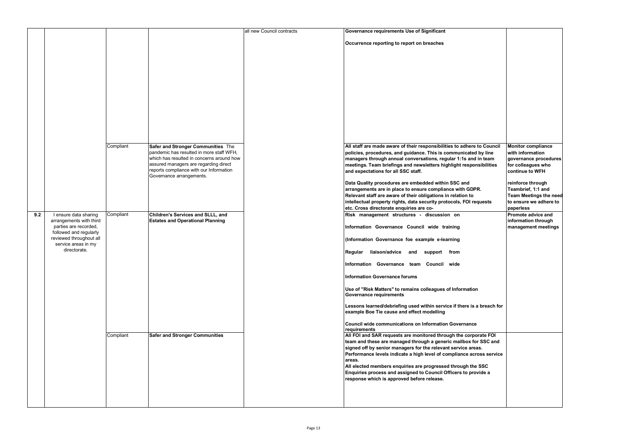|     |                                                                          |           |                                                                                                              | all new Council contracts | <b>Governance requirements Use of Significant</b>                                                                                                                                                                                                                              |
|-----|--------------------------------------------------------------------------|-----------|--------------------------------------------------------------------------------------------------------------|---------------------------|--------------------------------------------------------------------------------------------------------------------------------------------------------------------------------------------------------------------------------------------------------------------------------|
|     |                                                                          |           |                                                                                                              |                           | Occurrence reporting to report on breaches                                                                                                                                                                                                                                     |
|     |                                                                          |           |                                                                                                              |                           |                                                                                                                                                                                                                                                                                |
|     |                                                                          |           |                                                                                                              |                           |                                                                                                                                                                                                                                                                                |
|     |                                                                          |           |                                                                                                              |                           |                                                                                                                                                                                                                                                                                |
|     |                                                                          |           |                                                                                                              |                           |                                                                                                                                                                                                                                                                                |
|     |                                                                          |           |                                                                                                              |                           |                                                                                                                                                                                                                                                                                |
|     |                                                                          |           |                                                                                                              |                           |                                                                                                                                                                                                                                                                                |
|     |                                                                          | Compliant | Safer and Stronger Communities The                                                                           |                           | All staff are made aware of their responsibilities to adhere to Council                                                                                                                                                                                                        |
|     |                                                                          |           | pandemic has resulted in more staff WFH,<br>which has resulted in concerns around how                        |                           | policies, procedures, and guidance. This is communicated by line<br>managers through annual conversations, regular 1:1s and in team                                                                                                                                            |
|     |                                                                          |           | assured managers are regarding direct<br>reports compliance with our Information<br>Governance arrangements. |                           | meetings. Team briefings and newsletters highlight responsibilities<br>and expectations for all SSC staff.                                                                                                                                                                     |
|     |                                                                          |           |                                                                                                              |                           | Data Quality procedures are embedded within SSC and<br>arrangements are in place to ensure compliance with GDPR.                                                                                                                                                               |
|     |                                                                          |           |                                                                                                              |                           | Relevant staff are aware of their obligations in relation to<br>intellectual property rights, data security protocols, FOI requests<br>etc. Cross directorate enquiries are co-                                                                                                |
| 9.2 | I ensure data sharing                                                    | Compliant | Children's Services and SLLL, and                                                                            |                           | Risk management structures - discussion on                                                                                                                                                                                                                                     |
|     | arrangements with third<br>parties are recorded,                         |           | <b>Estates and Operational Planning</b>                                                                      |                           | Information Governance Council wide training                                                                                                                                                                                                                                   |
|     | followed and regularly<br>reviewed throughout all<br>service areas in my |           |                                                                                                              |                           | (Information Governance foe example e-learning                                                                                                                                                                                                                                 |
|     | directorate.                                                             |           |                                                                                                              |                           | liaison/advice and support<br>Regular<br>from                                                                                                                                                                                                                                  |
|     |                                                                          |           |                                                                                                              |                           | Information Governance team Council wide                                                                                                                                                                                                                                       |
|     |                                                                          |           |                                                                                                              |                           | Information Governance forums                                                                                                                                                                                                                                                  |
|     |                                                                          |           |                                                                                                              |                           | Use of "Risk Matters" to remains colleagues of Information<br><b>Governance requirements</b>                                                                                                                                                                                   |
|     |                                                                          |           |                                                                                                              |                           | Lessons learned/debriefing used within service if there is a breach for<br>example Boe Tie cause and effect modelling                                                                                                                                                          |
|     |                                                                          |           |                                                                                                              |                           | Council wide communications on Information Governance<br>requirements                                                                                                                                                                                                          |
|     |                                                                          | Compliant | <b>Safer and Stronger Communities</b>                                                                        |                           | All FOI and SAR requests are monitored through the corporate FOI<br>team and these are managed through a generic mailbox for SSC and<br>signed off by senior managers for the relevant service areas.<br>Performance levels indicate a high level of compliance across service |
|     |                                                                          |           |                                                                                                              |                           | areas.<br>All elected members enquiries are progressed through the SSC<br>Enquiries process and assigned to Council Officers to provide a<br>response which is approved before release.                                                                                        |
|     |                                                                          |           |                                                                                                              |                           |                                                                                                                                                                                                                                                                                |
|     |                                                                          |           |                                                                                                              |                           |                                                                                                                                                                                                                                                                                |

| to Council   | <b>Monitor compliance</b>     |
|--------------|-------------------------------|
|              |                               |
| d by line    | with information              |
| d in team    | governance procedures         |
| nsibilities  | for colleagues who            |
|              | continue to WFH               |
|              | reinforce through             |
| PR.          | Teambrief, 1:1 and            |
|              | <b>Team Meetings the need</b> |
| equests      | to ensure we adhere to        |
|              | paperless                     |
|              | Promote advice and            |
|              | information through           |
|              | management meetings           |
|              |                               |
|              |                               |
|              |                               |
|              |                               |
|              |                               |
|              |                               |
|              |                               |
|              |                               |
|              |                               |
| n            |                               |
|              |                               |
|              |                               |
| a breach for |                               |
|              |                               |
|              |                               |
| е            |                               |
|              |                               |
| orate FOI    |                               |
| วr SSC and   |                               |
| as.          |                               |
| ross service |                               |
|              |                               |
| e SSC        |                               |
| pvide a      |                               |
|              |                               |
|              |                               |
|              |                               |
|              |                               |
|              |                               |
|              |                               |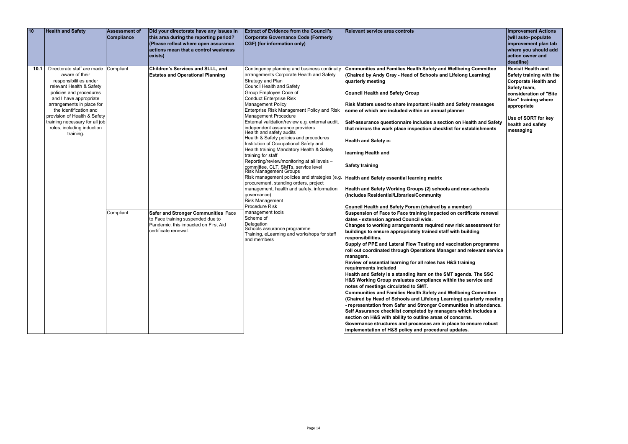| 10 |      | <b>Health and Safety</b>                                                                                                                                                                                                                                                                                                              | <b>Assessment of</b><br><b>Compliance</b> | Did your directorate have any issues in<br>this area during the reporting period?<br>(Please reflect where open assurance<br>actions mean that a control weakness<br>exists)                                             | <b>Extract of Evidence from the Council's</b><br><b>Corporate Governance Code (Formerly</b><br>CGF) (for information only)                                                                                                                                                                                                                                                                                                                                                                                                                                                                                                                                                                                                                                                                                                                                                                                                                                                                                           | <b>Relevant service area controls</b>                                                                                                                                                                                                                                                                                                                                                                                                                                                                                                                                                                                                                                                                                                                                                                                                                                                                                                                                                                                                                                                                                                                                                                                                                                                                                                                                                                                                                                                                                                                                                                                                                                                                                                                                                                                                                                                                                                                                                                               | <b>Improvement Actions</b><br>(will auto- populate<br>improvement plan tab<br>where you should add<br>action owner and<br>deadline)                                                                                            |
|----|------|---------------------------------------------------------------------------------------------------------------------------------------------------------------------------------------------------------------------------------------------------------------------------------------------------------------------------------------|-------------------------------------------|--------------------------------------------------------------------------------------------------------------------------------------------------------------------------------------------------------------------------|----------------------------------------------------------------------------------------------------------------------------------------------------------------------------------------------------------------------------------------------------------------------------------------------------------------------------------------------------------------------------------------------------------------------------------------------------------------------------------------------------------------------------------------------------------------------------------------------------------------------------------------------------------------------------------------------------------------------------------------------------------------------------------------------------------------------------------------------------------------------------------------------------------------------------------------------------------------------------------------------------------------------|---------------------------------------------------------------------------------------------------------------------------------------------------------------------------------------------------------------------------------------------------------------------------------------------------------------------------------------------------------------------------------------------------------------------------------------------------------------------------------------------------------------------------------------------------------------------------------------------------------------------------------------------------------------------------------------------------------------------------------------------------------------------------------------------------------------------------------------------------------------------------------------------------------------------------------------------------------------------------------------------------------------------------------------------------------------------------------------------------------------------------------------------------------------------------------------------------------------------------------------------------------------------------------------------------------------------------------------------------------------------------------------------------------------------------------------------------------------------------------------------------------------------------------------------------------------------------------------------------------------------------------------------------------------------------------------------------------------------------------------------------------------------------------------------------------------------------------------------------------------------------------------------------------------------------------------------------------------------------------------------------------------------|--------------------------------------------------------------------------------------------------------------------------------------------------------------------------------------------------------------------------------|
|    | 10.1 | Directorate staff are made Compliant<br>aware of their<br>responsibilities under<br>relevant Health & Safety<br>policies and procedures<br>and I have appropriate<br>arrangements in place for<br>the identification and<br>provision of Health & Safety<br>training necessary for all job<br>roles, including induction<br>training. | Compliant                                 | Children's Services and SLLL, and<br><b>Estates and Operational Planning</b><br>Safer and Stronger Communities Face<br>to Face training suspended due to<br>Pandemic, this impacted on First Aid<br>certificate renewal. | Contingency planning and business continuity<br>arrangements Corporate Health and Safety<br>Strategy and Plan<br><b>Council Health and Safety</b><br>Group Employee Code of<br><b>Conduct Enterprise Risk</b><br>Management Policy<br>Enterprise Risk Management Policy and Risk<br>Management Procedure<br>External validation/review e.g. external audit,<br>independent assurance providers<br>Health and safety audits <sup>'</sup><br>Health & Safety policies and procedures<br>Institution of Occupational Safety and<br>Health training Mandatory Health & Safety<br>training for staff<br>Reporting/review/monitoring at all levels -<br>committee, CLT, SMTs, service level<br><b>Risk Management Groups</b><br>procurement, standing orders, project<br>management, health and safety, information<br>governance)<br><b>Risk Management</b><br>Procedure Risk<br>management tools<br>Scheme of<br>Delegation<br>Schools assurance programme<br>Training, eLearning and workshops for staff<br>and members | Communities and Families Health Safety and Wellbeing Committee<br>(Chaired by Andy Gray - Head of Schools and Lifelong Learning)<br>quarterly meeting<br><b>Council Health and Safety Group</b><br>Risk Matters used to share important Health and Safety messages<br>some of which are included within an annual planner<br>Self-assurance questionnaire includes a section on Health and Safety<br>that mirrors the work place inspection checklist for establishments<br><b>Health and Safety e-</b><br>learning Health and<br><b>Safety training</b><br>Risk management policies and strategies (e.g.   Health and Safety essential learning matrix<br>Health and Safety Working Groups (2) schools and non-schools<br>(includes Residential/Libraries/Community<br>Council Health and Safety Forum (chaired by a member)<br>Suspension of Face to Face training impacted on certificate renewal<br>dates - extension agreed Council wide.<br>Changes to working arrangements required new risk assessment for<br>buildings to ensure appropriately trained staff with building<br>responsibilities.<br>Supply of PPE and Lateral Flow Testing and vaccination programme<br>roll out coordinated through Operations Manager and relevant service<br>managers.<br>Review of essential learning for all roles has H&S training<br>requirements included<br>Health and Safety is a standing item on the SMT agenda. The SSC<br>H&S Working Group evaluates compliance within the service and<br>notes of meetings circulated to SMT.<br>Communities and Families Health Safety and Wellbeing Committee<br>(Chaired by Head of Schools and Lifelong Learning) quarterly meeting<br>- representation from Safer and Stronger Communities in attendance.<br>Self Assurance checklist completed by managers which includes a<br>section on H&S with ability to outline areas of concerns.<br>Governance structures and processes are in place to ensure robust<br>implementation of H&S policy and procedural updates. | <b>Revisit Health and</b><br>Safety training with the<br><b>Corporate Health and</b><br>Safety team,<br>consideration of "Bite<br>Size" training where<br>appropriate<br>Use of SORT for key<br>health and safety<br>messaging |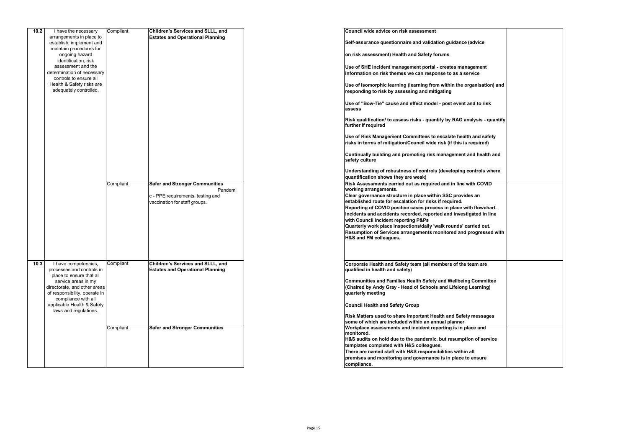| 10.2 | I have the necessary                                | Compliant | Children's Services and SLLL, and       | Council wide advice on risk assessment                                     |  |
|------|-----------------------------------------------------|-----------|-----------------------------------------|----------------------------------------------------------------------------|--|
|      | arrangements in place to                            |           | <b>Estates and Operational Planning</b> |                                                                            |  |
|      | establish, implement and                            |           |                                         | Self-assurance questionnaire and validation guidance (advice               |  |
|      | maintain procedures for                             |           |                                         |                                                                            |  |
|      | ongoing hazard                                      |           |                                         | on risk assessment) Health and Safety forums                               |  |
|      | identification, risk                                |           |                                         |                                                                            |  |
|      | assessment and the                                  |           |                                         | Use of SHE incident management portal - creates management                 |  |
|      | determination of necessary                          |           |                                         | information on risk themes we can response to as a service                 |  |
|      | controls to ensure all<br>Health & Safety risks are |           |                                         |                                                                            |  |
|      | adequately controlled.                              |           |                                         | Use of isomorphic learning (learning from within the organisation) and     |  |
|      |                                                     |           |                                         | responding to risk by assessing and mitigating                             |  |
|      |                                                     |           |                                         |                                                                            |  |
|      |                                                     |           |                                         | Use of "Bow-Tie" cause and effect model - post event and to risk<br>assess |  |
|      |                                                     |           |                                         |                                                                            |  |
|      |                                                     |           |                                         | Risk qualification/ to assess risks - quantify by RAG analysis - quantify  |  |
|      |                                                     |           |                                         | further if required                                                        |  |
|      |                                                     |           |                                         |                                                                            |  |
|      |                                                     |           |                                         | Use of Risk Management Committees to escalate health and safety            |  |
|      |                                                     |           |                                         | risks in terms of mitigation/Council wide risk (if this is required)       |  |
|      |                                                     |           |                                         |                                                                            |  |
|      |                                                     |           |                                         | Continually building and promoting risk management and health and          |  |
|      |                                                     |           |                                         | safety culture                                                             |  |
|      |                                                     |           |                                         | Understanding of robustness of controls (developing controls where         |  |
|      |                                                     |           |                                         | quantification shows they are weak)                                        |  |
|      |                                                     | Compliant | <b>Safer and Stronger Communities</b>   | Risk Assessments carried out as required and in line with COVID            |  |
|      |                                                     |           | Pandemi                                 | working arrangements.                                                      |  |
|      |                                                     |           | c - PPE requirements, testing and       | Clear governance structure in place within SSC provides an                 |  |
|      |                                                     |           | vaccination for staff groups.           | established route for escalation for risks if required.                    |  |
|      |                                                     |           |                                         | Reporting of COVID positive cases process in place with flowchart.         |  |
|      |                                                     |           |                                         | Incidents and accidents recorded, reported and investigated in line        |  |
|      |                                                     |           |                                         | with Council incident reporting P&Ps                                       |  |
|      |                                                     |           |                                         | Quarterly work place inspections/daily 'walk rounds' carried out.          |  |
|      |                                                     |           |                                         | Resumption of Services arrangements monitored and progressed with          |  |
|      |                                                     |           |                                         | H&S and FM colleagues.                                                     |  |
|      |                                                     |           |                                         |                                                                            |  |
|      |                                                     |           |                                         |                                                                            |  |
|      |                                                     |           |                                         |                                                                            |  |
| 10.3 | I have competencies,                                | Compliant | Children's Services and SLLL, and       | Corporate Health and Safety team (all members of the team are              |  |
|      | processes and controls in                           |           | <b>Estates and Operational Planning</b> | qualified in health and safety)                                            |  |
|      | place to ensure that all<br>service areas in my     |           |                                         | Communities and Families Health Safety and Wellbeing Committee             |  |
|      | directorate, and other areas                        |           |                                         | (Chaired by Andy Gray - Head of Schools and Lifelong Learning)             |  |
|      | of responsibility, operate in                       |           |                                         | quarterly meeting                                                          |  |
|      | compliance with all                                 |           |                                         |                                                                            |  |
|      | applicable Health & Safety                          |           |                                         | <b>Council Health and Safety Group</b>                                     |  |
|      | laws and regulations.                               |           |                                         |                                                                            |  |
|      |                                                     |           |                                         | Risk Matters used to share important Health and Safety messages            |  |
|      |                                                     |           |                                         | some of which are included within an annual planner                        |  |
|      |                                                     | Compliant | <b>Safer and Stronger Communities</b>   | Workplace assessments and incident reporting is in place and               |  |
|      |                                                     |           |                                         | monitored.                                                                 |  |
|      |                                                     |           |                                         | H&S audits on hold due to the pandemic, but resumption of service          |  |
|      |                                                     |           |                                         | templates completed with H&S colleagues.                                   |  |
|      |                                                     |           |                                         | There are named staff with H&S responsibilities within all                 |  |
|      |                                                     |           |                                         | premises and monitoring and governance is in place to ensure               |  |
|      |                                                     |           |                                         | compliance.                                                                |  |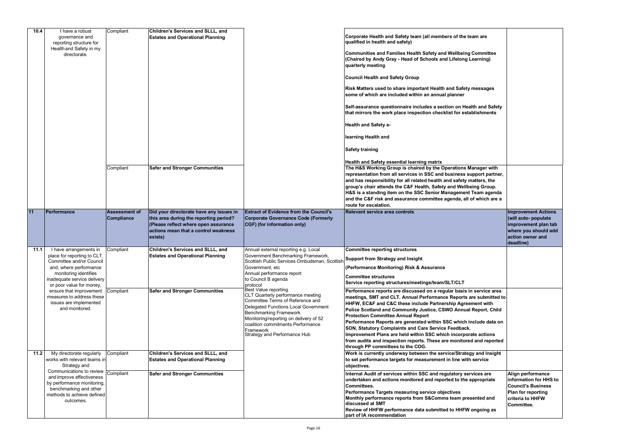| 10.4 | I have a robust<br>governance and<br>reporting structure for    | Compliant            | Children's Services and SLLL, and<br><b>Estates and Operational Planning</b> |                                                                                                   | Corporate Health and Safety team (all members of the team are<br>qualified in health and safety)                                                      |                            |
|------|-----------------------------------------------------------------|----------------------|------------------------------------------------------------------------------|---------------------------------------------------------------------------------------------------|-------------------------------------------------------------------------------------------------------------------------------------------------------|----------------------------|
|      | Health and Safety in my<br>directorate.                         |                      |                                                                              |                                                                                                   | Communities and Families Health Safety and Wellbeing Committee<br>(Chaired by Andy Gray - Head of Schools and Lifelong Learning)<br>quarterly meeting |                            |
|      |                                                                 |                      |                                                                              |                                                                                                   | <b>Council Health and Safety Group</b>                                                                                                                |                            |
|      |                                                                 |                      |                                                                              |                                                                                                   | Risk Matters used to share important Health and Safety messages<br>some of which are included within an annual planner                                |                            |
|      |                                                                 |                      |                                                                              |                                                                                                   | Self-assurance questionnaire includes a section on Health and Safety<br>that mirrors the work place inspection checklist for establishments           |                            |
|      |                                                                 |                      |                                                                              |                                                                                                   | <b>Health and Safety e-</b>                                                                                                                           |                            |
|      |                                                                 |                      |                                                                              |                                                                                                   | learning Health and                                                                                                                                   |                            |
|      |                                                                 |                      |                                                                              |                                                                                                   | <b>Safety training</b>                                                                                                                                |                            |
|      |                                                                 |                      |                                                                              |                                                                                                   | Health and Safety essential learning matrix                                                                                                           |                            |
|      |                                                                 | Compliant            | <b>Safer and Stronger Communities</b>                                        |                                                                                                   | The H&S Working Group is chaired by the Operations Manager with                                                                                       |                            |
|      |                                                                 |                      |                                                                              |                                                                                                   | representation from all services in SSC and business support partner,                                                                                 |                            |
|      |                                                                 |                      |                                                                              |                                                                                                   | and has responsibility for all related health and safety matters, the                                                                                 |                            |
|      |                                                                 |                      |                                                                              |                                                                                                   | group's chair attends the C&F Health, Safety and Wellbeing Group.                                                                                     |                            |
|      |                                                                 |                      |                                                                              |                                                                                                   | H&S is a standing item on the SSC Senior Management Team agenda                                                                                       |                            |
|      |                                                                 |                      |                                                                              |                                                                                                   | and the C&F risk and assurance committee agenda, all of which are a                                                                                   |                            |
|      |                                                                 |                      |                                                                              |                                                                                                   | route for escalation.                                                                                                                                 |                            |
| 11   | Performance                                                     | <b>Assessment of</b> | Did your directorate have any issues in                                      | <b>Extract of Evidence from the Council's</b>                                                     | <b>Relevant service area controls</b>                                                                                                                 | <b>Improvement Actions</b> |
|      |                                                                 | <b>Compliance</b>    | this area during the reporting period?                                       | <b>Corporate Governance Code (Formerly</b>                                                        |                                                                                                                                                       | (will auto- populate       |
|      |                                                                 |                      | (Please reflect where open assurance                                         | CGF) (for information only)                                                                       |                                                                                                                                                       | improvement plan tab       |
|      |                                                                 |                      |                                                                              |                                                                                                   |                                                                                                                                                       |                            |
|      |                                                                 |                      |                                                                              |                                                                                                   |                                                                                                                                                       |                            |
|      |                                                                 |                      | actions mean that a control weakness                                         |                                                                                                   |                                                                                                                                                       | where you should add       |
|      |                                                                 |                      | exists)                                                                      |                                                                                                   |                                                                                                                                                       | action owner and           |
|      |                                                                 |                      |                                                                              |                                                                                                   |                                                                                                                                                       | deadline)                  |
| 11.1 | I have arrangements in<br>place for reporting to CLT,           | Compliant            | Children's Services and SLLL, and<br><b>Estates and Operational Planning</b> | Annual external reporting e.g. Local<br>Government Benchmarking Framework,                        | <b>Committee reporting structures</b>                                                                                                                 |                            |
|      | Committee and/or Council<br>and, where performance              |                      |                                                                              | Scottish Public Services Ombudsman, Scottish Support from Strategy and Insight<br>Government, etc | (Performance Monitoring) Risk & Assurance                                                                                                             |                            |
|      | monitoring identifies                                           |                      |                                                                              | Annual performance report                                                                         | <b>Committee structures</b>                                                                                                                           |                            |
|      | inadequate service delivery<br>or poor value for money,         |                      |                                                                              | to Council B agenda<br>protocol                                                                   | Service reporting structures/meetings/team/SLT/CLT                                                                                                    |                            |
|      | ensure that improvement                                         | Compliant            | <b>Safer and Stronger Communities</b>                                        | .<br>Best Value reporting                                                                         | Performance reports are discussed on a regular basis in service area                                                                                  |                            |
|      | measures to address these                                       |                      |                                                                              | CLT Quarterly performance meeting                                                                 | meetings, SMT and CLT. Annual Performance Reports are submitted to                                                                                    |                            |
|      | issues are implemented                                          |                      |                                                                              | Committee Terms of Reference and                                                                  | HHFW, EC&F and C&C these include Partnership Agreement with                                                                                           |                            |
|      | and monitored.                                                  |                      |                                                                              | Delegated Functions Local Government                                                              | Police Scotland and Community Justice, CSWO Annual Report, Child                                                                                      |                            |
|      |                                                                 |                      |                                                                              | <b>Benchmarking Framework</b>                                                                     | <b>Protection Committee Annual Report</b>                                                                                                             |                            |
|      |                                                                 |                      |                                                                              | Monitoring/reporting on delivery of 52                                                            | Performance Reports are generated within SSC which include data on                                                                                    |                            |
|      |                                                                 |                      |                                                                              | coalition commitments Performance<br>Framework                                                    | SON, Statutory Complaints and Care Service Feedback.                                                                                                  |                            |
|      |                                                                 |                      |                                                                              | Strategy and Performance Hub                                                                      | Improvement Plans are held within SSC which incorporate actions                                                                                       |                            |
|      |                                                                 |                      |                                                                              |                                                                                                   | from audits and inspection reports. These are monitored and reported                                                                                  |                            |
|      |                                                                 |                      |                                                                              |                                                                                                   | through PP committees to the COG.                                                                                                                     |                            |
| 11.2 | My directorate regularly                                        | Compliant            | Children's Services and SLLL, and                                            |                                                                                                   | Work is currently underway between the service/Strategy and Insight                                                                                   |                            |
|      | works with relevant teams in                                    |                      | <b>Estates and Operational Planning</b>                                      |                                                                                                   | to set performance targets for measurement in line with service                                                                                       |                            |
|      | Strategy and                                                    |                      |                                                                              |                                                                                                   | objectives.                                                                                                                                           |                            |
|      |                                                                 |                      | <b>Safer and Stronger Communities</b>                                        |                                                                                                   | Internal Audit of services within SSC and regulatory services are                                                                                     | Align performance          |
|      | Communications to review Compliant<br>and improve effectiveness |                      |                                                                              |                                                                                                   | undertaken and actions monitored and reported to the appropriate                                                                                      | information for HHS to     |
|      | by performance monitoring,                                      |                      |                                                                              |                                                                                                   | <b>Committees.</b>                                                                                                                                    | <b>Council's Business</b>  |
|      | benchmarking and other                                          |                      |                                                                              |                                                                                                   |                                                                                                                                                       | <b>Plan for reporting</b>  |
|      | methods to achieve defined                                      |                      |                                                                              |                                                                                                   | Performance Targets measuring service objectives<br>Monthly performance reports from S&Comms team presented and                                       | criteria to HHFW           |
|      | outcomes.                                                       |                      |                                                                              |                                                                                                   | discussed at SMT                                                                                                                                      |                            |
|      |                                                                 |                      |                                                                              |                                                                                                   | Review of HHFW performance data submitted to HHFW ongoing as                                                                                          | Committee.                 |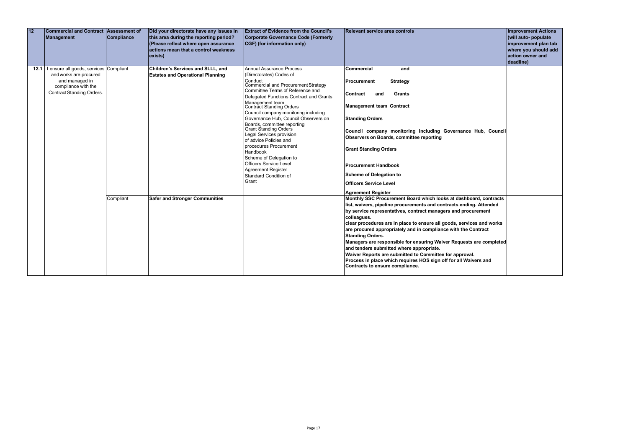| 12 | <b>Commercial and Contract Assessment of</b><br><b>Management</b>                                                                                    | <b>Compliance</b> | Did your directorate have any issues in<br>this area during the reporting period?<br>(Please reflect where open assurance<br>actions mean that a control weakness<br>exists) | <b>Extract of Evidence from the Council's</b><br><b>Corporate Governance Code (Formerly</b><br>CGF) (for information only)                                                                                                                                                                                                                                                                                                                                                                                                                                                                                              | Relevant service area controls                                                                                                                                                                                                                                                                                                                                                                                                                                                                                                                                                                                                                                                      | <b>Improvement Actions</b><br>(will auto- populate<br>improvement plan tab<br>where you should add<br>action owner and<br>deadline) |
|----|------------------------------------------------------------------------------------------------------------------------------------------------------|-------------------|------------------------------------------------------------------------------------------------------------------------------------------------------------------------------|-------------------------------------------------------------------------------------------------------------------------------------------------------------------------------------------------------------------------------------------------------------------------------------------------------------------------------------------------------------------------------------------------------------------------------------------------------------------------------------------------------------------------------------------------------------------------------------------------------------------------|-------------------------------------------------------------------------------------------------------------------------------------------------------------------------------------------------------------------------------------------------------------------------------------------------------------------------------------------------------------------------------------------------------------------------------------------------------------------------------------------------------------------------------------------------------------------------------------------------------------------------------------------------------------------------------------|-------------------------------------------------------------------------------------------------------------------------------------|
|    | 12.1   I ensure all goods, services Compliant<br>and works are procured<br>and managed in<br>compliance with the<br><b>Contract Standing Orders.</b> |                   | Children's Services and SLLL, and<br><b>Estates and Operational Planning</b>                                                                                                 | Annual Assurance Process<br>(Directorates) Codes of<br>Conduct<br>Commercial and Procurement Strategy<br>Committee Terms of Reference and<br>Delegated Functions Contract and Grants<br>Management team<br><b>Contract Standing Orders</b><br>Council company monitoring including<br>Governance Hub, Council Observers on<br>Boards, committee reporting<br><b>Grant Standing Orders</b><br>Legal Services provision<br>of advice Policies and<br>procedures Procurement<br><b>Handbook</b><br>Scheme of Delegation to<br><b>Officers Service Level</b><br><b>Agreement Register</b><br>Standard Condition of<br>Grant | Commercial<br>and<br><b>Strategy</b><br>l Procurement<br><b>Grants</b><br>Contract<br>and<br><b>Management team Contract</b><br><b>Standing Orders</b><br>Council company monitoring including Governance Hub, Council<br>Observers on Boards, committee reporting<br><b>Grant Standing Orders</b><br><b>Procurement Handbook</b><br>Scheme of Delegation to<br><b>Officers Service Level</b><br><b>Agreement Register</b>                                                                                                                                                                                                                                                          |                                                                                                                                     |
|    |                                                                                                                                                      | Compliant         | <b>Safer and Stronger Communities</b>                                                                                                                                        |                                                                                                                                                                                                                                                                                                                                                                                                                                                                                                                                                                                                                         | Monthly SSC Procurement Board which looks at dashboard, contracts<br>list, waivers, pipeline procurements and contracts ending. Attended<br>by service representatives, contract managers and procurement<br>colleagues.<br>clear procedures are in place to ensure all goods, services and works<br>are procured appropriately and in compliance with the Contract<br><b>Standing Orders.</b><br>Managers are responsible for ensuring Waiver Requests are completed<br>and tenders submitted where appropriate.<br>Waiver Reports are submitted to Committee for approval.<br>Process in place which requires HOS sign off for all Waivers and<br>Contracts to ensure compliance. |                                                                                                                                     |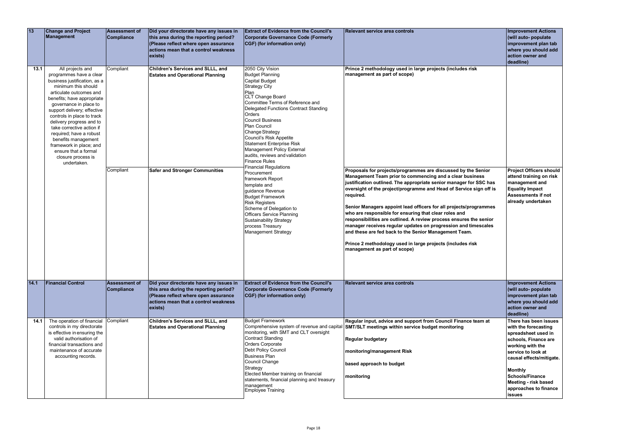| 13   | <b>Change and Project</b><br>Management                                                                                                                                                                                                                                                                                                                                                                                                               | <b>Assessment of</b><br>Compliance | Did your directorate have any issues in<br>this area during the reporting period?<br>(Please reflect where open assurance<br>actions mean that a control weakness<br>exists) | <b>Extract of Evidence from the Council's</b><br>Corporate Governance Code (Formerly<br>CGF) (for information only)                                                                                                                                                                                                                                                                                                                                                                                                                                                                                                                                                                                                                                      | <b>Relevant service area controls</b>                                                                                                                                                                                                                                                                                                                                                                                                                                                                                                                                                                                                                                                                                                                                                                         | <b>Improvement Actions</b><br>(will auto- populate<br>improvement plan tab<br>where you should add<br>action owner and<br>deadline)                                                                                                                                              |
|------|-------------------------------------------------------------------------------------------------------------------------------------------------------------------------------------------------------------------------------------------------------------------------------------------------------------------------------------------------------------------------------------------------------------------------------------------------------|------------------------------------|------------------------------------------------------------------------------------------------------------------------------------------------------------------------------|----------------------------------------------------------------------------------------------------------------------------------------------------------------------------------------------------------------------------------------------------------------------------------------------------------------------------------------------------------------------------------------------------------------------------------------------------------------------------------------------------------------------------------------------------------------------------------------------------------------------------------------------------------------------------------------------------------------------------------------------------------|---------------------------------------------------------------------------------------------------------------------------------------------------------------------------------------------------------------------------------------------------------------------------------------------------------------------------------------------------------------------------------------------------------------------------------------------------------------------------------------------------------------------------------------------------------------------------------------------------------------------------------------------------------------------------------------------------------------------------------------------------------------------------------------------------------------|----------------------------------------------------------------------------------------------------------------------------------------------------------------------------------------------------------------------------------------------------------------------------------|
| 13.1 | All projects and<br>programmes have a clear<br>business justification, as a<br>minimum this should<br>articulate outcomes and<br>benefits; have appropriate<br>governance in place to<br>support delivery; effective<br>controls in place to track<br>delivery progress and to<br>take corrective action if<br>required; have a robust<br>benefits management<br>framework in place; and<br>ensure that a formal<br>closure process is<br>undertaken. | Compliant<br>Compliant             | Children's Services and SLLL, and<br><b>Estates and Operational Planning</b><br><b>Safer and Stronger Communities</b>                                                        | 2050 City Vision<br><b>Budget Planning</b><br><b>Capital Budget</b><br><b>Strategy City</b><br>Plan<br>CLT Change Board<br>Committee Terms of Reference and<br>Delegated Functions Contract Standing<br>Orders<br><b>Council Business</b><br><b>Plan Council</b><br>Change Strategy<br>Council's Risk Appetite<br><b>Statement Enterprise Risk</b><br>Management Policy External<br>audits, reviews and validation<br><b>Finance Rules</b><br><b>Financial Regulations</b><br>Procurement<br>framework Report<br>template and<br>guidance Revenue<br><b>Budget Framework</b><br><b>Risk Registers</b><br>Scheme of Delegation to<br><b>Officers Service Planning</b><br><b>Sustainability Strategy</b><br>process Treasury<br><b>Management Strategy</b> | Prince 2 methodology used in large projects (includes risk<br>management as part of scope)<br>Proposals for projects/programmes are discussed by the Senior<br>Management Team prior to commencing and a clear business<br>justification outlined. The appropriate senior manager for SSC has<br>oversight of the project/programme and Head of Service sign off is<br>required.<br>Senior Managers appoint lead officers for all projects/programmes<br>who are responsible for ensuring that clear roles and<br>responsibilities are outlined. A review process ensures the senior<br>manager receives regular updates on progression and timescales<br>and these are fed back to the Senior Management Team.<br>Prince 2 methodology used in large projects (includes risk<br>management as part of scope) | <b>Project Officers should</b><br>attend training on risk<br>management and<br><b>Equality Impact</b><br><b>Assessments if not</b><br>already undertaken                                                                                                                         |
| 14.1 | <b>Financial Control</b>                                                                                                                                                                                                                                                                                                                                                                                                                              | <b>Assessment of</b><br>Compliance | Did your directorate have any issues in<br>this area during the reporting period?<br>(Please reflect where open assurance<br>actions mean that a control weakness<br>exists) | <b>Extract of Evidence from the Council's</b><br>Corporate Governance Code (Formerly<br>CGF) (for information only)                                                                                                                                                                                                                                                                                                                                                                                                                                                                                                                                                                                                                                      | <b>Relevant service area controls</b>                                                                                                                                                                                                                                                                                                                                                                                                                                                                                                                                                                                                                                                                                                                                                                         | <b>Improvement Actions</b><br>(will auto- populate<br>improvement plan tab<br>where you should add<br>action owner and<br>deadline)                                                                                                                                              |
| 14.1 | The operation of financial<br>controls in my directorate<br>is effective in ensuring the<br>valid authorisation of<br>financial transactions and<br>maintenance of accurate<br>accounting records.                                                                                                                                                                                                                                                    | Compliant                          | Children's Services and SLLL, and<br><b>Estates and Operational Planning</b>                                                                                                 | <b>Budget Framework</b><br>Comprehensive system of revenue and capital<br>monitoring, with SMT and CLT oversight<br><b>Contract Standing</b><br>Orders Corporate<br>Debt Policy Council<br><b>Business Plan</b><br>Council Change<br>Strategy<br>Elected Member training on financial<br>statements, financial planning and treasury<br>management<br>Employee Training                                                                                                                                                                                                                                                                                                                                                                                  | Regular input, advice and support from Council Finance team at<br>SMT/SLT meetings within service budget monitoring<br><b>Regular budgetary</b><br>monitoring/management Risk<br>based approach to budget<br>monitoring                                                                                                                                                                                                                                                                                                                                                                                                                                                                                                                                                                                       | There has been issues<br>with the forecasting<br>spreadsheet used in<br>schools, Finance are<br>working with the<br>service to look at<br>causal effects/mitigate.<br><b>Monthly</b><br>Schools/Finance<br><b>Meeting - risk based</b><br>approaches to finance<br><b>issues</b> |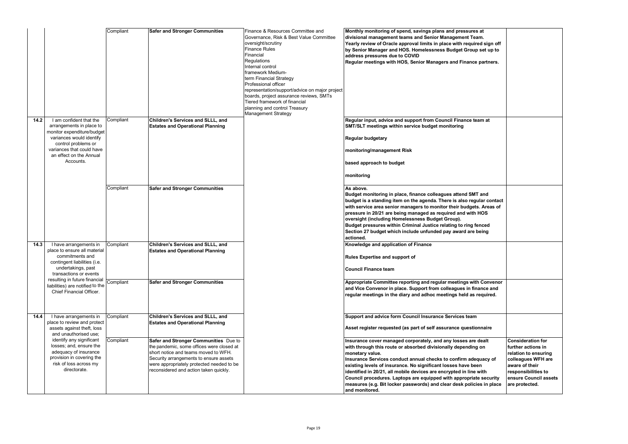|        |                                                                                                                                                                                                           | Compliant | <b>Safer and Stronger Communities</b>                                                                                                                                                                                                                       | Finance & Resources Committee and<br>Governance, Risk & Best Value Committee<br>oversight/scrutiny<br><b>Finance Rules</b><br>Financial<br>Regulations<br>Internal control<br>framework Medium-<br>term Financial Strategy<br>Professional officer<br>representation/support/advice on major project<br>boards, project assurance reviews, SMTs<br>Tiered framework of financial<br>planning and control Treasury<br><b>Management Strategy</b> | Monthly monitoring of spend, savings plans and pressures at<br>divisional management teams and Senior Management Team.<br>Yearly review of Oracle approval limits in place with required sign off<br>by Senior Manager and HOS. Homelessness Budget Group set up to<br>address pressures due to COVID<br>Regular meetings with HOS, Senior Managers and Finance partners.                                                                                                                                                    |
|--------|-----------------------------------------------------------------------------------------------------------------------------------------------------------------------------------------------------------|-----------|-------------------------------------------------------------------------------------------------------------------------------------------------------------------------------------------------------------------------------------------------------------|-------------------------------------------------------------------------------------------------------------------------------------------------------------------------------------------------------------------------------------------------------------------------------------------------------------------------------------------------------------------------------------------------------------------------------------------------|------------------------------------------------------------------------------------------------------------------------------------------------------------------------------------------------------------------------------------------------------------------------------------------------------------------------------------------------------------------------------------------------------------------------------------------------------------------------------------------------------------------------------|
| $14.2$ | I am confident that the<br>arrangements in place to<br>monitor expenditure/budget<br>variances would identify<br>control problems or<br>variances that could have<br>an effect on the Annual<br>Accounts. | Compliant | Children's Services and SLLL, and<br><b>Estates and Operational Planning</b>                                                                                                                                                                                |                                                                                                                                                                                                                                                                                                                                                                                                                                                 | Regular input, advice and support from Council Finance team at<br>SMT/SLT meetings within service budget monitoring<br><b>Regular budgetary</b><br>monitoring/management Risk<br>based approach to budget<br>monitoring                                                                                                                                                                                                                                                                                                      |
|        |                                                                                                                                                                                                           | Compliant | <b>Safer and Stronger Communities</b>                                                                                                                                                                                                                       |                                                                                                                                                                                                                                                                                                                                                                                                                                                 | As above.<br>Budget monitoring in place, finance colleagues attend SMT and<br>budget is a standing item on the agenda. There is also regular contact<br>with service area senior managers to monitor their budgets. Areas of<br>pressure in 20/21 are being managed as required and with HOS<br>oversight (including Homelessness Budget Group).<br>Budget pressures within Criminal Justice relating to ring fenced<br>Section 27 budget which include unfunded pay award are being<br>actioned.                            |
| 14.3   | I have arrangements in<br>place to ensure all material<br>commitments and<br>contingent liabilities (i.e.<br>undertakings, past<br>transactions or events                                                 | Compliant | Children's Services and SLLL, and<br><b>Estates and Operational Planning</b>                                                                                                                                                                                |                                                                                                                                                                                                                                                                                                                                                                                                                                                 | Knowledge and application of Finance<br><b>Rules Expertise and support of</b><br><b>Council Finance team</b>                                                                                                                                                                                                                                                                                                                                                                                                                 |
|        | resulting in future financial<br>liabilities) are notified to the<br>Chief Financial Officer.                                                                                                             | Compliant | <b>Safer and Stronger Communities</b>                                                                                                                                                                                                                       |                                                                                                                                                                                                                                                                                                                                                                                                                                                 | Appropriate Committee reporting and regular meetings with Convenor<br>and Vice Convenor in place. Support from colleagues in finance and<br>regular meetings in the diary and adhoc meetings held as required.                                                                                                                                                                                                                                                                                                               |
| 14.4   | I have arrangements in<br>place to review and protect<br>assets against theft, loss<br>and unauthorised use;                                                                                              | Compliant | Children's Services and SLLL, and<br><b>Estates and Operational Planning</b>                                                                                                                                                                                |                                                                                                                                                                                                                                                                                                                                                                                                                                                 | Support and advice form Council Insurance Services team<br>Asset register requested (as part of self assurance questionnaire                                                                                                                                                                                                                                                                                                                                                                                                 |
|        | identify any significant<br>losses; and, ensure the<br>adequacy of insurance<br>provision in covering the<br>risk of loss across my<br>directorate.                                                       | Compliant | Safer and Stronger Communities Due to<br>the pandemic, some offices were closed at<br>short notice and teams moved to WFH.<br>Security arrangements to ensure assets<br>were appropriately protected needed to be<br>reconsidered and action taken quickly. |                                                                                                                                                                                                                                                                                                                                                                                                                                                 | Insurance cover managed corporately, and any losses are dealt<br>with through this route or absorbed divisionally depending on<br>monetary value.<br>Insurance Services conduct annual checks to confirm adequacy of<br>existing levels of insurance. No significant losses have been<br>identified in 20/21, all mobile devices are encrypted in line with<br>Council procedures. Laptops are equipped with appropriate security<br>measures (e.g. Bit locker passwords) and clear desk policies in place<br>and monitored. |

| es at<br>am.<br>red sign off<br>p set up to |                                              |
|---------------------------------------------|----------------------------------------------|
| e partners.                                 |                                              |
|                                             |                                              |
|                                             |                                              |
|                                             |                                              |
|                                             |                                              |
|                                             |                                              |
| eam at                                      |                                              |
|                                             |                                              |
|                                             |                                              |
|                                             |                                              |
|                                             |                                              |
|                                             |                                              |
|                                             |                                              |
|                                             |                                              |
| IT and<br>gular contact                     |                                              |
| ts. Areas of                                |                                              |
| າ HOS                                       |                                              |
| fenced                                      |                                              |
| being                                       |                                              |
|                                             |                                              |
|                                             |                                              |
|                                             |                                              |
|                                             |                                              |
| th Convenor                                 |                                              |
| nance and<br>required.                      |                                              |
|                                             |                                              |
| ń                                           |                                              |
|                                             |                                              |
| onnaire                                     |                                              |
| $\frac{1}{2}$ dealt                         | <b>Consideration for</b>                     |
| ig on                                       | further actions in<br>relation to ensuring   |
| equacy of                                   | colleagues WFH are                           |
| een                                         | aware of their                               |
| ) with<br>ate security                      | responsibilities to<br>ensure Council assets |
| cies in place                               | are protected.                               |
|                                             |                                              |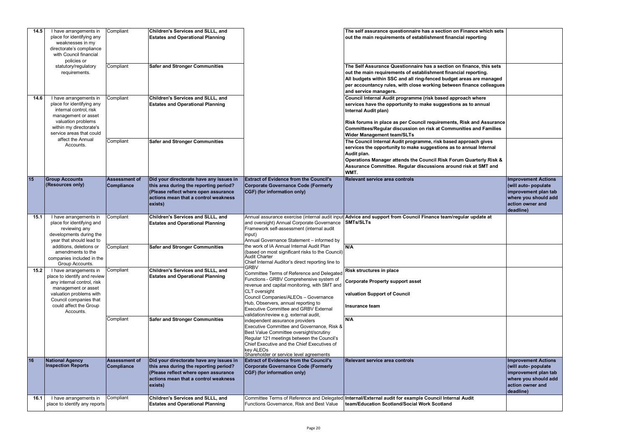| 14.5 | I have arrangements in<br>place for identifying any<br>weaknesses in my<br>directorate's compliance<br>with Council financial<br>policies or                                                            | Compliant                                 | Children's Services and SLLL, and<br><b>Estates and Operational Planning</b>                                                                                                 |                                                                                                                                                                                                                                                                                                                                  | The self assurance questionnaire has a section on Finance which sets<br>out the main requirements of establishment financial reporting                                                                                                                                                                                                     |                                                                                                                                     |
|------|---------------------------------------------------------------------------------------------------------------------------------------------------------------------------------------------------------|-------------------------------------------|------------------------------------------------------------------------------------------------------------------------------------------------------------------------------|----------------------------------------------------------------------------------------------------------------------------------------------------------------------------------------------------------------------------------------------------------------------------------------------------------------------------------|--------------------------------------------------------------------------------------------------------------------------------------------------------------------------------------------------------------------------------------------------------------------------------------------------------------------------------------------|-------------------------------------------------------------------------------------------------------------------------------------|
|      | statutory/regulatory<br>requirements.                                                                                                                                                                   | Compliant                                 | <b>Safer and Stronger Communities</b>                                                                                                                                        |                                                                                                                                                                                                                                                                                                                                  | The Self Assurance Questionnaire has a section on finance, this sets<br>out the main requirements of establishment financial reporting.<br>All budgets within SSC and all ring-fenced budget areas are managed<br>per accountancy rules, with close working between finance colleagues<br>and service managers.                            |                                                                                                                                     |
| 14.6 | I have arrangements in<br>place for identifying any<br>internal control, risk<br>management or asset<br>valuation problems<br>within my directorate's<br>service areas that could                       | Compliant                                 | Children's Services and SLLL, and<br><b>Estates and Operational Planning</b>                                                                                                 |                                                                                                                                                                                                                                                                                                                                  | Council Internal Audit programme (risk based approach where<br>services have the opportunity to make suggestions as to annual<br>Internal Audit plan)<br>Risk forums in place as per Council requirements, Risk and Assurance<br>Committees/Regular discussion on risk at Communities and Families                                         |                                                                                                                                     |
|      | affect the Annual<br>Accounts.                                                                                                                                                                          | Compliant                                 | <b>Safer and Stronger Communities</b>                                                                                                                                        |                                                                                                                                                                                                                                                                                                                                  | <b>Wider Management team/SLTs</b><br>The Council Internal Audit programme, risk based approach gives<br>services the opportunity to make suggestions as to annual Internal<br>Audit plan.<br>Operations Manager attends the Council Risk Forum Quarterly Risk &<br>Assurance Committee. Regular discussions around risk at SMT and<br>WMT. |                                                                                                                                     |
| 15   | <b>Group Accounts</b><br>(Resources only)                                                                                                                                                               | <b>Assessment of</b><br><b>Compliance</b> | Did your directorate have any issues in<br>this area during the reporting period?<br>(Please reflect where open assurance<br>actions mean that a control weakness<br>exists) | <b>Extract of Evidence from the Council's</b><br>Corporate Governance Code (Formerly<br>CGF) (for information only)                                                                                                                                                                                                              | Relevant service area controls                                                                                                                                                                                                                                                                                                             | <b>Improvement Actions</b><br>(will auto- populate<br>improvement plan tab<br>where you should add<br>action owner and<br>deadline) |
| 15.1 | I have arrangements in<br>place for identifying and<br>reviewing any<br>developments during the<br>year that should lead to                                                                             | Compliant                                 | <b>Children's Services and SLLL, and</b><br><b>Estates and Operational Planning</b>                                                                                          | and oversight) Annual Corporate Governance<br>Framework self-assessment (internal audit<br>input)<br>Annual Governance Statement - informed by                                                                                                                                                                                   | Annual assurance exercise (internal audit input Advice and support from Council Finance team/regular update at<br><b>SMTs/SLTs</b>                                                                                                                                                                                                         |                                                                                                                                     |
|      | additions, deletions or<br>amendments to the<br>companies included in the<br>Group Accounts.                                                                                                            | Compliant                                 | <b>Safer and Stronger Communities</b>                                                                                                                                        | the work of IA Annual Internal Audit Plan<br>based on most significant risks to the Council)<br>Audit Charter<br>Chief Internal Auditor's direct reporting line to<br><b>GRBV</b>                                                                                                                                                | N/A                                                                                                                                                                                                                                                                                                                                        |                                                                                                                                     |
| 15.2 | I have arrangements in<br>place to identify and review<br>any internal control, risk<br>management or asset<br>valuation problems with<br>Council companies that<br>could affect the Group<br>Accounts. | Compliant                                 | Children's Services and SLLL, and<br><b>Estates and Operational Planning</b>                                                                                                 | Committee Terms of Reference and Delegated<br>Functions - GRBV Comprehensive system of<br>revenue and capital monitoring, with SMT and<br>CLT oversight<br>Council Companies/ALEOs - Governance<br>Hub, Observers, annual reporting to<br><b>Executive Committee and GRBV External</b><br>validation/review e.g. external audit, | <b>Risk structures in place</b><br><b>Corporate Property support asset</b><br>valuation Support of Council<br>Insurance team                                                                                                                                                                                                               |                                                                                                                                     |
|      |                                                                                                                                                                                                         | Compliant                                 | <b>Safer and Stronger Communities</b>                                                                                                                                        | independent assurance providers<br>Executive Committee and Governance, Risk &<br>Best Value Committee oversight/scrutiny<br>Regular 121 meetings between the Council's<br>Chief Executive and the Chief Executives of<br>key ALEOs<br>Shareholder or service level agreements                                                    | N/A                                                                                                                                                                                                                                                                                                                                        |                                                                                                                                     |
| 16   | National Agency<br><b>Inspection Reports</b>                                                                                                                                                            | <b>Assessment of</b><br><b>Compliance</b> | Did your directorate have any issues in<br>this area during the reporting period?<br>(Please reflect where open assurance<br>actions mean that a control weakness<br>exists) | <b>Extract of Evidence from the Council's</b><br>Corporate Governance Code (Formerly<br>CGF) (for information only)                                                                                                                                                                                                              | <b>Relevant service area controls</b>                                                                                                                                                                                                                                                                                                      | <b>Improvement Actions</b><br>(will auto- populate<br>improvement plan tab<br>where you should add<br>action owner and<br>deadline) |
| 16.1 | I have arrangements in<br>place to identify any reports                                                                                                                                                 | Compliant                                 | Children's Services and SLLL, and<br><b>Estates and Operational Planning</b>                                                                                                 | Functions Governance, Risk and Best Value                                                                                                                                                                                                                                                                                        | Committee Terms of Reference and Delegated Internal/External audit for example Council Internal Audit<br>team/Education Scotland/Social Work Scotland                                                                                                                                                                                      |                                                                                                                                     |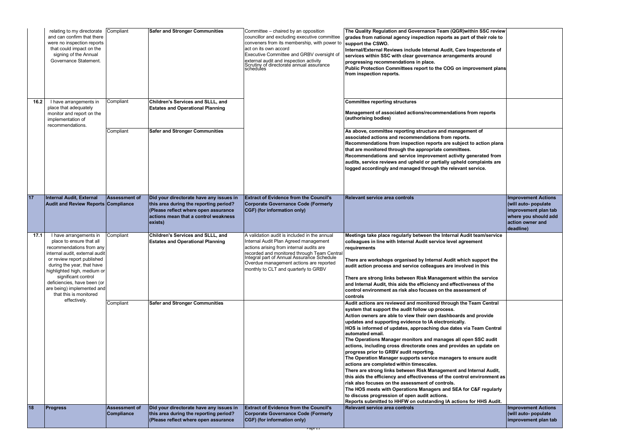|      | relating to my directorate<br>and can confirm that there<br>were no inspection reports<br>that could impact on the<br>signing of the Annual<br>Governance Statement.                                                                                                                                                                      | Compliant                                 | <b>Safer and Stronger Communities</b>                                                                                                                                        | Committee - chaired by an opposition<br>councillor and excluding executive committee<br>conveners from its membership, with power to<br>act on its own accord<br>Executive Committee and GRBV oversight of<br>external audit and inspection activity<br>Scrutiny of directorate annual assurance<br>schedules     | The Quality Regulation and Governance Team (QGR) within SSC review<br>grades from national agency inspection reports as part of their role to<br>support the CSWO.<br>Internal/External Reviews include Internal Audit, Care Inspectorate of<br>services within SSC with clear governance arrangements around<br>progressing recommendations in place.<br>Public Protection Committees report to the COG on improvement plans<br>from inspection reports.                                                                                                                                                                                                                                                                                                                                                                                                                         |                                                                                                                                     |
|------|-------------------------------------------------------------------------------------------------------------------------------------------------------------------------------------------------------------------------------------------------------------------------------------------------------------------------------------------|-------------------------------------------|------------------------------------------------------------------------------------------------------------------------------------------------------------------------------|-------------------------------------------------------------------------------------------------------------------------------------------------------------------------------------------------------------------------------------------------------------------------------------------------------------------|-----------------------------------------------------------------------------------------------------------------------------------------------------------------------------------------------------------------------------------------------------------------------------------------------------------------------------------------------------------------------------------------------------------------------------------------------------------------------------------------------------------------------------------------------------------------------------------------------------------------------------------------------------------------------------------------------------------------------------------------------------------------------------------------------------------------------------------------------------------------------------------|-------------------------------------------------------------------------------------------------------------------------------------|
| 16.2 | I have arrangements in<br>place that adequately<br>monitor and report on the<br>implementation of<br>recommendations.                                                                                                                                                                                                                     | Compliant<br>Compliant                    | Children's Services and SLLL, and<br><b>Estates and Operational Planning</b><br><b>Safer and Stronger Communities</b>                                                        |                                                                                                                                                                                                                                                                                                                   | <b>Committee reporting structures</b><br>Management of associated actions/recommendations from reports<br>(authorising bodies)<br>As above, committee reporting structure and management of<br>associated actions and recommendations from reports.<br>Recommendations from inspection reports are subject to action plans<br>that are monitored through the appropriate committees.<br>Recommendations and service improvement activity generated from<br>audits, service reviews and upheld or partially upheld complaints are<br>logged accordingly and managed through the relevant service.                                                                                                                                                                                                                                                                                  |                                                                                                                                     |
| 17   | <b>Internal Audit, External</b><br><b>Audit and Review Reports Compliance</b>                                                                                                                                                                                                                                                             | <b>Assessment of</b>                      | Did your directorate have any issues in<br>this area during the reporting period?<br>(Please reflect where open assurance<br>actions mean that a control weakness<br>exists) | <b>Extract of Evidence from the Council's</b><br><b>Corporate Governance Code (Formerly</b><br>CGF) (for information only)                                                                                                                                                                                        | <b>Relevant service area controls</b>                                                                                                                                                                                                                                                                                                                                                                                                                                                                                                                                                                                                                                                                                                                                                                                                                                             | <b>Improvement Actions</b><br>(will auto- populate<br>improvement plan tab<br>where you should add<br>action owner and<br>deadline) |
| 17.1 | I have arrangements in<br>place to ensure that all<br>recommendations from any<br>internal audit, external audit<br>or review report published<br>during the year, that have<br>highlighted high, medium or<br>significant control<br>deficiencies, have been (or<br>are being) implemented and<br>that this is monitored<br>effectively. | Compliant<br>Compliant                    | Children's Services and SLLL, and<br><b>Estates and Operational Planning</b><br><b>Safer and Stronger Communities</b>                                                        | A validation audit is included in the annual<br>Internal Audit Plan Agreed management<br>actions arising from internal audits are<br>recorded and monitored through Team Central<br>Integral part of Annual Assurance Schedule<br>Overdue management actions are reported<br>monthly to CLT and quarterly to GRBV | Meetings take place regularly between the Internal Audit team/service<br>colleagues in line with Internal Audit service level agreement<br>requirements<br>There are workshops organised by Internal Audit which support the<br>audit action process and service colleagues are involved in this<br>There are strong links between Risk Management within the service<br>and Internal Audit, this aids the efficiency and effectiveness of the<br>control environment as risk also focuses on the assessment of<br><b>controls</b><br>Audit actions are reviewed and monitored through the Team Central<br>system that support the audit follow up process.<br>Action owners are able to view their own dashboards and provide<br>updates and supporting evidence to IA electronically.<br>HOS is informed of updates, approaching due dates via Team Central<br>automated email. |                                                                                                                                     |
|      |                                                                                                                                                                                                                                                                                                                                           |                                           |                                                                                                                                                                              |                                                                                                                                                                                                                                                                                                                   | The Operations Manager monitors and manages all open SSC audit<br>actions, including cross directorate ones and provides an update on<br>progress prior to GRBV audit reporting.<br>The Operation Manager supports service managers to ensure audit<br>actions are completed within timescales.<br>There are strong links between Risk Management and Internal Audit,<br>this aids the efficiency and effectiveness of the control environment as<br>risk also focuses on the assessment of controls.<br>The HOS meets with Operations Managers and SEA for C&F regularly<br>to discuss progression of open audit actions.<br>Reports submitted to HHFW on outstanding IA actions for HHS Audit.                                                                                                                                                                                  |                                                                                                                                     |
| 18   | <b>Progress</b>                                                                                                                                                                                                                                                                                                                           | <b>Assessment of</b><br><b>Compliance</b> | Did your directorate have any issues in<br>this area during the reporting period?<br>(Please reflect where open assurance                                                    | <b>Extract of Evidence from the Council's</b><br>Corporate Governance Code (Formerly<br>CGF) (for information only)<br><u>Page zir</u>                                                                                                                                                                            | Relevant service area controls                                                                                                                                                                                                                                                                                                                                                                                                                                                                                                                                                                                                                                                                                                                                                                                                                                                    | <b>Improvement Actions</b><br>(will auto- populate<br>improvement plan tab                                                          |

| <b>Improvement Actions</b><br>(will auto- populate<br>improvement plan tab<br>where you should add<br>action owner and<br>deadline) |
|-------------------------------------------------------------------------------------------------------------------------------------|
|                                                                                                                                     |
|                                                                                                                                     |
|                                                                                                                                     |
|                                                                                                                                     |
|                                                                                                                                     |
|                                                                                                                                     |
|                                                                                                                                     |
|                                                                                                                                     |
|                                                                                                                                     |
|                                                                                                                                     |
|                                                                                                                                     |
|                                                                                                                                     |
| <b>Improvement Actions</b><br>(will auto- populate<br>improvement plan tab                                                          |
|                                                                                                                                     |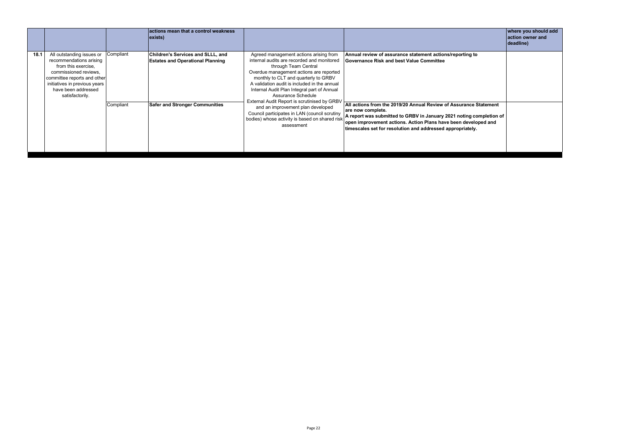|      |                                                                                                                                                                                                                                                                                                                                                                                                                                                                                                                                                                                                                                     |                                                                                                              | actions mean that a control weakness<br>$\vert$ exists) |                                                                                                                                                                                                    |                                                                                                                                                                                                                                                                                               | where you should add<br>action owner and<br>deadline) |
|------|-------------------------------------------------------------------------------------------------------------------------------------------------------------------------------------------------------------------------------------------------------------------------------------------------------------------------------------------------------------------------------------------------------------------------------------------------------------------------------------------------------------------------------------------------------------------------------------------------------------------------------------|--------------------------------------------------------------------------------------------------------------|---------------------------------------------------------|----------------------------------------------------------------------------------------------------------------------------------------------------------------------------------------------------|-----------------------------------------------------------------------------------------------------------------------------------------------------------------------------------------------------------------------------------------------------------------------------------------------|-------------------------------------------------------|
| 18.1 | All outstanding issues or<br>Children's Services and SLLL, and<br>Agreed management actions arising from<br>Compliant<br>internal audits are recorded and monitored<br>recommendations arising<br><b>Estates and Operational Planning</b><br>from this exercise,<br>through Team Central<br>Overdue management actions are reported<br>commissioned reviews,<br>monthly to CLT and quarterly to GRBV<br>committee reports and other<br>A validation audit is included in the annual<br>initiatives in previous years<br>have been addressed<br>Internal Audit Plan Integral part of Annual<br>satisfactorily.<br>Assurance Schedule | Annual review of assurance statement actions/reporting to<br><b>Governance Risk and best Value Committee</b> |                                                         |                                                                                                                                                                                                    |                                                                                                                                                                                                                                                                                               |                                                       |
|      |                                                                                                                                                                                                                                                                                                                                                                                                                                                                                                                                                                                                                                     | Compliant                                                                                                    | <b>Safer and Stronger Communities</b>                   | External Audit Report is scrutinised by GRBV<br>and an improvement plan developed<br>Council participates in LAN (council scrutiny<br>bodies) whose activity is based on shared risk<br>assessment | All actions from the 2019/20 Annual Review of Assurance Statement<br>are now complete.<br>A report was submitted to GRBV in January 2021 noting completion of<br>open improvement actions. Action Plans have been developed and<br>timescales set for resolution and addressed appropriately. |                                                       |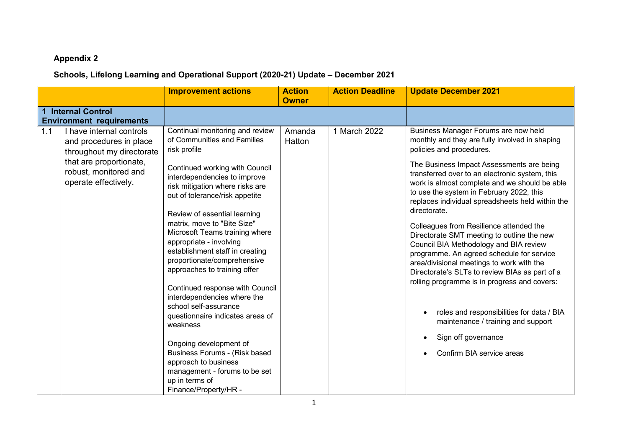#### **Appendix 2**

### **Schools, Lifelong Learning and Operational Support (2020-21) Update – December 2021**

|     |                                                                                                                                                              | <b>Improvement actions</b>                                                                                                                                                                                                                                                                                                                                                                                                                                                                                                                                                                                                                                                                                                                                    | <b>Action</b><br><b>Owner</b> | <b>Action Deadline</b> | <b>Update December 2021</b>                                                                                                                                                                                                                                                                                                                                                                                                                                                                                                                                                                                                                                                                                                                                                                                                                              |
|-----|--------------------------------------------------------------------------------------------------------------------------------------------------------------|---------------------------------------------------------------------------------------------------------------------------------------------------------------------------------------------------------------------------------------------------------------------------------------------------------------------------------------------------------------------------------------------------------------------------------------------------------------------------------------------------------------------------------------------------------------------------------------------------------------------------------------------------------------------------------------------------------------------------------------------------------------|-------------------------------|------------------------|----------------------------------------------------------------------------------------------------------------------------------------------------------------------------------------------------------------------------------------------------------------------------------------------------------------------------------------------------------------------------------------------------------------------------------------------------------------------------------------------------------------------------------------------------------------------------------------------------------------------------------------------------------------------------------------------------------------------------------------------------------------------------------------------------------------------------------------------------------|
|     | <b>Internal Control</b><br><b>Environment requirements</b>                                                                                                   |                                                                                                                                                                                                                                                                                                                                                                                                                                                                                                                                                                                                                                                                                                                                                               |                               |                        |                                                                                                                                                                                                                                                                                                                                                                                                                                                                                                                                                                                                                                                                                                                                                                                                                                                          |
| 1.1 | I have internal controls<br>and procedures in place<br>throughout my directorate<br>that are proportionate,<br>robust, monitored and<br>operate effectively. | Continual monitoring and review<br>of Communities and Families<br>risk profile<br>Continued working with Council<br>interdependencies to improve<br>risk mitigation where risks are<br>out of tolerance/risk appetite<br>Review of essential learning<br>matrix, move to "Bite Size"<br>Microsoft Teams training where<br>appropriate - involving<br>establishment staff in creating<br>proportionate/comprehensive<br>approaches to training offer<br>Continued response with Council<br>interdependencies where the<br>school self-assurance<br>questionnaire indicates areas of<br>weakness<br>Ongoing development of<br>Business Forums - (Risk based<br>approach to business<br>management - forums to be set<br>up in terms of<br>Finance/Property/HR - | Amanda<br>Hatton              | 1 March 2022           | Business Manager Forums are now held<br>monthly and they are fully involved in shaping<br>policies and procedures.<br>The Business Impact Assessments are being<br>transferred over to an electronic system, this<br>work is almost complete and we should be able<br>to use the system in February 2022, this<br>replaces individual spreadsheets held within the<br>directorate.<br>Colleagues from Resilience attended the<br>Directorate SMT meeting to outline the new<br>Council BIA Methodology and BIA review<br>programme. An agreed schedule for service<br>area/divisional meetings to work with the<br>Directorate's SLTs to review BIAs as part of a<br>rolling programme is in progress and covers:<br>roles and responsibilities for data / BIA<br>maintenance / training and support<br>Sign off governance<br>Confirm BIA service areas |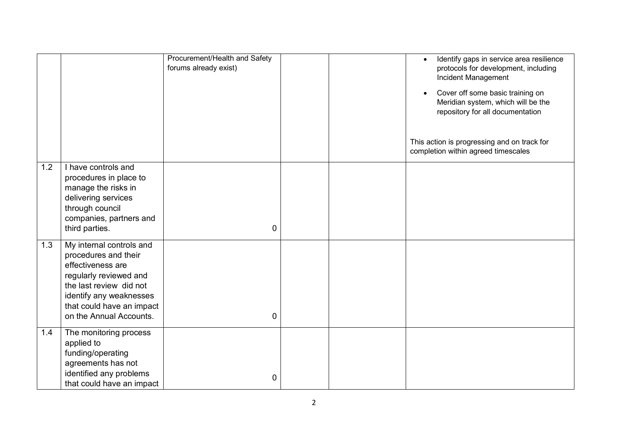|     |                                                                                                                                                                                                               | Procurement/Health and Safety<br>forums already exist) |  | Identify gaps in service area resilience<br>protocols for development, including<br>Incident Management<br>Cover off some basic training on<br>Meridian system, which will be the<br>repository for all documentation<br>This action is progressing and on track for<br>completion within agreed timescales |
|-----|---------------------------------------------------------------------------------------------------------------------------------------------------------------------------------------------------------------|--------------------------------------------------------|--|-------------------------------------------------------------------------------------------------------------------------------------------------------------------------------------------------------------------------------------------------------------------------------------------------------------|
| 1.2 | I have controls and<br>procedures in place to<br>manage the risks in<br>delivering services<br>through council<br>companies, partners and<br>third parties.                                                   | 0                                                      |  |                                                                                                                                                                                                                                                                                                             |
| 1.3 | My internal controls and<br>procedures and their<br>effectiveness are<br>regularly reviewed and<br>the last review did not<br>identify any weaknesses<br>that could have an impact<br>on the Annual Accounts. | 0                                                      |  |                                                                                                                                                                                                                                                                                                             |
| 1.4 | The monitoring process<br>applied to<br>funding/operating<br>agreements has not<br>identified any problems<br>that could have an impact                                                                       | 0                                                      |  |                                                                                                                                                                                                                                                                                                             |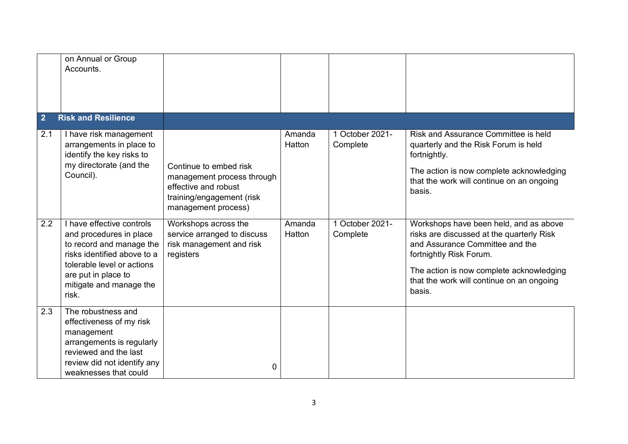|                | on Annual or Group<br>Accounts.                                                                                                                                                                          |                                                                                                                                  |                  |                             |                                                                                                                                                                                                                                                      |
|----------------|----------------------------------------------------------------------------------------------------------------------------------------------------------------------------------------------------------|----------------------------------------------------------------------------------------------------------------------------------|------------------|-----------------------------|------------------------------------------------------------------------------------------------------------------------------------------------------------------------------------------------------------------------------------------------------|
| $\overline{2}$ | <b>Risk and Resilience</b>                                                                                                                                                                               |                                                                                                                                  |                  |                             |                                                                                                                                                                                                                                                      |
| 2.1            | I have risk management<br>arrangements in place to<br>identify the key risks to<br>my directorate (and the<br>Council).                                                                                  | Continue to embed risk<br>management process through<br>effective and robust<br>training/engagement (risk<br>management process) | Amanda<br>Hatton | 1 October 2021-<br>Complete | Risk and Assurance Committee is held<br>quarterly and the Risk Forum is held<br>fortnightly.<br>The action is now complete acknowledging<br>that the work will continue on an ongoing<br>basis.                                                      |
| 2.2            | I have effective controls<br>and procedures in place<br>to record and manage the<br>risks identified above to a<br>tolerable level or actions<br>are put in place to<br>mitigate and manage the<br>risk. | Workshops across the<br>service arranged to discuss<br>risk management and risk<br>registers                                     | Amanda<br>Hatton | 1 October 2021-<br>Complete | Workshops have been held, and as above<br>risks are discussed at the quarterly Risk<br>and Assurance Committee and the<br>fortnightly Risk Forum.<br>The action is now complete acknowledging<br>that the work will continue on an ongoing<br>basis. |
| 2.3            | The robustness and<br>effectiveness of my risk<br>management<br>arrangements is regularly<br>reviewed and the last<br>review did not identify any<br>weaknesses that could                               | 0                                                                                                                                |                  |                             |                                                                                                                                                                                                                                                      |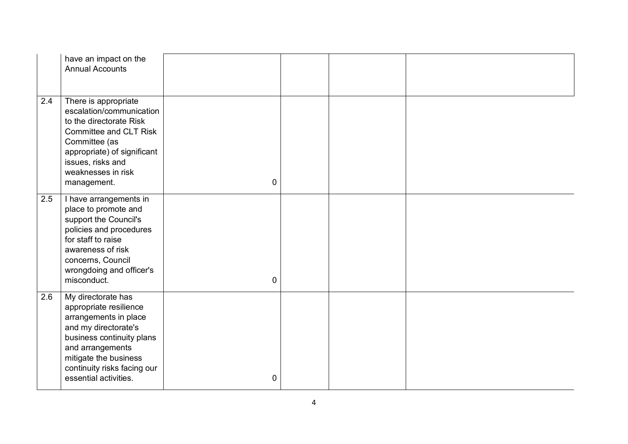|     | have an impact on the<br><b>Annual Accounts</b>                                                                                                                                                                                 |             |  |  |
|-----|---------------------------------------------------------------------------------------------------------------------------------------------------------------------------------------------------------------------------------|-------------|--|--|
| 2.4 | There is appropriate<br>escalation/communication<br>to the directorate Risk<br>Committee and CLT Risk<br>Committee (as<br>appropriate) of significant<br>issues, risks and<br>weaknesses in risk<br>management.                 | $\mathbf 0$ |  |  |
| 2.5 | I have arrangements in<br>place to promote and<br>support the Council's<br>policies and procedures<br>for staff to raise<br>awareness of risk<br>concerns, Council<br>wrongdoing and officer's<br>misconduct.                   | 0           |  |  |
| 2.6 | My directorate has<br>appropriate resilience<br>arrangements in place<br>and my directorate's<br>business continuity plans<br>and arrangements<br>mitigate the business<br>continuity risks facing our<br>essential activities. | 0           |  |  |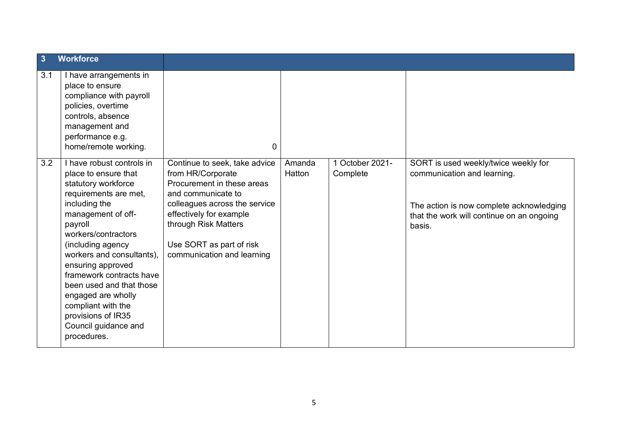| $\overline{\mathbf{3}}$ | <b>Workforce</b>                                                                                                                                                                                                                                                                                                                                                                                                   |                                                                                                                                                                                                                                                      |                  |                           |                                                                                                                                                                        |
|-------------------------|--------------------------------------------------------------------------------------------------------------------------------------------------------------------------------------------------------------------------------------------------------------------------------------------------------------------------------------------------------------------------------------------------------------------|------------------------------------------------------------------------------------------------------------------------------------------------------------------------------------------------------------------------------------------------------|------------------|---------------------------|------------------------------------------------------------------------------------------------------------------------------------------------------------------------|
| 3.1                     | I have arrangements in<br>place to ensure<br>compliance with payroll<br>policies, overtime<br>controls, absence<br>management and<br>performance e.g.<br>home/remote working.                                                                                                                                                                                                                                      | 0                                                                                                                                                                                                                                                    |                  |                           |                                                                                                                                                                        |
| 3.2                     | I have robust controls in<br>place to ensure that<br>statutory workforce<br>requirements are met,<br>including the<br>management of off-<br>payroll<br>workers/contractors<br>(including agency<br>workers and consultants),<br>ensuring approved<br>framework contracts have<br>been used and that those<br>engaged are wholly<br>compliant with the<br>provisions of IR35<br>Council guidance and<br>procedures. | Continue to seek, take advice<br>from HR/Corporate<br>Procurement in these areas<br>and communicate to<br>colleagues across the service<br>effectively for example<br>through Risk Matters<br>Use SORT as part of risk<br>communication and learning | Amanda<br>Hatton | October 2021-<br>Complete | SORT is used weekly/twice weekly for<br>communication and learning.<br>The action is now complete acknowledging<br>that the work will continue on an ongoing<br>basis. |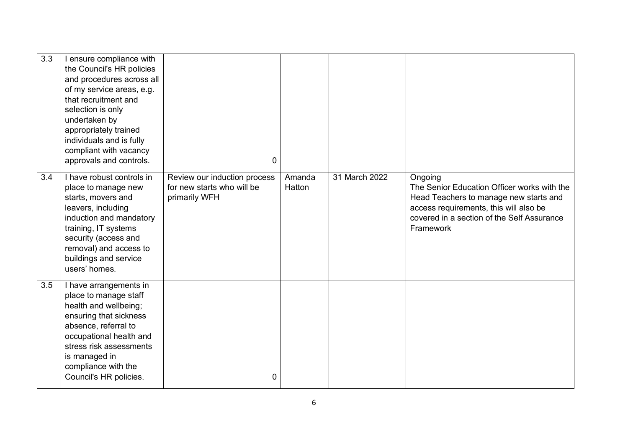| 3.3 | I ensure compliance with<br>the Council's HR policies<br>and procedures across all<br>of my service areas, e.g.<br>that recruitment and<br>selection is only<br>undertaken by<br>appropriately trained<br>individuals and is fully<br>compliant with vacancy<br>approvals and controls. | $\overline{0}$                                                              |                  |               |                                                                                                                                                                                                       |
|-----|-----------------------------------------------------------------------------------------------------------------------------------------------------------------------------------------------------------------------------------------------------------------------------------------|-----------------------------------------------------------------------------|------------------|---------------|-------------------------------------------------------------------------------------------------------------------------------------------------------------------------------------------------------|
| 3.4 | I have robust controls in<br>place to manage new<br>starts, movers and<br>leavers, including<br>induction and mandatory<br>training, IT systems<br>security (access and<br>removal) and access to<br>buildings and service<br>users' homes.                                             | Review our induction process<br>for new starts who will be<br>primarily WFH | Amanda<br>Hatton | 31 March 2022 | Ongoing<br>The Senior Education Officer works with the<br>Head Teachers to manage new starts and<br>access requirements, this will also be<br>covered in a section of the Self Assurance<br>Framework |
| 3.5 | I have arrangements in<br>place to manage staff<br>health and wellbeing;<br>ensuring that sickness<br>absence, referral to<br>occupational health and<br>stress risk assessments<br>is managed in<br>compliance with the<br>Council's HR policies.                                      | 0                                                                           |                  |               |                                                                                                                                                                                                       |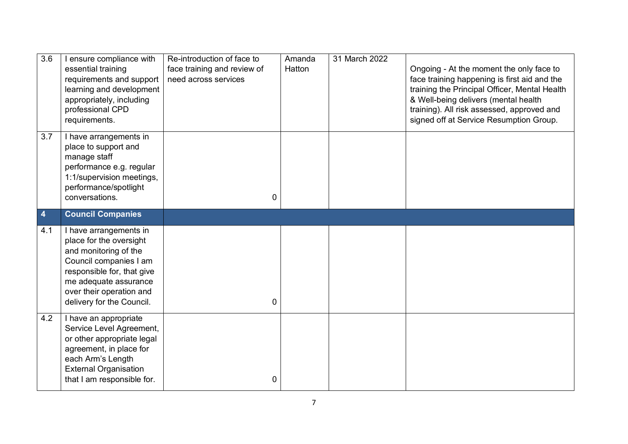| $\overline{3.6}$ | ensure compliance with<br>essential training<br>requirements and support<br>learning and development<br>appropriately, including<br>professional CPD<br>requirements.                                                | Re-introduction of face to<br>face training and review of<br>need across services | Amanda<br>Hatton | 31 March 2022 | Ongoing - At the moment the only face to<br>face training happening is first aid and the<br>training the Principal Officer, Mental Health<br>& Well-being delivers (mental health<br>training). All risk assessed, approved and<br>signed off at Service Resumption Group. |
|------------------|----------------------------------------------------------------------------------------------------------------------------------------------------------------------------------------------------------------------|-----------------------------------------------------------------------------------|------------------|---------------|----------------------------------------------------------------------------------------------------------------------------------------------------------------------------------------------------------------------------------------------------------------------------|
| 3.7              | I have arrangements in<br>place to support and<br>manage staff<br>performance e.g. regular<br>1:1/supervision meetings,<br>performance/spotlight<br>conversations.                                                   | $\mathbf{0}$                                                                      |                  |               |                                                                                                                                                                                                                                                                            |
| 4                | <b>Council Companies</b>                                                                                                                                                                                             |                                                                                   |                  |               |                                                                                                                                                                                                                                                                            |
| 4.1              | I have arrangements in<br>place for the oversight<br>and monitoring of the<br>Council companies I am<br>responsible for, that give<br>me adequate assurance<br>over their operation and<br>delivery for the Council. | $\mathbf{0}$                                                                      |                  |               |                                                                                                                                                                                                                                                                            |
| 4.2              | I have an appropriate<br>Service Level Agreement,<br>or other appropriate legal<br>agreement, in place for<br>each Arm's Length<br><b>External Organisation</b><br>that I am responsible for.                        | 0                                                                                 |                  |               |                                                                                                                                                                                                                                                                            |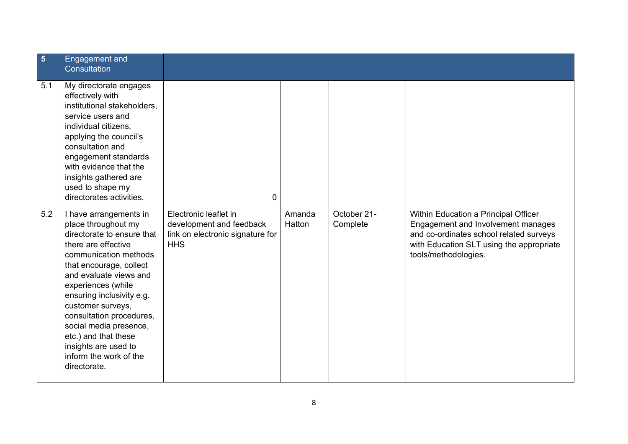| $\overline{\mathbf{5}}$ | <b>Engagement</b> and<br>Consultation                                                                                                                                                                                                                                                                                                                                                                    |                                                                                                     |                  |                         |                                                                                                                                                                                           |
|-------------------------|----------------------------------------------------------------------------------------------------------------------------------------------------------------------------------------------------------------------------------------------------------------------------------------------------------------------------------------------------------------------------------------------------------|-----------------------------------------------------------------------------------------------------|------------------|-------------------------|-------------------------------------------------------------------------------------------------------------------------------------------------------------------------------------------|
| 5.1                     | My directorate engages<br>effectively with<br>institutional stakeholders,<br>service users and<br>individual citizens,<br>applying the council's<br>consultation and<br>engagement standards<br>with evidence that the<br>insights gathered are<br>used to shape my<br>directorates activities.                                                                                                          | 0                                                                                                   |                  |                         |                                                                                                                                                                                           |
| 5.2                     | I have arrangements in<br>place throughout my<br>directorate to ensure that<br>there are effective<br>communication methods<br>that encourage, collect<br>and evaluate views and<br>experiences (while<br>ensuring inclusivity e.g.<br>customer surveys,<br>consultation procedures,<br>social media presence,<br>etc.) and that these<br>insights are used to<br>inform the work of the<br>directorate. | Electronic leaflet in<br>development and feedback<br>link on electronic signature for<br><b>HHS</b> | Amanda<br>Hatton | October 21-<br>Complete | Within Education a Principal Officer<br>Engagement and Involvement manages<br>and co-ordinates school related surveys<br>with Education SLT using the appropriate<br>tools/methodologies. |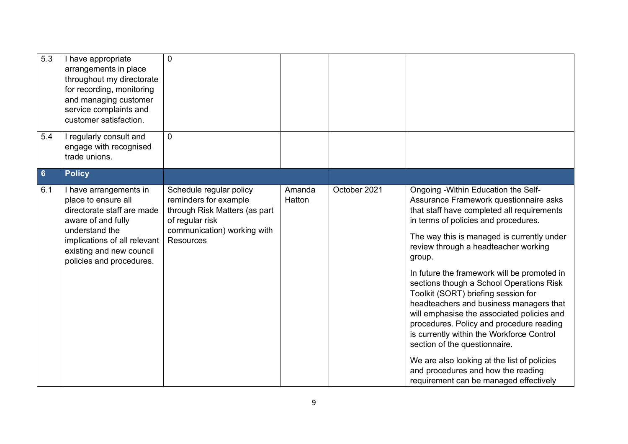| $\overline{5.3}$ | I have appropriate<br>arrangements in place<br>throughout my directorate<br>for recording, monitoring<br>and managing customer<br>service complaints and<br>customer satisfaction.                          | 0                                                                                                                                                       |                  |              |                                                                                                                                                                                                                                                                                                                                                                                                                                                                                                                                                                                                                                                                                                                                                          |
|------------------|-------------------------------------------------------------------------------------------------------------------------------------------------------------------------------------------------------------|---------------------------------------------------------------------------------------------------------------------------------------------------------|------------------|--------------|----------------------------------------------------------------------------------------------------------------------------------------------------------------------------------------------------------------------------------------------------------------------------------------------------------------------------------------------------------------------------------------------------------------------------------------------------------------------------------------------------------------------------------------------------------------------------------------------------------------------------------------------------------------------------------------------------------------------------------------------------------|
| 5.4              | I regularly consult and<br>engage with recognised<br>trade unions.                                                                                                                                          | $\mathbf{0}$                                                                                                                                            |                  |              |                                                                                                                                                                                                                                                                                                                                                                                                                                                                                                                                                                                                                                                                                                                                                          |
| $6\phantom{1}$   | <b>Policy</b>                                                                                                                                                                                               |                                                                                                                                                         |                  |              |                                                                                                                                                                                                                                                                                                                                                                                                                                                                                                                                                                                                                                                                                                                                                          |
| 6.1              | I have arrangements in<br>place to ensure all<br>directorate staff are made<br>aware of and fully<br>understand the<br>implications of all relevant<br>existing and new council<br>policies and procedures. | Schedule regular policy<br>reminders for example<br>through Risk Matters (as part<br>of regular risk<br>communication) working with<br><b>Resources</b> | Amanda<br>Hatton | October 2021 | Ongoing - Within Education the Self-<br>Assurance Framework questionnaire asks<br>that staff have completed all requirements<br>in terms of policies and procedures.<br>The way this is managed is currently under<br>review through a headteacher working<br>group.<br>In future the framework will be promoted in<br>sections though a School Operations Risk<br>Toolkit (SORT) briefing session for<br>headteachers and business managers that<br>will emphasise the associated policies and<br>procedures. Policy and procedure reading<br>is currently within the Workforce Control<br>section of the questionnaire.<br>We are also looking at the list of policies<br>and procedures and how the reading<br>requirement can be managed effectively |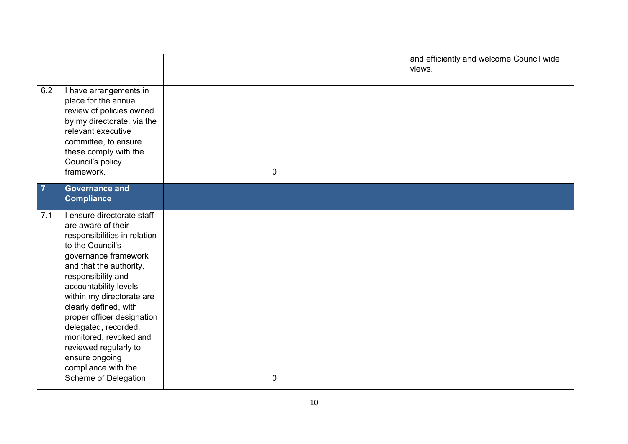|                |                                                                                                                                                                                                                                                                                                                                                                                                                                         |   |  | and efficiently and welcome Council wide<br>views. |
|----------------|-----------------------------------------------------------------------------------------------------------------------------------------------------------------------------------------------------------------------------------------------------------------------------------------------------------------------------------------------------------------------------------------------------------------------------------------|---|--|----------------------------------------------------|
| 6.2            | I have arrangements in<br>place for the annual<br>review of policies owned<br>by my directorate, via the<br>relevant executive<br>committee, to ensure<br>these comply with the<br>Council's policy<br>framework.                                                                                                                                                                                                                       | 0 |  |                                                    |
| $\overline{7}$ | <b>Governance and</b><br><b>Compliance</b>                                                                                                                                                                                                                                                                                                                                                                                              |   |  |                                                    |
| 7.1            | I ensure directorate staff<br>are aware of their<br>responsibilities in relation<br>to the Council's<br>governance framework<br>and that the authority,<br>responsibility and<br>accountability levels<br>within my directorate are<br>clearly defined, with<br>proper officer designation<br>delegated, recorded,<br>monitored, revoked and<br>reviewed regularly to<br>ensure ongoing<br>compliance with the<br>Scheme of Delegation. | 0 |  |                                                    |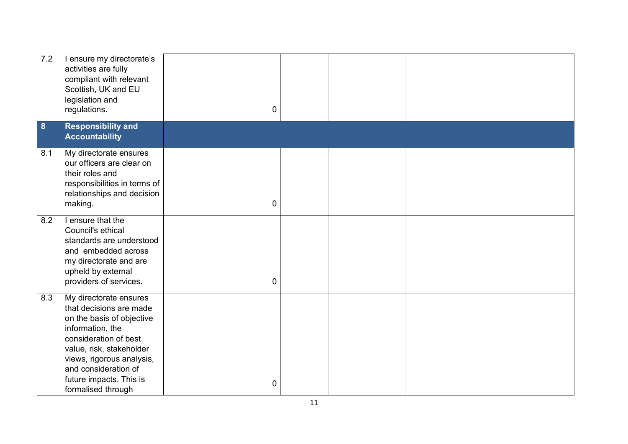| 7.2 | I ensure my directorate's<br>activities are fully<br>compliant with relevant<br>Scottish, UK and EU<br>legislation and<br>regulations.                                                                                                                        | $\boldsymbol{0}$ |  |  |
|-----|---------------------------------------------------------------------------------------------------------------------------------------------------------------------------------------------------------------------------------------------------------------|------------------|--|--|
| 8   | <b>Responsibility and</b><br><b>Accountability</b>                                                                                                                                                                                                            |                  |  |  |
| 8.1 | My directorate ensures<br>our officers are clear on<br>their roles and<br>responsibilities in terms of<br>relationships and decision<br>making.                                                                                                               | $\boldsymbol{0}$ |  |  |
| 8.2 | I ensure that the<br>Council's ethical<br>standards are understood<br>and embedded across<br>my directorate and are<br>upheld by external<br>providers of services.                                                                                           | $\mathbf 0$      |  |  |
| 8.3 | My directorate ensures<br>that decisions are made<br>on the basis of objective<br>information, the<br>consideration of best<br>value, risk, stakeholder<br>views, rigorous analysis,<br>and consideration of<br>future impacts. This is<br>formalised through | $\mathbf 0$      |  |  |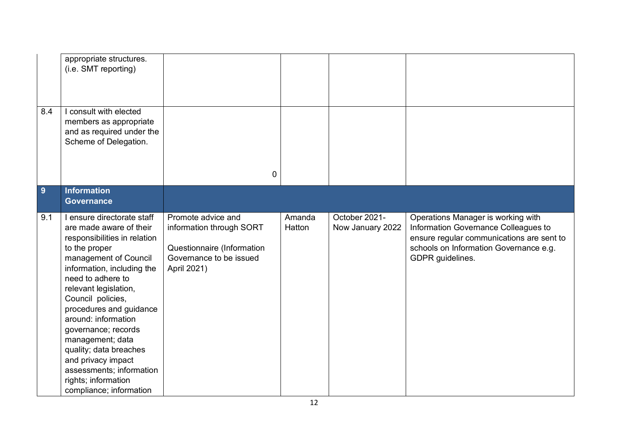|     | appropriate structures.<br>(i.e. SMT reporting)                                                                                                                                                                                                                                                                                                                                                                                                             |                                                                                                                        |                  |                                   |                                                                                                                                                                                       |
|-----|-------------------------------------------------------------------------------------------------------------------------------------------------------------------------------------------------------------------------------------------------------------------------------------------------------------------------------------------------------------------------------------------------------------------------------------------------------------|------------------------------------------------------------------------------------------------------------------------|------------------|-----------------------------------|---------------------------------------------------------------------------------------------------------------------------------------------------------------------------------------|
| 8.4 | I consult with elected<br>members as appropriate<br>and as required under the<br>Scheme of Delegation.                                                                                                                                                                                                                                                                                                                                                      |                                                                                                                        |                  |                                   |                                                                                                                                                                                       |
|     |                                                                                                                                                                                                                                                                                                                                                                                                                                                             | 0                                                                                                                      |                  |                                   |                                                                                                                                                                                       |
| 9   | <b>Information</b><br><b>Governance</b>                                                                                                                                                                                                                                                                                                                                                                                                                     |                                                                                                                        |                  |                                   |                                                                                                                                                                                       |
| 9.1 | I ensure directorate staff<br>are made aware of their<br>responsibilities in relation<br>to the proper<br>management of Council<br>information, including the<br>need to adhere to<br>relevant legislation,<br>Council policies,<br>procedures and guidance<br>around: information<br>governance; records<br>management; data<br>quality; data breaches<br>and privacy impact<br>assessments; information<br>rights; information<br>compliance; information | Promote advice and<br>information through SORT<br>Questionnaire (Information<br>Governance to be issued<br>April 2021) | Amanda<br>Hatton | October 2021-<br>Now January 2022 | Operations Manager is working with<br>Information Governance Colleagues to<br>ensure regular communications are sent to<br>schools on Information Governance e.g.<br>GDPR guidelines. |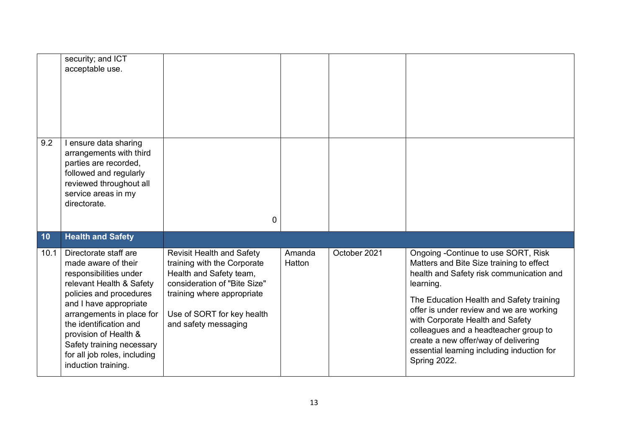|      | security; and ICT<br>acceptable use.                                                                                                                                                                                                                                                                                        |                                                                                                                                                                                                                |                  |              |                                                                                                                                                                                                                                                                                                                                                                                                                     |
|------|-----------------------------------------------------------------------------------------------------------------------------------------------------------------------------------------------------------------------------------------------------------------------------------------------------------------------------|----------------------------------------------------------------------------------------------------------------------------------------------------------------------------------------------------------------|------------------|--------------|---------------------------------------------------------------------------------------------------------------------------------------------------------------------------------------------------------------------------------------------------------------------------------------------------------------------------------------------------------------------------------------------------------------------|
| 9.2  | l ensure data sharing<br>arrangements with third<br>parties are recorded,<br>followed and regularly<br>reviewed throughout all<br>service areas in my<br>directorate.                                                                                                                                                       | 0                                                                                                                                                                                                              |                  |              |                                                                                                                                                                                                                                                                                                                                                                                                                     |
| 10   | <b>Health and Safety</b>                                                                                                                                                                                                                                                                                                    |                                                                                                                                                                                                                |                  |              |                                                                                                                                                                                                                                                                                                                                                                                                                     |
| 10.1 | Directorate staff are<br>made aware of their<br>responsibilities under<br>relevant Health & Safety<br>policies and procedures<br>and I have appropriate<br>arrangements in place for<br>the identification and<br>provision of Health &<br>Safety training necessary<br>for all job roles, including<br>induction training. | <b>Revisit Health and Safety</b><br>training with the Corporate<br>Health and Safety team,<br>consideration of "Bite Size"<br>training where appropriate<br>Use of SORT for key health<br>and safety messaging | Amanda<br>Hatton | October 2021 | Ongoing -Continue to use SORT, Risk<br>Matters and Bite Size training to effect<br>health and Safety risk communication and<br>learning.<br>The Education Health and Safety training<br>offer is under review and we are working<br>with Corporate Health and Safety<br>colleagues and a headteacher group to<br>create a new offer/way of delivering<br>essential learning including induction for<br>Spring 2022. |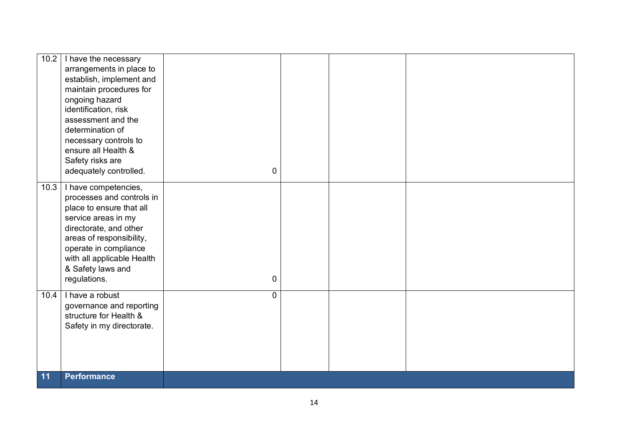| 10.2 | I have the necessary<br>arrangements in place to<br>establish, implement and<br>maintain procedures for<br>ongoing hazard<br>identification, risk<br>assessment and the<br>determination of<br>necessary controls to<br>ensure all Health &<br>Safety risks are<br>adequately controlled. | 0              |  |  |
|------|-------------------------------------------------------------------------------------------------------------------------------------------------------------------------------------------------------------------------------------------------------------------------------------------|----------------|--|--|
| 10.3 | I have competencies,<br>processes and controls in<br>place to ensure that all<br>service areas in my<br>directorate, and other<br>areas of responsibility,<br>operate in compliance<br>with all applicable Health<br>& Safety laws and<br>regulations.                                    | 0              |  |  |
| 10.4 | I have a robust<br>governance and reporting<br>structure for Health &<br>Safety in my directorate.                                                                                                                                                                                        | $\overline{0}$ |  |  |
| 11   | <b>Performance</b>                                                                                                                                                                                                                                                                        |                |  |  |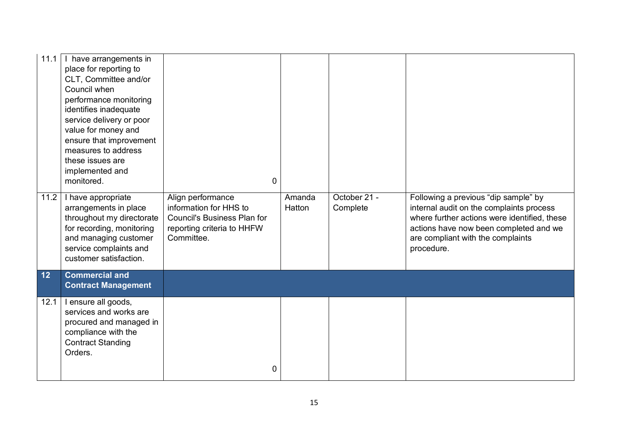| 11.1 | I have arrangements in<br>place for reporting to<br>CLT, Committee and/or<br>Council when<br>performance monitoring<br>identifies inadequate<br>service delivery or poor<br>value for money and<br>ensure that improvement<br>measures to address<br>these issues are<br>implemented and<br>monitored. | $\mathbf 0$                                                                                                                   |                  |                          |                                                                                                                                                                                                                               |
|------|--------------------------------------------------------------------------------------------------------------------------------------------------------------------------------------------------------------------------------------------------------------------------------------------------------|-------------------------------------------------------------------------------------------------------------------------------|------------------|--------------------------|-------------------------------------------------------------------------------------------------------------------------------------------------------------------------------------------------------------------------------|
| 11.2 | I have appropriate<br>arrangements in place<br>throughout my directorate<br>for recording, monitoring<br>and managing customer<br>service complaints and<br>customer satisfaction.                                                                                                                     | Align performance<br>information for HHS to<br><b>Council's Business Plan for</b><br>reporting criteria to HHFW<br>Committee. | Amanda<br>Hatton | October 21 -<br>Complete | Following a previous "dip sample" by<br>internal audit on the complaints process<br>where further actions were identified, these<br>actions have now been completed and we<br>are compliant with the complaints<br>procedure. |
| 12   | <b>Commercial and</b><br><b>Contract Management</b>                                                                                                                                                                                                                                                    |                                                                                                                               |                  |                          |                                                                                                                                                                                                                               |
| 12.1 | I ensure all goods,<br>services and works are<br>procured and managed in<br>compliance with the<br><b>Contract Standing</b><br>Orders.                                                                                                                                                                 | 0                                                                                                                             |                  |                          |                                                                                                                                                                                                                               |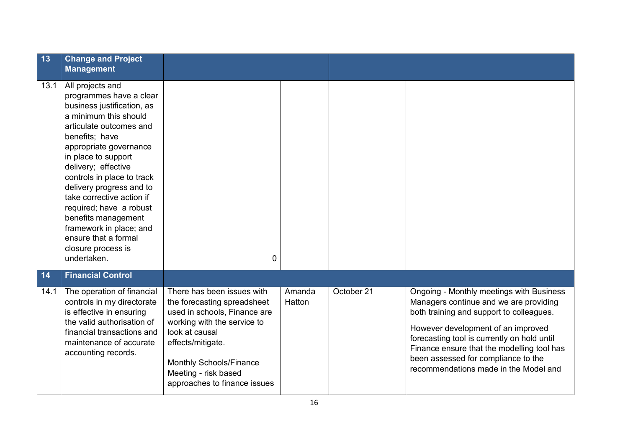| 13   | <b>Change and Project</b><br><b>Management</b>                                                                                                                                                                                                                                                                                                                                                                                                           |                                                                                                                                                                                                                                                           |                  |            |                                                                                                                                                                                                                                                                                                                                                   |
|------|----------------------------------------------------------------------------------------------------------------------------------------------------------------------------------------------------------------------------------------------------------------------------------------------------------------------------------------------------------------------------------------------------------------------------------------------------------|-----------------------------------------------------------------------------------------------------------------------------------------------------------------------------------------------------------------------------------------------------------|------------------|------------|---------------------------------------------------------------------------------------------------------------------------------------------------------------------------------------------------------------------------------------------------------------------------------------------------------------------------------------------------|
| 13.1 | All projects and<br>programmes have a clear<br>business justification, as<br>a minimum this should<br>articulate outcomes and<br>benefits; have<br>appropriate governance<br>in place to support<br>delivery; effective<br>controls in place to track<br>delivery progress and to<br>take corrective action if<br>required; have a robust<br>benefits management<br>framework in place; and<br>ensure that a formal<br>closure process is<br>undertaken. | $\overline{0}$                                                                                                                                                                                                                                            |                  |            |                                                                                                                                                                                                                                                                                                                                                   |
| 14   | <b>Financial Control</b>                                                                                                                                                                                                                                                                                                                                                                                                                                 |                                                                                                                                                                                                                                                           |                  |            |                                                                                                                                                                                                                                                                                                                                                   |
| 14.1 | The operation of financial<br>controls in my directorate<br>is effective in ensuring<br>the valid authorisation of<br>financial transactions and<br>maintenance of accurate<br>accounting records.                                                                                                                                                                                                                                                       | There has been issues with<br>the forecasting spreadsheet<br>used in schools, Finance are<br>working with the service to<br>look at causal<br>effects/mitigate.<br><b>Monthly Schools/Finance</b><br>Meeting - risk based<br>approaches to finance issues | Amanda<br>Hatton | October 21 | Ongoing - Monthly meetings with Business<br>Managers continue and we are providing<br>both training and support to colleagues.<br>However development of an improved<br>forecasting tool is currently on hold until<br>Finance ensure that the modelling tool has<br>been assessed for compliance to the<br>recommendations made in the Model and |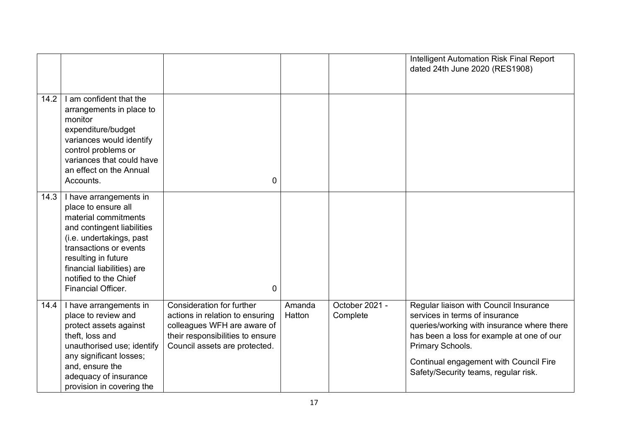|      |                                                                                                                                                                                                                                                               |                                                                                                                                                                         |                  |                            | Intelligent Automation Risk Final Report<br>dated 24th June 2020 (RES1908)                                                                                                                                                                                                |
|------|---------------------------------------------------------------------------------------------------------------------------------------------------------------------------------------------------------------------------------------------------------------|-------------------------------------------------------------------------------------------------------------------------------------------------------------------------|------------------|----------------------------|---------------------------------------------------------------------------------------------------------------------------------------------------------------------------------------------------------------------------------------------------------------------------|
| 14.2 | I am confident that the<br>arrangements in place to<br>monitor<br>expenditure/budget<br>variances would identify<br>control problems or<br>variances that could have<br>an effect on the Annual<br>Accounts.                                                  | $\overline{0}$                                                                                                                                                          |                  |                            |                                                                                                                                                                                                                                                                           |
| 14.3 | I have arrangements in<br>place to ensure all<br>material commitments<br>and contingent liabilities<br>(i.e. undertakings, past<br>transactions or events<br>resulting in future<br>financial liabilities) are<br>notified to the Chief<br>Financial Officer. | $\overline{0}$                                                                                                                                                          |                  |                            |                                                                                                                                                                                                                                                                           |
| 14.4 | I have arrangements in<br>place to review and<br>protect assets against<br>theft, loss and<br>unauthorised use; identify<br>any significant losses;<br>and, ensure the<br>adequacy of insurance<br>provision in covering the                                  | <b>Consideration for further</b><br>actions in relation to ensuring<br>colleagues WFH are aware of<br>their responsibilities to ensure<br>Council assets are protected. | Amanda<br>Hatton | October 2021 -<br>Complete | Regular liaison with Council Insurance<br>services in terms of insurance<br>queries/working with insurance where there<br>has been a loss for example at one of our<br>Primary Schools.<br>Continual engagement with Council Fire<br>Safety/Security teams, regular risk. |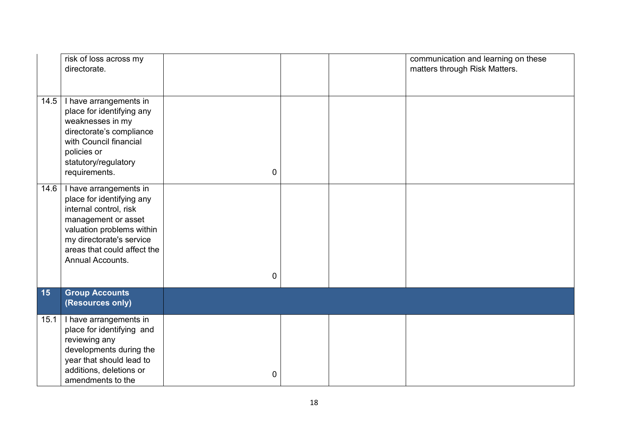|      | risk of loss across my<br>directorate.                                                                                                                                                                           |             |  | communication and learning on these<br>matters through Risk Matters. |
|------|------------------------------------------------------------------------------------------------------------------------------------------------------------------------------------------------------------------|-------------|--|----------------------------------------------------------------------|
| 14.5 | I have arrangements in<br>place for identifying any<br>weaknesses in my<br>directorate's compliance<br>with Council financial<br>policies or<br>statutory/regulatory<br>requirements.                            | $\pmb{0}$   |  |                                                                      |
| 14.6 | I have arrangements in<br>place for identifying any<br>internal control, risk<br>management or asset<br>valuation problems within<br>my directorate's service<br>areas that could affect the<br>Annual Accounts. | $\pmb{0}$   |  |                                                                      |
| 15   | <b>Group Accounts</b><br>(Resources only)                                                                                                                                                                        |             |  |                                                                      |
| 15.1 | I have arrangements in<br>place for identifying and<br>reviewing any<br>developments during the<br>year that should lead to<br>additions, deletions or<br>amendments to the                                      | $\mathbf 0$ |  |                                                                      |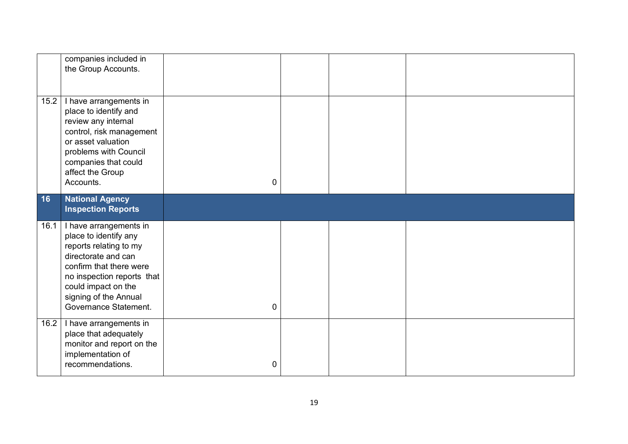|      | companies included in<br>the Group Accounts.                                                                                                                                                                                       |   |  |  |
|------|------------------------------------------------------------------------------------------------------------------------------------------------------------------------------------------------------------------------------------|---|--|--|
| 15.2 | I have arrangements in<br>place to identify and<br>review any internal<br>control, risk management<br>or asset valuation<br>problems with Council<br>companies that could<br>affect the Group<br>Accounts.                         | 0 |  |  |
| 16   | <b>National Agency</b><br><b>Inspection Reports</b>                                                                                                                                                                                |   |  |  |
| 16.1 | I have arrangements in<br>place to identify any<br>reports relating to my<br>directorate and can<br>confirm that there were<br>no inspection reports that<br>could impact on the<br>signing of the Annual<br>Governance Statement. | 0 |  |  |
| 16.2 | I have arrangements in<br>place that adequately<br>monitor and report on the<br>implementation of<br>recommendations.                                                                                                              | 0 |  |  |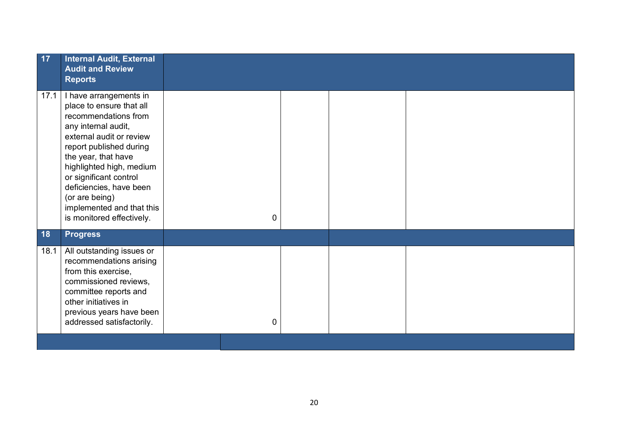| 17        | <b>Internal Audit, External</b><br><b>Audit and Review</b><br><b>Reports</b>                                                                                                                                                                                                                                                                 |   |  |  |
|-----------|----------------------------------------------------------------------------------------------------------------------------------------------------------------------------------------------------------------------------------------------------------------------------------------------------------------------------------------------|---|--|--|
| 17.1      | I have arrangements in<br>place to ensure that all<br>recommendations from<br>any internal audit,<br>external audit or review<br>report published during<br>the year, that have<br>highlighted high, medium<br>or significant control<br>deficiencies, have been<br>(or are being)<br>implemented and that this<br>is monitored effectively. | 0 |  |  |
| <b>18</b> | <b>Progress</b>                                                                                                                                                                                                                                                                                                                              |   |  |  |
| 18.1      | All outstanding issues or<br>recommendations arising<br>from this exercise,<br>commissioned reviews,<br>committee reports and<br>other initiatives in<br>previous years have been<br>addressed satisfactorily.                                                                                                                               | 0 |  |  |
|           |                                                                                                                                                                                                                                                                                                                                              |   |  |  |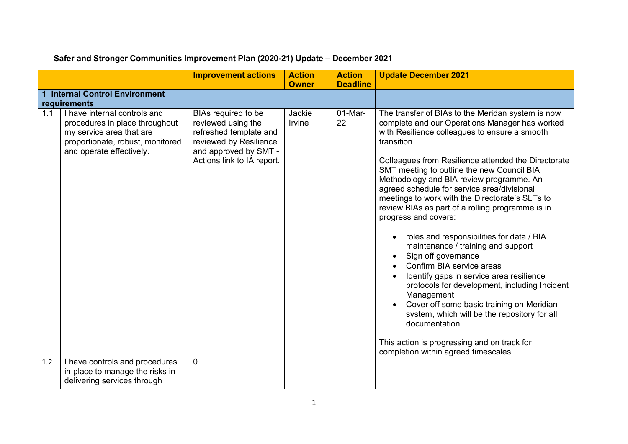|     |                                                                                                                                                            | <b>Improvement actions</b>                                                                                                                           | <b>Action</b><br><b>Owner</b> | <b>Action</b><br><b>Deadline</b> | <b>Update December 2021</b>                                                                                                                                                                                                                                                                                                                                                                                                                                                                                                                                                                                                                                                                                                                                                                                                                                                                                                                              |
|-----|------------------------------------------------------------------------------------------------------------------------------------------------------------|------------------------------------------------------------------------------------------------------------------------------------------------------|-------------------------------|----------------------------------|----------------------------------------------------------------------------------------------------------------------------------------------------------------------------------------------------------------------------------------------------------------------------------------------------------------------------------------------------------------------------------------------------------------------------------------------------------------------------------------------------------------------------------------------------------------------------------------------------------------------------------------------------------------------------------------------------------------------------------------------------------------------------------------------------------------------------------------------------------------------------------------------------------------------------------------------------------|
|     | <b>Internal Control Environment</b><br>requirements                                                                                                        |                                                                                                                                                      |                               |                                  |                                                                                                                                                                                                                                                                                                                                                                                                                                                                                                                                                                                                                                                                                                                                                                                                                                                                                                                                                          |
| 1.1 | I have internal controls and<br>procedures in place throughout<br>my service area that are<br>proportionate, robust, monitored<br>and operate effectively. | BIAs required to be<br>reviewed using the<br>refreshed template and<br>reviewed by Resilience<br>and approved by SMT -<br>Actions link to IA report. | Jackie<br>Irvine              | 01-Mar-<br>22                    | The transfer of BIAs to the Meridan system is now<br>complete and our Operations Manager has worked<br>with Resilience colleagues to ensure a smooth<br>transition.<br>Colleagues from Resilience attended the Directorate<br>SMT meeting to outline the new Council BIA<br>Methodology and BIA review programme. An<br>agreed schedule for service area/divisional<br>meetings to work with the Directorate's SLTs to<br>review BIAs as part of a rolling programme is in<br>progress and covers:<br>roles and responsibilities for data / BIA<br>maintenance / training and support<br>Sign off governance<br>Confirm BIA service areas<br>Identify gaps in service area resilience<br>protocols for development, including Incident<br>Management<br>Cover off some basic training on Meridian<br>system, which will be the repository for all<br>documentation<br>This action is progressing and on track for<br>completion within agreed timescales |
| 1.2 | I have controls and procedures<br>in place to manage the risks in<br>delivering services through                                                           | $\mathbf 0$                                                                                                                                          |                               |                                  |                                                                                                                                                                                                                                                                                                                                                                                                                                                                                                                                                                                                                                                                                                                                                                                                                                                                                                                                                          |

### **Safer and Stronger Communities Improvement Plan (2020-21) Update – December 2021**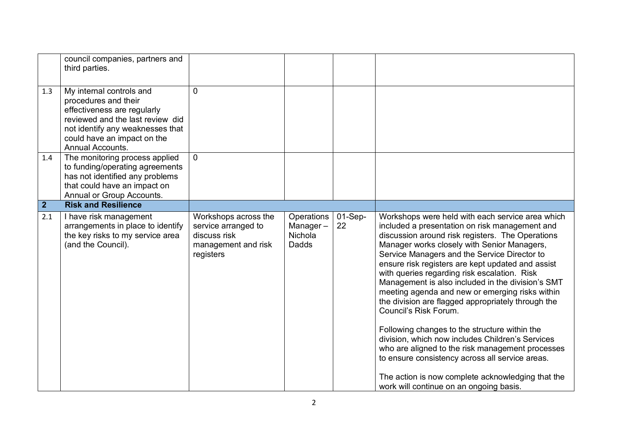|             | council companies, partners and<br>third parties.                                                                                                                                                          |                                                                                                 |                                                   |                 |                                                                                                                                                                                                                                                                                                                                                                                                                                                                                                                                                                                                                                                                                                                                                                                                                                                               |
|-------------|------------------------------------------------------------------------------------------------------------------------------------------------------------------------------------------------------------|-------------------------------------------------------------------------------------------------|---------------------------------------------------|-----------------|---------------------------------------------------------------------------------------------------------------------------------------------------------------------------------------------------------------------------------------------------------------------------------------------------------------------------------------------------------------------------------------------------------------------------------------------------------------------------------------------------------------------------------------------------------------------------------------------------------------------------------------------------------------------------------------------------------------------------------------------------------------------------------------------------------------------------------------------------------------|
| 1.3         | My internal controls and<br>procedures and their<br>effectiveness are regularly<br>reviewed and the last review did<br>not identify any weaknesses that<br>could have an impact on the<br>Annual Accounts. | $\mathbf{0}$                                                                                    |                                                   |                 |                                                                                                                                                                                                                                                                                                                                                                                                                                                                                                                                                                                                                                                                                                                                                                                                                                                               |
| 1.4         | The monitoring process applied<br>to funding/operating agreements<br>has not identified any problems<br>that could have an impact on<br>Annual or Group Accounts.                                          | $\overline{0}$                                                                                  |                                                   |                 |                                                                                                                                                                                                                                                                                                                                                                                                                                                                                                                                                                                                                                                                                                                                                                                                                                                               |
| $\boxed{2}$ | <b>Risk and Resilience</b>                                                                                                                                                                                 |                                                                                                 |                                                   |                 |                                                                                                                                                                                                                                                                                                                                                                                                                                                                                                                                                                                                                                                                                                                                                                                                                                                               |
| 2.1         | I have risk management<br>arrangements in place to identify<br>the key risks to my service area<br>(and the Council).                                                                                      | Workshops across the<br>service arranged to<br>discuss risk<br>management and risk<br>registers | Operations<br>Manager-<br>Nichola<br><b>Dadds</b> | $01-Sep-$<br>22 | Workshops were held with each service area which<br>included a presentation on risk management and<br>discussion around risk registers. The Operations<br>Manager works closely with Senior Managers,<br>Service Managers and the Service Director to<br>ensure risk registers are kept updated and assist<br>with queries regarding risk escalation. Risk<br>Management is also included in the division's SMT<br>meeting agenda and new or emerging risks within<br>the division are flagged appropriately through the<br>Council's Risk Forum.<br>Following changes to the structure within the<br>division, which now includes Children's Services<br>who are aligned to the risk management processes<br>to ensure consistency across all service areas.<br>The action is now complete acknowledging that the<br>work will continue on an ongoing basis. |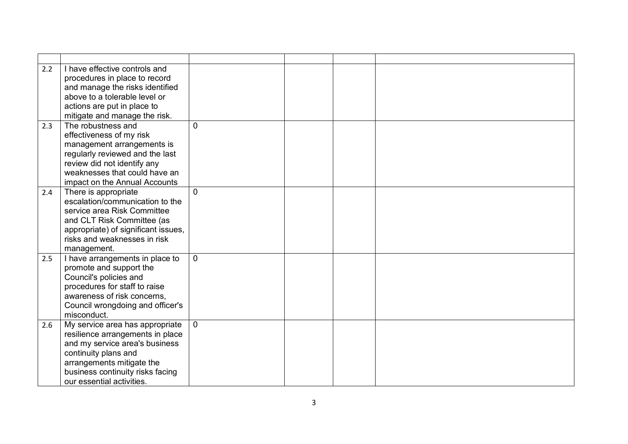| 2.2 | I have effective controls and<br>procedures in place to record |                |  |  |
|-----|----------------------------------------------------------------|----------------|--|--|
|     | and manage the risks identified                                |                |  |  |
|     | above to a tolerable level or                                  |                |  |  |
|     | actions are put in place to                                    |                |  |  |
|     | mitigate and manage the risk.                                  |                |  |  |
| 2.3 | The robustness and                                             | $\Omega$       |  |  |
|     | effectiveness of my risk                                       |                |  |  |
|     |                                                                |                |  |  |
|     | management arrangements is                                     |                |  |  |
|     | regularly reviewed and the last                                |                |  |  |
|     | review did not identify any<br>weaknesses that could have an   |                |  |  |
|     |                                                                |                |  |  |
|     | impact on the Annual Accounts                                  |                |  |  |
| 2.4 | There is appropriate                                           | $\Omega$       |  |  |
|     | escalation/communication to the                                |                |  |  |
|     | service area Risk Committee                                    |                |  |  |
|     | and CLT Risk Committee (as                                     |                |  |  |
|     | appropriate) of significant issues,                            |                |  |  |
|     | risks and weaknesses in risk                                   |                |  |  |
|     | management.                                                    |                |  |  |
| 2.5 | I have arrangements in place to                                | $\mathbf{0}$   |  |  |
|     | promote and support the                                        |                |  |  |
|     | Council's policies and                                         |                |  |  |
|     | procedures for staff to raise                                  |                |  |  |
|     | awareness of risk concerns,                                    |                |  |  |
|     | Council wrongdoing and officer's                               |                |  |  |
|     | misconduct.                                                    |                |  |  |
| 2.6 | My service area has appropriate                                | $\overline{0}$ |  |  |
|     | resilience arrangements in place                               |                |  |  |
|     | and my service area's business                                 |                |  |  |
|     | continuity plans and                                           |                |  |  |
|     | arrangements mitigate the                                      |                |  |  |
|     | business continuity risks facing                               |                |  |  |
|     | our essential activities.                                      |                |  |  |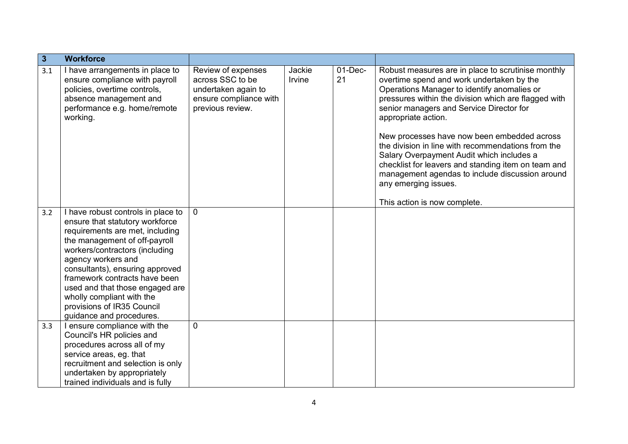| $\overline{\overline{3}}$ | <b>Workforce</b>                                                                                                                                                                                                                                                                                                                                                                                |                                                                                                             |                  |                  |                                                                                                                                                                                                                                                                                                                                                                                                                                                                                                                                                                                               |
|---------------------------|-------------------------------------------------------------------------------------------------------------------------------------------------------------------------------------------------------------------------------------------------------------------------------------------------------------------------------------------------------------------------------------------------|-------------------------------------------------------------------------------------------------------------|------------------|------------------|-----------------------------------------------------------------------------------------------------------------------------------------------------------------------------------------------------------------------------------------------------------------------------------------------------------------------------------------------------------------------------------------------------------------------------------------------------------------------------------------------------------------------------------------------------------------------------------------------|
| 3.1                       | I have arrangements in place to<br>ensure compliance with payroll<br>policies, overtime controls,<br>absence management and<br>performance e.g. home/remote<br>working.                                                                                                                                                                                                                         | Review of expenses<br>across SSC to be<br>undertaken again to<br>ensure compliance with<br>previous review. | Jackie<br>Irvine | $01$ -Dec-<br>21 | Robust measures are in place to scrutinise monthly<br>overtime spend and work undertaken by the<br>Operations Manager to identify anomalies or<br>pressures within the division which are flagged with<br>senior managers and Service Director for<br>appropriate action.<br>New processes have now been embedded across<br>the division in line with recommendations from the<br>Salary Overpayment Audit which includes a<br>checklist for leavers and standing item on team and<br>management agendas to include discussion around<br>any emerging issues.<br>This action is now complete. |
| 3.2                       | I have robust controls in place to<br>ensure that statutory workforce<br>requirements are met, including<br>the management of off-payroll<br>workers/contractors (including<br>agency workers and<br>consultants), ensuring approved<br>framework contracts have been<br>used and that those engaged are<br>wholly compliant with the<br>provisions of IR35 Council<br>guidance and procedures. | $\overline{0}$                                                                                              |                  |                  |                                                                                                                                                                                                                                                                                                                                                                                                                                                                                                                                                                                               |
| 3.3                       | I ensure compliance with the<br>Council's HR policies and<br>procedures across all of my<br>service areas, eg. that<br>recruitment and selection is only<br>undertaken by appropriately<br>trained individuals and is fully                                                                                                                                                                     | $\mathbf{0}$                                                                                                |                  |                  |                                                                                                                                                                                                                                                                                                                                                                                                                                                                                                                                                                                               |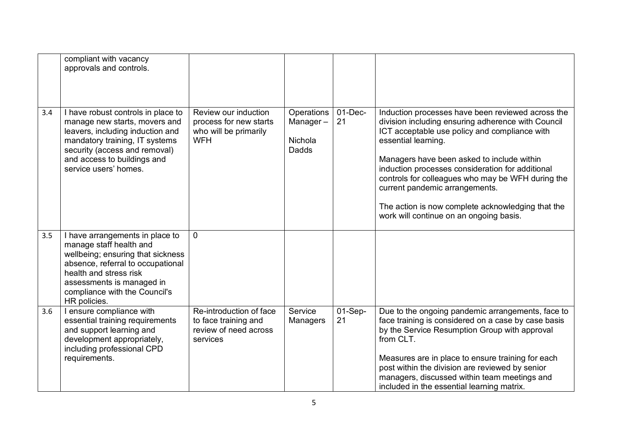|     | compliant with vacancy<br>approvals and controls.                                                                                                                                                                                            |                                                                                       |                                                   |                 |                                                                                                                                                                                                                                                                                                                                                                                                                                                                          |
|-----|----------------------------------------------------------------------------------------------------------------------------------------------------------------------------------------------------------------------------------------------|---------------------------------------------------------------------------------------|---------------------------------------------------|-----------------|--------------------------------------------------------------------------------------------------------------------------------------------------------------------------------------------------------------------------------------------------------------------------------------------------------------------------------------------------------------------------------------------------------------------------------------------------------------------------|
| 3.4 | I have robust controls in place to<br>manage new starts, movers and<br>leavers, including induction and<br>mandatory training, IT systems<br>security (access and removal)<br>and access to buildings and<br>service users' homes.           | Review our induction<br>process for new starts<br>who will be primarily<br><b>WFH</b> | Operations<br>Manager-<br>Nichola<br><b>Dadds</b> | $01-Dec-$<br>21 | Induction processes have been reviewed across the<br>division including ensuring adherence with Council<br>ICT acceptable use policy and compliance with<br>essential learning.<br>Managers have been asked to include within<br>induction processes consideration for additional<br>controls for colleagues who may be WFH during the<br>current pandemic arrangements.<br>The action is now complete acknowledging that the<br>work will continue on an ongoing basis. |
| 3.5 | I have arrangements in place to<br>manage staff health and<br>wellbeing; ensuring that sickness<br>absence, referral to occupational<br>health and stress risk<br>assessments is managed in<br>compliance with the Council's<br>HR policies. | $\overline{0}$                                                                        |                                                   |                 |                                                                                                                                                                                                                                                                                                                                                                                                                                                                          |
| 3.6 | I ensure compliance with<br>essential training requirements<br>and support learning and<br>development appropriately,<br>including professional CPD<br>requirements.                                                                         | Re-introduction of face<br>to face training and<br>review of need across<br>services  | Service<br>Managers                               | $01-Sep-$<br>21 | Due to the ongoing pandemic arrangements, face to<br>face training is considered on a case by case basis<br>by the Service Resumption Group with approval<br>from CLT.<br>Measures are in place to ensure training for each<br>post within the division are reviewed by senior<br>managers, discussed within team meetings and<br>included in the essential learning matrix.                                                                                             |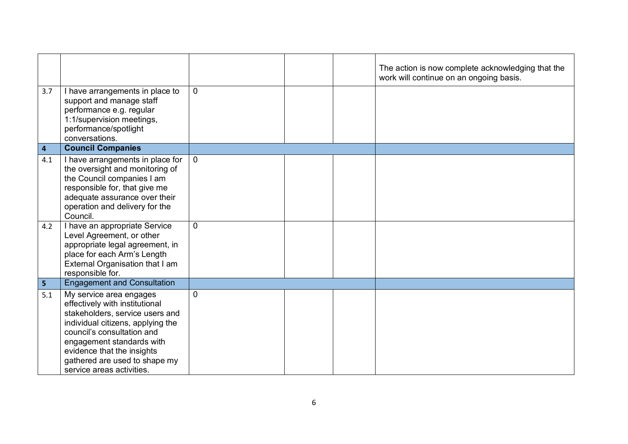|                 |                                                                                                                                                                                                                                                                                                                                                                                      |                  |  | The action is now complete acknowledging that the<br>work will continue on an ongoing basis. |
|-----------------|--------------------------------------------------------------------------------------------------------------------------------------------------------------------------------------------------------------------------------------------------------------------------------------------------------------------------------------------------------------------------------------|------------------|--|----------------------------------------------------------------------------------------------|
| 3.7             | I have arrangements in place to<br>support and manage staff<br>performance e.g. regular<br>1:1/supervision meetings,<br>performance/spotlight<br>conversations.                                                                                                                                                                                                                      | 0                |  |                                                                                              |
| $\overline{4}$  | <b>Council Companies</b>                                                                                                                                                                                                                                                                                                                                                             |                  |  |                                                                                              |
| 4.1<br>4.2      | I have arrangements in place for<br>the oversight and monitoring of<br>the Council companies I am<br>responsible for, that give me<br>adequate assurance over their<br>operation and delivery for the<br>Council.<br>I have an appropriate Service<br>Level Agreement, or other<br>appropriate legal agreement, in<br>place for each Arm's Length<br>External Organisation that I am | $\mathbf 0$<br>0 |  |                                                                                              |
| $5\overline{5}$ | responsible for.<br><b>Engagement and Consultation</b>                                                                                                                                                                                                                                                                                                                               |                  |  |                                                                                              |
| 5.1             | My service area engages<br>effectively with institutional<br>stakeholders, service users and<br>individual citizens, applying the<br>council's consultation and<br>engagement standards with<br>evidence that the insights<br>gathered are used to shape my<br>service areas activities.                                                                                             | 0                |  |                                                                                              |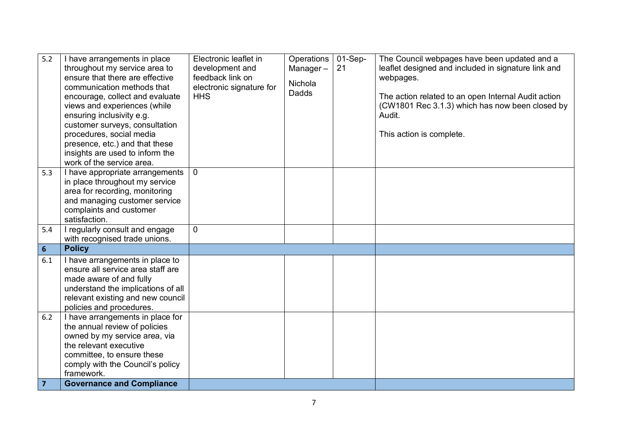| 5.2            | I have arrangements in place<br>throughout my service area to<br>ensure that there are effective<br>communication methods that<br>encourage, collect and evaluate<br>views and experiences (while<br>ensuring inclusivity e.g.<br>customer surveys, consultation<br>procedures, social media<br>presence, etc.) and that these<br>insights are used to inform the<br>work of the service area. | Electronic leaflet in<br>development and<br>feedback link on<br>electronic signature for<br><b>HHS</b> | Operations<br>Manager-<br>Nichola<br><b>Dadds</b> | $01-Sep-$<br>21 | The Council webpages have been updated and a<br>leaflet designed and included in signature link and<br>webpages.<br>The action related to an open Internal Audit action<br>(CW1801 Rec 3.1.3) which has now been closed by<br>Audit.<br>This action is complete. |
|----------------|------------------------------------------------------------------------------------------------------------------------------------------------------------------------------------------------------------------------------------------------------------------------------------------------------------------------------------------------------------------------------------------------|--------------------------------------------------------------------------------------------------------|---------------------------------------------------|-----------------|------------------------------------------------------------------------------------------------------------------------------------------------------------------------------------------------------------------------------------------------------------------|
| 5.3            | I have appropriate arrangements<br>in place throughout my service<br>area for recording, monitoring<br>and managing customer service<br>complaints and customer<br>satisfaction.                                                                                                                                                                                                               | $\overline{0}$                                                                                         |                                                   |                 |                                                                                                                                                                                                                                                                  |
| 5.4            | <b>Tregularly consult and engage</b><br>with recognised trade unions.                                                                                                                                                                                                                                                                                                                          | 0                                                                                                      |                                                   |                 |                                                                                                                                                                                                                                                                  |
| $6\phantom{a}$ | <b>Policy</b>                                                                                                                                                                                                                                                                                                                                                                                  |                                                                                                        |                                                   |                 |                                                                                                                                                                                                                                                                  |
| 6.1            | I have arrangements in place to<br>ensure all service area staff are<br>made aware of and fully<br>understand the implications of all<br>relevant existing and new council<br>policies and procedures.                                                                                                                                                                                         |                                                                                                        |                                                   |                 |                                                                                                                                                                                                                                                                  |
| 6.2            | I have arrangements in place for<br>the annual review of policies<br>owned by my service area, via<br>the relevant executive<br>committee, to ensure these<br>comply with the Council's policy<br>framework.                                                                                                                                                                                   |                                                                                                        |                                                   |                 |                                                                                                                                                                                                                                                                  |
| $\overline{7}$ | <b>Governance and Compliance</b>                                                                                                                                                                                                                                                                                                                                                               |                                                                                                        |                                                   |                 |                                                                                                                                                                                                                                                                  |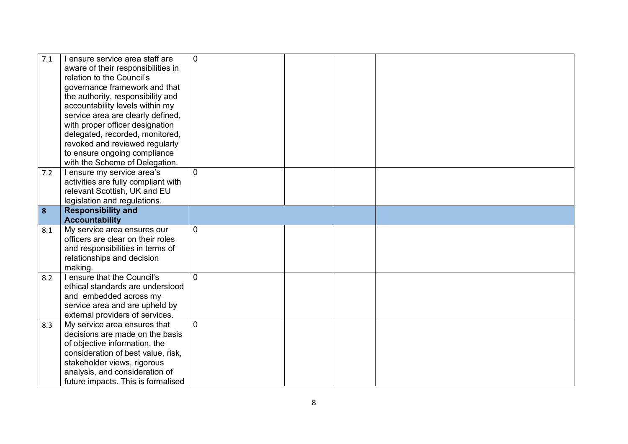| 7.1 | I ensure service area staff are<br>aware of their responsibilities in<br>relation to the Council's<br>governance framework and that<br>the authority, responsibility and<br>accountability levels within my<br>service area are clearly defined,<br>with proper officer designation<br>delegated, recorded, monitored,<br>revoked and reviewed regularly<br>to ensure ongoing compliance<br>with the Scheme of Delegation. | $\Omega$       |  |  |
|-----|----------------------------------------------------------------------------------------------------------------------------------------------------------------------------------------------------------------------------------------------------------------------------------------------------------------------------------------------------------------------------------------------------------------------------|----------------|--|--|
| 7.2 | I ensure my service area's<br>activities are fully compliant with<br>relevant Scottish, UK and EU<br>legislation and regulations.                                                                                                                                                                                                                                                                                          | $\Omega$       |  |  |
| 8   | <b>Responsibility and</b><br><b>Accountability</b>                                                                                                                                                                                                                                                                                                                                                                         |                |  |  |
| 8.1 | My service area ensures our<br>officers are clear on their roles<br>and responsibilities in terms of<br>relationships and decision<br>making.                                                                                                                                                                                                                                                                              | $\overline{0}$ |  |  |
| 8.2 | I ensure that the Council's<br>ethical standards are understood<br>and embedded across my<br>service area and are upheld by<br>external providers of services.                                                                                                                                                                                                                                                             | $\Omega$       |  |  |
| 8.3 | My service area ensures that<br>decisions are made on the basis<br>of objective information, the<br>consideration of best value, risk,<br>stakeholder views, rigorous<br>analysis, and consideration of<br>future impacts. This is formalised                                                                                                                                                                              | $\overline{0}$ |  |  |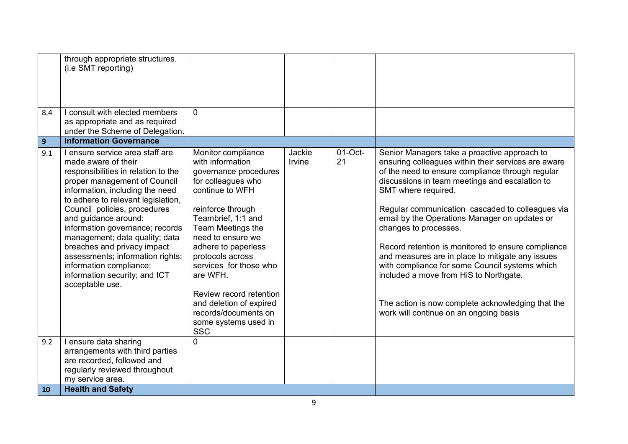| 8.4            | through appropriate structures.<br>(i.e SMT reporting)<br>I consult with elected members                                                                                                                                                                                                                                                                                                                                                                                              | $\Omega$                                                                                                                                                                                                                                                                                                                                                                                           |                  |                  |                                                                                                                                                                                                                                                                                                                                                                                                                                                                                                                                                                                                                                                                     |
|----------------|---------------------------------------------------------------------------------------------------------------------------------------------------------------------------------------------------------------------------------------------------------------------------------------------------------------------------------------------------------------------------------------------------------------------------------------------------------------------------------------|----------------------------------------------------------------------------------------------------------------------------------------------------------------------------------------------------------------------------------------------------------------------------------------------------------------------------------------------------------------------------------------------------|------------------|------------------|---------------------------------------------------------------------------------------------------------------------------------------------------------------------------------------------------------------------------------------------------------------------------------------------------------------------------------------------------------------------------------------------------------------------------------------------------------------------------------------------------------------------------------------------------------------------------------------------------------------------------------------------------------------------|
|                | as appropriate and as required<br>under the Scheme of Delegation.                                                                                                                                                                                                                                                                                                                                                                                                                     |                                                                                                                                                                                                                                                                                                                                                                                                    |                  |                  |                                                                                                                                                                                                                                                                                                                                                                                                                                                                                                                                                                                                                                                                     |
| 9 <sup>°</sup> | <b>Information Governance</b>                                                                                                                                                                                                                                                                                                                                                                                                                                                         |                                                                                                                                                                                                                                                                                                                                                                                                    |                  |                  |                                                                                                                                                                                                                                                                                                                                                                                                                                                                                                                                                                                                                                                                     |
| 9.1            | I ensure service area staff are<br>made aware of their<br>responsibilities in relation to the<br>proper management of Council<br>information, including the need<br>to adhere to relevant legislation,<br>Council policies, procedures<br>and guidance around:<br>information governance; records<br>management; data quality; data<br>breaches and privacy impact<br>assessments; information rights;<br>information compliance;<br>information security; and ICT<br>acceptable use. | Monitor compliance<br>with information<br>governance procedures<br>for colleagues who<br>continue to WFH<br>reinforce through<br>Teambrief, 1:1 and<br>Team Meetings the<br>need to ensure we<br>adhere to paperless<br>protocols across<br>services for those who<br>are WFH.<br>Review record retention<br>and deletion of expired<br>records/documents on<br>some systems used in<br><b>SSC</b> | Jackie<br>Irvine | $01$ -Oct-<br>21 | Senior Managers take a proactive approach to<br>ensuring colleagues within their services are aware<br>of the need to ensure compliance through regular<br>discussions in team meetings and escalation to<br>SMT where required.<br>Regular communication cascaded to colleagues via<br>email by the Operations Manager on updates or<br>changes to processes.<br>Record retention is monitored to ensure compliance<br>and measures are in place to mitigate any issues<br>with compliance for some Council systems which<br>included a move from HiS to Northgate.<br>The action is now complete acknowledging that the<br>work will continue on an ongoing basis |
| 9.2            | I ensure data sharing<br>arrangements with third parties<br>are recorded, followed and                                                                                                                                                                                                                                                                                                                                                                                                | $\Omega$                                                                                                                                                                                                                                                                                                                                                                                           |                  |                  |                                                                                                                                                                                                                                                                                                                                                                                                                                                                                                                                                                                                                                                                     |
|                | regularly reviewed throughout<br>my service area.                                                                                                                                                                                                                                                                                                                                                                                                                                     |                                                                                                                                                                                                                                                                                                                                                                                                    |                  |                  |                                                                                                                                                                                                                                                                                                                                                                                                                                                                                                                                                                                                                                                                     |
| 10             | <b>Health and Safety</b>                                                                                                                                                                                                                                                                                                                                                                                                                                                              |                                                                                                                                                                                                                                                                                                                                                                                                    |                  |                  |                                                                                                                                                                                                                                                                                                                                                                                                                                                                                                                                                                                                                                                                     |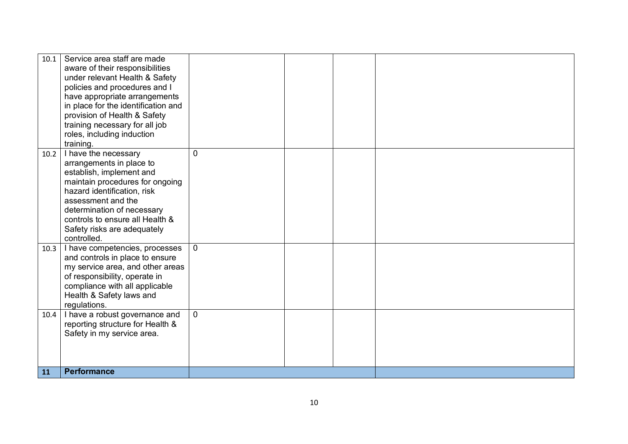| 10.1 | Service area staff are made<br>aware of their responsibilities<br>under relevant Health & Safety<br>policies and procedures and I<br>have appropriate arrangements<br>in place for the identification and<br>provision of Health & Safety<br>training necessary for all job<br>roles, including induction<br>training. |                |  |  |
|------|------------------------------------------------------------------------------------------------------------------------------------------------------------------------------------------------------------------------------------------------------------------------------------------------------------------------|----------------|--|--|
| 10.2 | I have the necessary<br>arrangements in place to<br>establish, implement and<br>maintain procedures for ongoing<br>hazard identification, risk<br>assessment and the<br>determination of necessary<br>controls to ensure all Health &<br>Safety risks are adequately<br>controlled.                                    | $\overline{0}$ |  |  |
| 10.3 | I have competencies, processes<br>and controls in place to ensure<br>my service area, and other areas<br>of responsibility, operate in<br>compliance with all applicable<br>Health & Safety laws and<br>regulations.                                                                                                   | $\mathbf 0$    |  |  |
| 10.4 | I have a robust governance and<br>reporting structure for Health &<br>Safety in my service area.                                                                                                                                                                                                                       | $\overline{0}$ |  |  |
| 11   | <b>Performance</b>                                                                                                                                                                                                                                                                                                     |                |  |  |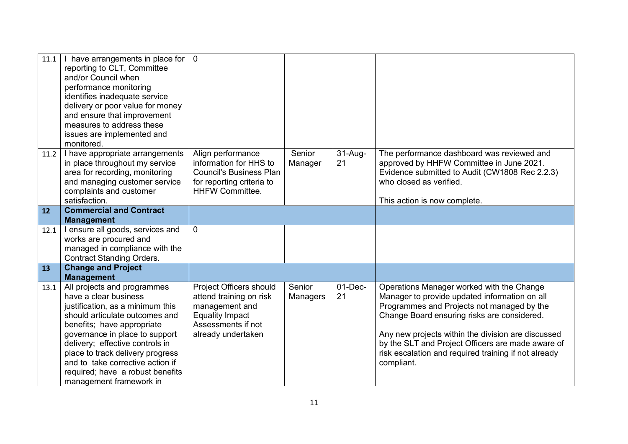| 11.1 | I have arrangements in place for<br>reporting to CLT, Committee<br>and/or Council when<br>performance monitoring<br>identifies inadequate service<br>delivery or poor value for money<br>and ensure that improvement<br>measures to address these<br>issues are implemented and<br>monitored.                                                                        | $\mathbf{0}$                                                                                                                               |                    |                  |                                                                                                                                                                                                                                                                                                                                                                          |
|------|----------------------------------------------------------------------------------------------------------------------------------------------------------------------------------------------------------------------------------------------------------------------------------------------------------------------------------------------------------------------|--------------------------------------------------------------------------------------------------------------------------------------------|--------------------|------------------|--------------------------------------------------------------------------------------------------------------------------------------------------------------------------------------------------------------------------------------------------------------------------------------------------------------------------------------------------------------------------|
| 11.2 | I have appropriate arrangements<br>in place throughout my service<br>area for recording, monitoring<br>and managing customer service<br>complaints and customer<br>satisfaction.                                                                                                                                                                                     | Align performance<br>information for HHS to<br><b>Council's Business Plan</b><br>for reporting criteria to<br><b>HHFW Committee.</b>       | Senior<br>Manager  | $31-Au$ g-<br>21 | The performance dashboard was reviewed and<br>approved by HHFW Committee in June 2021.<br>Evidence submitted to Audit (CW1808 Rec 2.2.3)<br>who closed as verified.<br>This action is now complete.                                                                                                                                                                      |
| 12   | <b>Commercial and Contract</b><br><b>Management</b>                                                                                                                                                                                                                                                                                                                  |                                                                                                                                            |                    |                  |                                                                                                                                                                                                                                                                                                                                                                          |
| 12.1 | I ensure all goods, services and<br>works are procured and<br>managed in compliance with the<br><b>Contract Standing Orders.</b>                                                                                                                                                                                                                                     | $\mathbf{0}$                                                                                                                               |                    |                  |                                                                                                                                                                                                                                                                                                                                                                          |
| 13   | <b>Change and Project</b><br><b>Management</b>                                                                                                                                                                                                                                                                                                                       |                                                                                                                                            |                    |                  |                                                                                                                                                                                                                                                                                                                                                                          |
| 13.1 | All projects and programmes<br>have a clear business<br>justification, as a minimum this<br>should articulate outcomes and<br>benefits; have appropriate<br>governance in place to support<br>delivery; effective controls in<br>place to track delivery progress<br>and to take corrective action if<br>required; have a robust benefits<br>management framework in | Project Officers should<br>attend training on risk<br>management and<br><b>Equality Impact</b><br>Assessments if not<br>already undertaken | Senior<br>Managers | $01-Dec-$<br>21  | Operations Manager worked with the Change<br>Manager to provide updated information on all<br>Programmes and Projects not managed by the<br>Change Board ensuring risks are considered.<br>Any new projects within the division are discussed<br>by the SLT and Project Officers are made aware of<br>risk escalation and required training if not already<br>compliant. |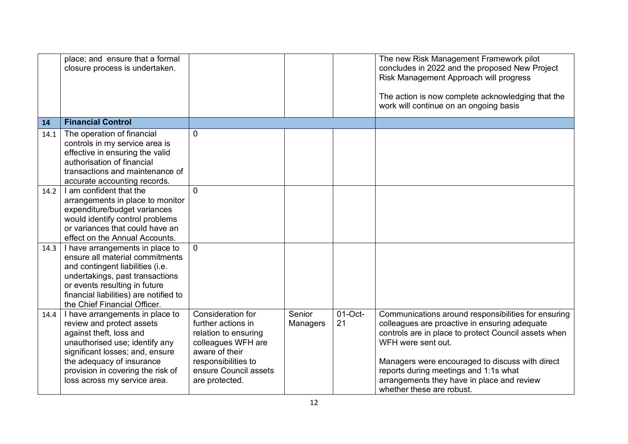|      | place; and ensure that a formal<br>closure process is undertaken. |                                         |                    |                  | The new Risk Management Framework pilot<br>concludes in 2022 and the proposed New Project<br>Risk Management Approach will progress<br>The action is now complete acknowledging that the |
|------|-------------------------------------------------------------------|-----------------------------------------|--------------------|------------------|------------------------------------------------------------------------------------------------------------------------------------------------------------------------------------------|
|      |                                                                   |                                         |                    |                  | work will continue on an ongoing basis                                                                                                                                                   |
| 14   | <b>Financial Control</b>                                          |                                         |                    |                  |                                                                                                                                                                                          |
| 14.1 | The operation of financial                                        | $\overline{0}$                          |                    |                  |                                                                                                                                                                                          |
|      | controls in my service area is                                    |                                         |                    |                  |                                                                                                                                                                                          |
|      | effective in ensuring the valid                                   |                                         |                    |                  |                                                                                                                                                                                          |
|      | authorisation of financial                                        |                                         |                    |                  |                                                                                                                                                                                          |
|      | transactions and maintenance of                                   |                                         |                    |                  |                                                                                                                                                                                          |
| 14.2 | accurate accounting records.<br>I am confident that the           | $\overline{0}$                          |                    |                  |                                                                                                                                                                                          |
|      | arrangements in place to monitor                                  |                                         |                    |                  |                                                                                                                                                                                          |
|      | expenditure/budget variances                                      |                                         |                    |                  |                                                                                                                                                                                          |
|      | would identify control problems                                   |                                         |                    |                  |                                                                                                                                                                                          |
|      | or variances that could have an                                   |                                         |                    |                  |                                                                                                                                                                                          |
|      | effect on the Annual Accounts.                                    |                                         |                    |                  |                                                                                                                                                                                          |
| 14.3 | I have arrangements in place to                                   | $\mathbf{0}$                            |                    |                  |                                                                                                                                                                                          |
|      | ensure all material commitments                                   |                                         |                    |                  |                                                                                                                                                                                          |
|      | and contingent liabilities (i.e.                                  |                                         |                    |                  |                                                                                                                                                                                          |
|      | undertakings, past transactions                                   |                                         |                    |                  |                                                                                                                                                                                          |
|      | or events resulting in future                                     |                                         |                    |                  |                                                                                                                                                                                          |
|      | financial liabilities) are notified to                            |                                         |                    |                  |                                                                                                                                                                                          |
|      | the Chief Financial Officer.                                      |                                         |                    |                  |                                                                                                                                                                                          |
| 14.4 | I have arrangements in place to<br>review and protect assets      | Consideration for<br>further actions in | Senior<br>Managers | $01$ -Oct-<br>21 | Communications around responsibilities for ensuring<br>colleagues are proactive in ensuring adequate                                                                                     |
|      | against theft, loss and                                           | relation to ensuring                    |                    |                  | controls are in place to protect Council assets when                                                                                                                                     |
|      | unauthorised use; identify any                                    | colleagues WFH are                      |                    |                  | WFH were sent out.                                                                                                                                                                       |
|      | significant losses; and, ensure                                   | aware of their                          |                    |                  |                                                                                                                                                                                          |
|      | the adequacy of insurance                                         | responsibilities to                     |                    |                  | Managers were encouraged to discuss with direct                                                                                                                                          |
|      | provision in covering the risk of                                 | ensure Council assets                   |                    |                  | reports during meetings and 1:1s what                                                                                                                                                    |
|      | loss across my service area.                                      | are protected.                          |                    |                  | arrangements they have in place and review                                                                                                                                               |
|      |                                                                   |                                         |                    |                  | whether these are robust.                                                                                                                                                                |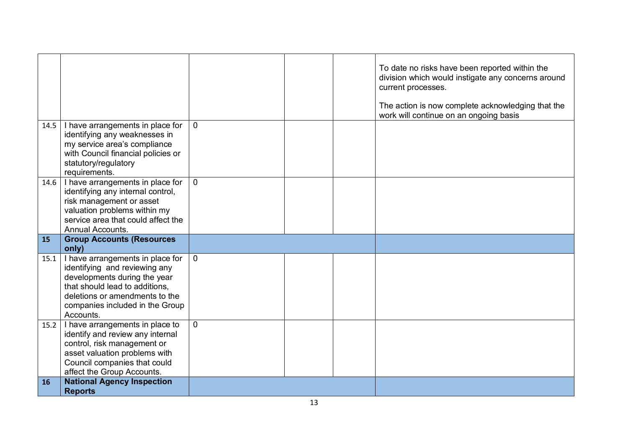|           |                                                                                                                                                                                                                       |                |  | To date no risks have been reported within the<br>division which would instigate any concerns around<br>current processes.<br>The action is now complete acknowledging that the<br>work will continue on an ongoing basis |
|-----------|-----------------------------------------------------------------------------------------------------------------------------------------------------------------------------------------------------------------------|----------------|--|---------------------------------------------------------------------------------------------------------------------------------------------------------------------------------------------------------------------------|
| 14.5      | I have arrangements in place for<br>identifying any weaknesses in<br>my service area's compliance<br>with Council financial policies or<br>statutory/regulatory<br>requirements.                                      | $\overline{0}$ |  |                                                                                                                                                                                                                           |
| 14.6      | I have arrangements in place for<br>identifying any internal control,<br>risk management or asset<br>valuation problems within my<br>service area that could affect the<br>Annual Accounts.                           | $\overline{0}$ |  |                                                                                                                                                                                                                           |
| 15        | <b>Group Accounts (Resources</b><br>only)                                                                                                                                                                             |                |  |                                                                                                                                                                                                                           |
| 15.1      | I have arrangements in place for<br>identifying and reviewing any<br>developments during the year<br>that should lead to additions,<br>deletions or amendments to the<br>companies included in the Group<br>Accounts. | $\overline{0}$ |  |                                                                                                                                                                                                                           |
| 15.2      | I have arrangements in place to<br>identify and review any internal<br>control, risk management or<br>asset valuation problems with<br>Council companies that could<br>affect the Group Accounts.                     | $\Omega$       |  |                                                                                                                                                                                                                           |
| <b>16</b> | <b>National Agency Inspection</b><br><b>Reports</b>                                                                                                                                                                   |                |  |                                                                                                                                                                                                                           |